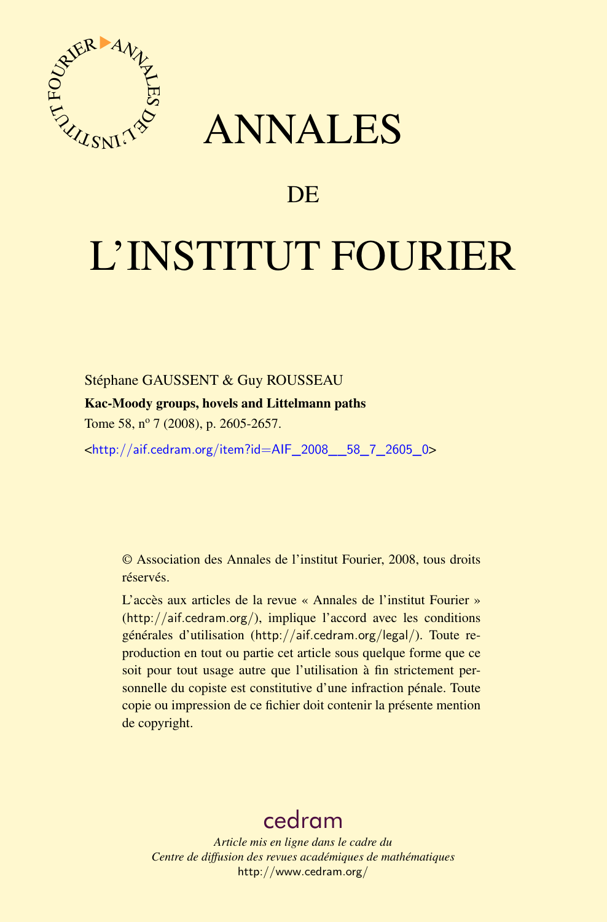

# ANNALES

# **DE**

# L'INSTITUT FOURIER

## Stéphane GAUSSENT & Guy ROUSSEAU

## Kac-Moody groups, hovels and Littelmann paths

Tome 58, nº 7 (2008), p. 2605-2657.

<[http://aif.cedram.org/item?id=AIF\\_2008\\_\\_58\\_7\\_2605\\_0](http://aif.cedram.org/item?id=AIF_2008__58_7_2605_0)>

© Association des Annales de l'institut Fourier, 2008, tous droits réservés.

L'accès aux articles de la revue « Annales de l'institut Fourier » (<http://aif.cedram.org/>), implique l'accord avec les conditions générales d'utilisation (<http://aif.cedram.org/legal/>). Toute reproduction en tout ou partie cet article sous quelque forme que ce soit pour tout usage autre que l'utilisation à fin strictement personnelle du copiste est constitutive d'une infraction pénale. Toute copie ou impression de ce fichier doit contenir la présente mention de copyright.

# [cedram](http://www.cedram.org/)

*Article mis en ligne dans le cadre du Centre de diffusion des revues académiques de mathématiques* <http://www.cedram.org/>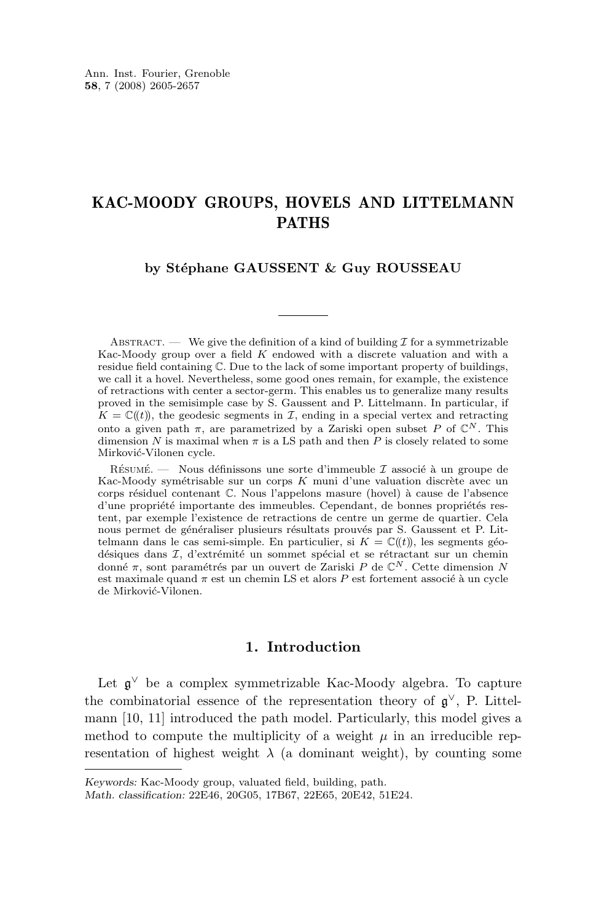# KAC-MOODY GROUPS, HOVELS AND LITTELMANN PATHS

#### **by Stéphane GAUSSENT & Guy ROUSSEAU**

ABSTRACT. — We give the definition of a kind of building  $\mathcal I$  for a symmetrizable Kac-Moody group over a field  $K$  endowed with a discrete valuation and with a residue field containing C. Due to the lack of some important property of buildings, we call it a hovel. Nevertheless, some good ones remain, for example, the existence of retractions with center a sector-germ. This enables us to generalize many results proved in the semisimple case by S. Gaussent and P. Littelmann. In particular, if  $K = \mathbb{C}(\!(t)\!)$ , the geodesic segments in  $\mathcal{I}$ , ending in a special vertex and retracting onto a given path  $\pi$ , are parametrized by a Zariski open subset P of  $\mathbb{C}^N$ . This dimension N is maximal when  $\pi$  is a LS path and then P is closely related to some Mirković-Vilonen cycle.

RÉSUMÉ. — Nous définissons une sorte d'immeuble  $\mathcal I$  associé à un groupe de Kac-Moody symétrisable sur un corps  $K$  muni d'une valuation discrète avec un corps résiduel contenant C. Nous l'appelons masure (hovel) à cause de l'absence d'une propriété importante des immeubles. Cependant, de bonnes propriétés restent, par exemple l'existence de retractions de centre un germe de quartier. Cela nous permet de généraliser plusieurs résultats prouvés par S. Gaussent et P. Littelmann dans le cas semi-simple. En particulier, si  $K = \mathbb{C}(\!(t)\!)$ , les segments géodésiques dans I, d'extrémité un sommet spécial et se rétractant sur un chemin donné π, sont paramétrés par un ouvert de Zariski P de C<sup>N</sup> . Cette dimension N est maximale quand  $\pi$  est un chemin LS et alors  $P$  est fortement associé à un cycle de Mirković-Vilonen.

#### **1. Introduction**

Let  $\mathfrak{g}^{\vee}$  be a complex symmetrizable Kac-Moody algebra. To capture the combinatorial essence of the representation theory of  $\mathfrak{g}^{\vee}$ , P. Littelmann [\[10,](#page-53-0) [11\]](#page-53-0) introduced the path model. Particularly, this model gives a method to compute the multiplicity of a weight  $\mu$  in an irreducible representation of highest weight  $\lambda$  (a dominant weight), by counting some

*Keywords:* Kac-Moody group, valuated field, building, path.

*Math. classification:* 22E46, 20G05, 17B67, 22E65, 20E42, 51E24.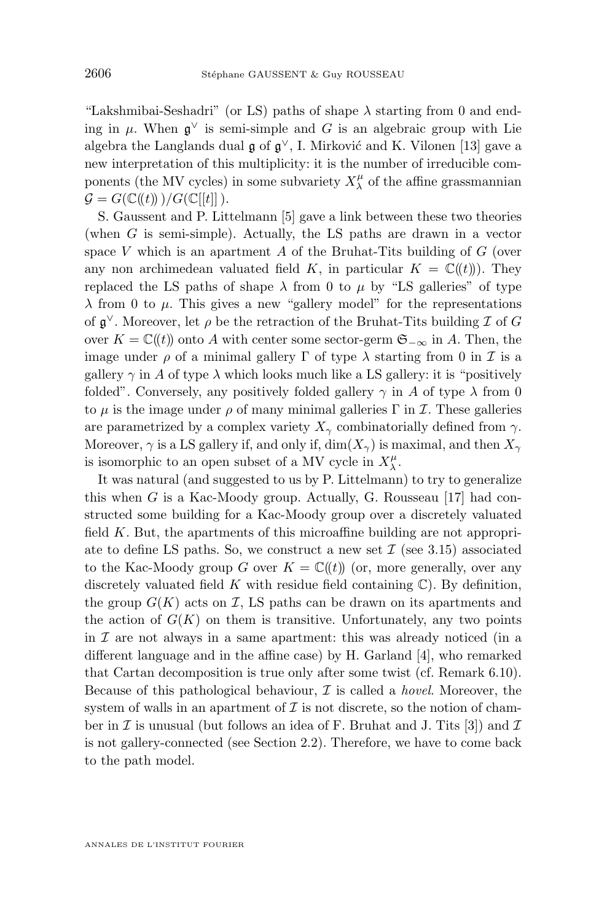"Lakshmibai-Seshadri" (or LS) paths of shape  $\lambda$  starting from 0 and ending in  $\mu$ . When  $\mathfrak{g}^{\vee}$  is semi-simple and G is an algebraic group with Lie algebra the Langlands dual  $\mathfrak g$  of  $\mathfrak g^\vee$ , I. Mirković and K. Vilonen [\[13\]](#page-53-0) gave a new interpretation of this multiplicity: it is the number of irreducible components (the MV cycles) in some subvariety  $X^\mu_\lambda$  of the affine grassmannian  $\mathcal{G} = G(\mathbb{C}(\mathcal{t})))/G(\mathbb{C}[[t]]).$ 

S. Gaussent and P. Littelmann [\[5\]](#page-52-0) gave a link between these two theories (when  $G$  is semi-simple). Actually, the LS paths are drawn in a vector space V which is an apartment  $A$  of the Bruhat-Tits building of  $G$  (over any non archimedean valuated field K, in particular  $K = \mathbb{C}(\!(t)\!)$ . They replaced the LS paths of shape  $\lambda$  from 0 to  $\mu$  by "LS galleries" of type  $\lambda$  from 0 to  $\mu$ . This gives a new "gallery model" for the representations of  $\mathfrak{g}^{\vee}$ . Moreover, let  $\rho$  be the retraction of the Bruhat-Tits building  $\mathcal I$  of  $G$ over  $K = \mathbb{C}(\ell(t))$  onto A with center some sector-germ  $\mathfrak{S}_{-\infty}$  in A. Then, the image under  $\rho$  of a minimal gallery  $\Gamma$  of type  $\lambda$  starting from 0 in  $\mathcal I$  is a gallery  $\gamma$  in A of type  $\lambda$  which looks much like a LS gallery: it is "positively" folded". Conversely, any positively folded gallery  $\gamma$  in A of type  $\lambda$  from 0 to  $\mu$  is the image under  $\rho$  of many minimal galleries  $\Gamma$  in  $\mathcal{I}$ . These galleries are parametrized by a complex variety  $X_{\gamma}$  combinatorially defined from  $\gamma$ . Moreover,  $\gamma$  is a LS gallery if, and only if,  $\dim(X_{\gamma})$  is maximal, and then  $X_{\gamma}$ is isomorphic to an open subset of a MV cycle in  $X^\mu_\lambda$ .

It was natural (and suggested to us by P. Littelmann) to try to generalize this when G is a Kac-Moody group. Actually, G. Rousseau [\[17\]](#page-53-0) had constructed some building for a Kac-Moody group over a discretely valuated field K. But, the apartments of this microaffine building are not appropriate to define LS paths. So, we construct a new set  $\mathcal I$  (see [3.15\)](#page-23-0) associated to the Kac-Moody group G over  $K = \mathbb{C}(\ell t)$  (or, more generally, over any discretely valuated field K with residue field containing  $\mathbb{C}$ ). By definition, the group  $G(K)$  acts on  $\mathcal{I}$ , LS paths can be drawn on its apartments and the action of  $G(K)$  on them is transitive. Unfortunately, any two points in  $\mathcal I$  are not always in a same apartment: this was already noticed (in a different language and in the affine case) by H. Garland [\[4\]](#page-52-0), who remarked that Cartan decomposition is true only after some twist (cf. Remark [6.10\)](#page-50-0). Because of this pathological behaviour, I is called a *hovel*. Moreover, the system of walls in an apartment of  $\mathcal I$  is not discrete, so the notion of chamber in  $\mathcal I$  is unusual (but follows an idea of F. Bruhat and J. Tits [\[3\]](#page-52-0)) and  $\mathcal I$ is not gallery-connected (see Section [2.2\)](#page-9-0). Therefore, we have to come back to the path model.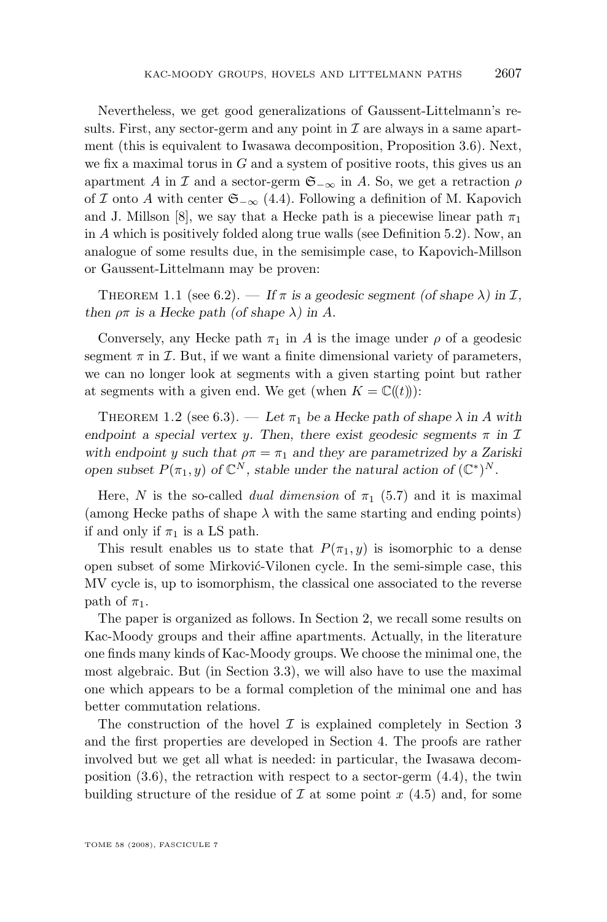<span id="page-3-0"></span>Nevertheless, we get good generalizations of Gaussent-Littelmann's results. First, any sector-germ and any point in  $\mathcal I$  are always in a same apartment (this is equivalent to Iwasawa decomposition, Proposition [3.6\)](#page-18-0). Next, we fix a maximal torus in  $G$  and a system of positive roots, this gives us an apartment A in I and a sector-germ  $\mathfrak{S}_{-\infty}$  in A. So, we get a retraction  $\rho$ of I onto A with center  $\mathfrak{S}_{-\infty}$  [\(4.4\)](#page-29-0). Following a definition of M. Kapovich and J. Millson [\[8\]](#page-53-0), we say that a Hecke path is a piecewise linear path  $\pi_1$ in A which is positively folded along true walls (see Definition [5.2\)](#page-34-0). Now, an analogue of some results due, in the semisimple case, to Kapovich-Millson or Gaussent-Littelmann may be proven:

THEOREM 1.1 (see [6.2\)](#page-44-0). — If  $\pi$  is a geodesic segment (of shape  $\lambda$ ) in  $\mathcal{I}$ , *then*  $\rho \pi$  *is a Hecke path (of shape*  $\lambda$ ) *in* A.

Conversely, any Hecke path  $\pi_1$  in A is the image under  $\rho$  of a geodesic segment  $\pi$  in  $\mathcal I$ . But, if we want a finite dimensional variety of parameters, we can no longer look at segments with a given starting point but rather at segments with a given end. We get (when  $K = \mathbb{C}(\ell(t))$ ):

THEOREM 1.2 (see [6.3\)](#page-44-0). — Let  $\pi_1$  be a Hecke path of shape  $\lambda$  in A with *endpoint a special vertex y. Then, there exist geodesic segments*  $\pi$  in  $\mathcal I$ with endpoint y such that  $\rho \pi = \pi_1$  and they are parametrized by a Zariski *open subset*  $P(\pi_1, y)$  *of*  $\mathbb{C}^N$ *, stable under the natural action of*  $(\mathbb{C}^*)^N$ *.* 

Here, N is the so-called *dual dimension* of  $\pi_1$  [\(5.7\)](#page-36-0) and it is maximal (among Hecke paths of shape  $\lambda$  with the same starting and ending points) if and only if  $\pi_1$  is a LS path.

This result enables us to state that  $P(\pi_1, y)$  is isomorphic to a dense open subset of some Mirković-Vilonen cycle. In the semi-simple case, this MV cycle is, up to isomorphism, the classical one associated to the reverse path of  $\pi_1$ .

The paper is organized as follows. In Section [2,](#page-4-0) we recall some results on Kac-Moody groups and their affine apartments. Actually, in the literature one finds many kinds of Kac-Moody groups. We choose the minimal one, the most algebraic. But (in Section [3.3\)](#page-15-0), we will also have to use the maximal one which appears to be a formal completion of the minimal one and has better commutation relations.

The construction of the hovel  $\mathcal I$  is explained completely in Section [3](#page-12-0) and the first properties are developed in Section [4.](#page-24-0) The proofs are rather involved but we get all what is needed: in particular, the Iwasawa decomposition  $(3.6)$ , the retraction with respect to a sector-germ  $(4.4)$ , the twin building structure of the residue of  $\mathcal I$  at some point  $x$  [\(4.5\)](#page-30-0) and, for some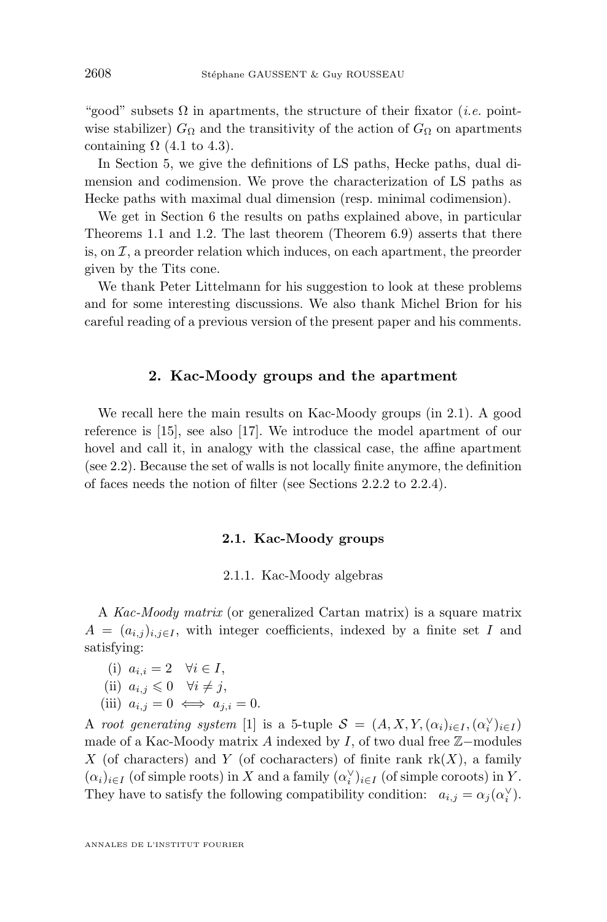<span id="page-4-0"></span>"good" subsets  $\Omega$  in apartments, the structure of their fixator (*i.e.* pointwise stabilizer)  $G_{\Omega}$  and the transitivity of the action of  $G_{\Omega}$  on apartments containing  $\Omega$  [\(4.1](#page-24-0) to [4.3\)](#page-27-0).

In Section [5,](#page-32-0) we give the definitions of LS paths, Hecke paths, dual dimension and codimension. We prove the characterization of LS paths as Hecke paths with maximal dual dimension (resp. minimal codimension).

We get in Section [6](#page-41-0) the results on paths explained above, in particular Theorems [1.1](#page-3-0) and [1.2.](#page-3-0) The last theorem (Theorem [6.9\)](#page-50-0) asserts that there is, on  $\mathcal I$ , a preorder relation which induces, on each apartment, the preorder given by the Tits cone.

We thank Peter Littelmann for his suggestion to look at these problems and for some interesting discussions. We also thank Michel Brion for his careful reading of a previous version of the present paper and his comments.

#### **2. Kac-Moody groups and the apartment**

We recall here the main results on Kac-Moody groups (in 2.1). A good reference is [\[15\]](#page-53-0), see also [\[17\]](#page-53-0). We introduce the model apartment of our hovel and call it, in analogy with the classical case, the affine apartment (see [2.2\)](#page-9-0). Because the set of walls is not locally finite anymore, the definition of faces needs the notion of filter (see Sections [2.2.2](#page-10-0) to [2.2.4\)](#page-12-0).

#### **2.1. Kac-Moody groups**

#### 2.1.1. Kac-Moody algebras

A *Kac-Moody matrix* (or generalized Cartan matrix) is a square matrix  $A = (a_{i,j})_{i,j \in I}$ , with integer coefficients, indexed by a finite set I and satisfying:

(i) 
$$
a_{i,i} = 2 \quad \forall i \in I
$$
,  
\n(ii)  $a_{i,j} \leq 0 \quad \forall i \neq j$ ,  
\n(iii)  $a_{i,j} = 0 \iff a_{j,i} = 0$ .

A *root generating system* [\[1\]](#page-52-0) is a 5-tuple  $S = (A, X, Y, (\alpha_i)_{i \in I}, (\alpha_i^{\vee})_{i \in I})$ made of a Kac-Moody matrix A indexed by I, of two dual free  $\mathbb{Z}-$ modules X (of characters) and Y (of cocharacters) of finite rank  $rk(X)$ , a family  $(\alpha_i)_{i\in I}$  (of simple roots) in X and a family  $(\alpha_i^{\vee})_{i\in I}$  (of simple coroots) in Y. They have to satisfy the following compatibility condition:  $a_{i,j} = \alpha_j(\alpha_i^{\vee})$ .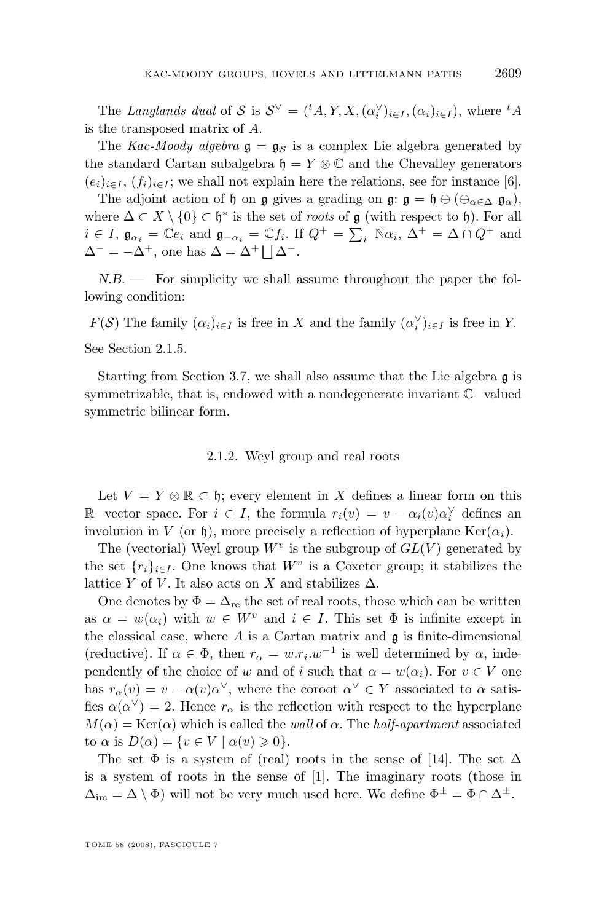<span id="page-5-0"></span>The *Langlands* dual of S is  $S^{\vee} = {t \choose 1} X, X, (\alpha_i^{\vee})_{i \in I}, (\alpha_i)_{i \in I}$ , where  ${}^t A$ is the transposed matrix of A.

The *Kac-Moody algebra*  $g = g_S$  is a complex Lie algebra generated by the standard Cartan subalgebra  $\mathfrak{h} = Y \otimes \mathbb{C}$  and the Chevalley generators  $(e_i)_{i\in I}$ ,  $(f_i)_{i\in I}$ ; we shall not explain here the relations, see for instance [\[6\]](#page-52-0).

The adjoint action of h on g gives a grading on g:  $\mathfrak{g} = \mathfrak{h} \oplus (\oplus_{\alpha \in \Delta} \mathfrak{g}_{\alpha})$ , where  $\Delta \subset X \setminus \{0\} \subset \mathfrak{h}^*$  is the set of *roots* of  $\mathfrak{g}$  (with respect to  $\mathfrak{h}$ ). For all  $i \in I$ ,  $\mathfrak{g}_{\alpha_i} = \mathbb{C}e_i$  and  $\mathfrak{g}_{-\alpha_i} = \mathbb{C}f_i$ . If  $Q^+ = \sum_i \mathbb{N}\alpha_i$ ,  $\Delta^+ = \Delta \cap Q^+$  and  $\Delta^- = -\Delta^+$ , one has  $\Delta = \Delta^+ \bigsqcup \Delta^-$ .

*N.B. —* For simplicity we shall assume throughout the paper the following condition:

 $F(S)$  The family  $(\alpha_i)_{i \in I}$  is free in X and the family  $(\alpha_i^{\vee})_{i \in I}$  is free in Y. See Section [2.1.5.](#page-7-0)

Starting from Section [3.7,](#page-21-0) we shall also assume that the Lie algebra  $\mathfrak q$  is symmetrizable, that is, endowed with a nondegenerate invariant C−valued symmetric bilinear form.

#### 2.1.2. Weyl group and real roots

Let  $V = Y \otimes \mathbb{R} \subset \mathfrak{h}$ ; every element in X defines a linear form on this  $\mathbb{R}-$ vector space. For *i* ∈ *I*, the formula  $r_i(v) = v - \alpha_i(v) \alpha_i^{\vee}$  defines an involution in V (or h), more precisely a reflection of hyperplane  $\text{Ker}(\alpha_i)$ .

The (vectorial) Weyl group  $W^v$  is the subgroup of  $GL(V)$  generated by the set  $\{r_i\}_{i\in I}$ . One knows that  $W^v$  is a Coxeter group; it stabilizes the lattice Y of V. It also acts on X and stabilizes  $\Delta$ .

One denotes by  $\Phi = \Delta_{\text{re}}$  the set of real roots, those which can be written as  $\alpha = w(\alpha_i)$  with  $w \in W^v$  and  $i \in I$ . This set  $\Phi$  is infinite except in the classical case, where  $A$  is a Cartan matrix and  $\mathfrak g$  is finite-dimensional (reductive). If  $\alpha \in \Phi$ , then  $r_{\alpha} = w.r_i.w^{-1}$  is well determined by  $\alpha$ , independently of the choice of w and of i such that  $\alpha = w(\alpha_i)$ . For  $v \in V$  one has  $r_{\alpha}(v) = v - \alpha(v) \alpha^{\vee}$ , where the coroot  $\alpha^{\vee} \in Y$  associated to  $\alpha$  satisfies  $\alpha(\alpha^{\vee}) = 2$ . Hence  $r_{\alpha}$  is the reflection with respect to the hyperplane  $M(\alpha) = \text{Ker}(\alpha)$  which is called the *wall* of  $\alpha$ . The *half-apartment* associated to  $\alpha$  is  $D(\alpha) = \{v \in V \mid \alpha(v) \geq 0\}.$ 

The set  $\Phi$  is a system of (real) roots in the sense of [\[14\]](#page-53-0). The set  $\Delta$ is a system of roots in the sense of [\[1\]](#page-52-0). The imaginary roots (those in  $\Delta_{\text{im}} = \Delta \setminus \Phi$ ) will not be very much used here. We define  $\Phi^{\pm} = \Phi \cap \Delta^{\pm}$ .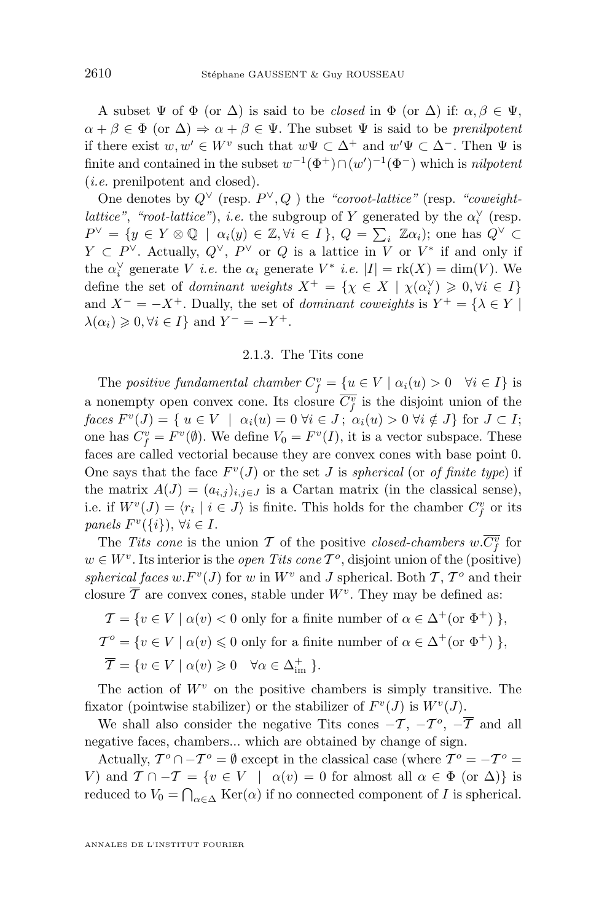<span id="page-6-0"></span>A subset  $\Psi$  of  $\Phi$  (or  $\Delta$ ) is said to be *closed* in  $\Phi$  (or  $\Delta$ ) if:  $\alpha, \beta \in \Psi$ ,  $\alpha + \beta \in \Phi$  (or  $\Delta$ )  $\Rightarrow \alpha + \beta \in \Psi$ . The subset  $\Psi$  is said to be *prenilpotent* if there exist  $w, w' \in W^v$  such that  $w \Psi \subset \Delta^+$  and  $w' \Psi \subset \Delta^-$ . Then  $\Psi$  is finite and contained in the subset  $w^{-1}(\Phi^+) \cap (w')^{-1}(\Phi^-)$  which is *nilpotent* (*i.e.* prenilpotent and closed).

One denotes by  $Q^{\vee}$  (resp.  $P^{\vee}, Q$ ) the *"coroot-lattice"* (resp. *"coweightlattice"*, *"root-lattice"*), *i.e.* the subgroup of Y generated by the  $\alpha_i^{\vee}$  (resp.  $P^{\vee} = \{ y \in Y \otimes \mathbb{Q} \mid \alpha_i(y) \in \mathbb{Z}, \forall i \in I \}, Q = \sum_i \mathbb{Z} \alpha_i$ ; one has  $Q^{\vee} \subset \mathbb{Z}$  $Y \subset P^{\vee}$ . Actually,  $Q^{\vee}$ ,  $P^{\vee}$  or  $Q$  is a lattice in V or  $V^*$  if and only if the  $\alpha_i^{\vee}$  generate V *i.e.* the  $\alpha_i$  generate  $V^*$  *i.e.*  $|I| = \text{rk}(X) = \dim(V)$ . We define the set of *dominant weights*  $X^+ = \{ \chi \in X \mid \chi(\alpha_i^{\vee}) \geq 0, \forall i \in I \}$ and  $X^- = -X^+$ . Dually, the set of *dominant coweights* is  $Y^+ = \{\lambda \in Y \mid$  $\lambda(\alpha_i) \geqslant 0, \forall i \in I$  and  $Y^- = -Y^+$ .

#### 2.1.3. The Tits cone

The *positive fundamental chamber*  $C_f^v = \{u \in V \mid \alpha_i(u) > 0 \quad \forall i \in I\}$  is a nonempty open convex cone. Its closure  $\overline{C_f^v}$  is the disjoint union of the  $faces F^{v}(J) = \{ u \in V \mid \alpha_i(u) = 0 \ \forall i \in J \, ; \, \alpha_i(u) > 0 \ \forall i \notin J \}$  for  $J \subset I$ ; one has  $C_f^v = F^v(\emptyset)$ . We define  $V_0 = F^v(I)$ , it is a vector subspace. These faces are called vectorial because they are convex cones with base point 0. One says that the face  $F^v(J)$  or the set J is *spherical* (or *of finite type*) if the matrix  $A(J) = (a_{i,j})_{i,j \in J}$  is a Cartan matrix (in the classical sense), i.e. if  $W^v(J) = \langle r_i \mid i \in J \rangle$  is finite. This holds for the chamber  $C_f^v$  or its  $panels F^{v}(\{i\}), \forall i \in I.$ 

The *Tits cone* is the union T of the positive *closed-chambers*  $w.\overline{C_f^v}$  for  $w \in W^v$ . Its interior is the *open Tits cone*  $T^o$ , disjoint union of the (positive) spherical faces  $w.F^v(J)$  for w in  $W^v$  and J spherical. Both  $\mathcal{T}, \mathcal{T}^o$  and their closure  $\overline{\mathcal{T}}$  are convex cones, stable under  $W^v$ . They may be defined as:

 $\mathcal{T} = \{ v \in V \mid \alpha(v) < 0 \text{ only for a finite number of } \alpha \in \Delta^+(\text{or } \Phi^+) \},$  $\mathcal{T}^o = \{ v \in V \mid \alpha(v) \leq 0 \text{ only for a finite number of } \alpha \in \Delta^+(\text{or } \Phi^+) \}$ ,  $\overline{\mathcal{T}} = \{ v \in V \mid \alpha(v) \geq 0 \quad \forall \alpha \in \Delta_{\text{im}}^+ \}.$ 

The action of  $W<sup>v</sup>$  on the positive chambers is simply transitive. The fixator (pointwise stabilizer) or the stabilizer of  $F^v(J)$  is  $W^v(J)$ .

We shall also consider the negative Tits cones  $-\mathcal{T}, -\mathcal{T}^o, -\overline{\mathcal{T}}$  and all negative faces, chambers... which are obtained by change of sign.

Actually,  $T^{\circ} \cap -T^{\circ} = \emptyset$  except in the classical case (where  $T^{\circ} = -T^{\circ} =$ V) and  $\mathcal{T} \cap -\mathcal{T} = \{v \in V \mid \alpha(v) = 0 \text{ for almost all } \alpha \in \Phi \text{ (or } \Delta) \}$  is reduced to  $V_0 = \bigcap_{\alpha \in \Delta} \text{Ker}(\alpha)$  if no connected component of I is spherical.

ANNALES DE L'INSTITUT FOURIER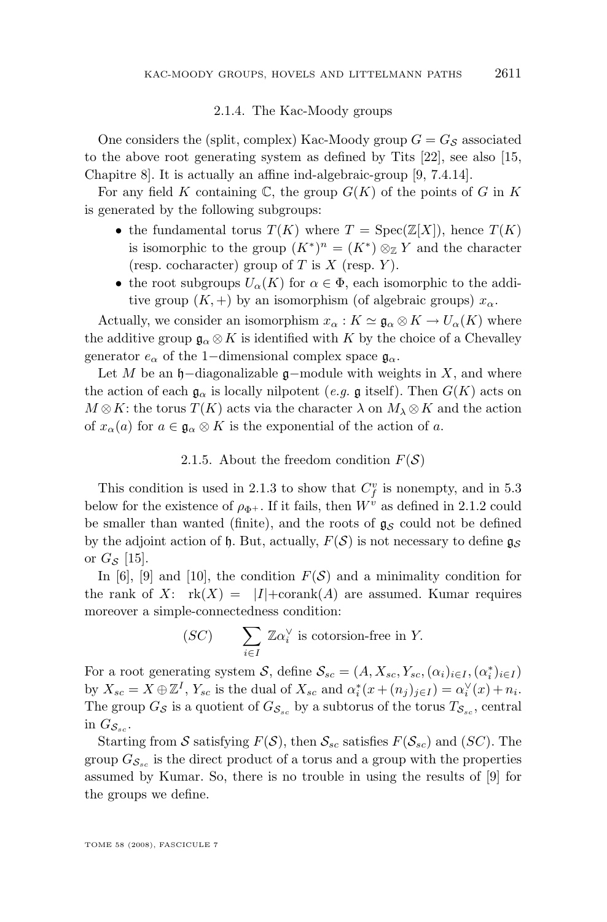#### 2.1.4. The Kac-Moody groups

<span id="page-7-0"></span>One considers the (split, complex) Kac-Moody group  $G = G_{\mathcal{S}}$  associated to the above root generating system as defined by Tits [\[22\]](#page-53-0), see also [\[15,](#page-53-0) Chapitre 8]. It is actually an affine ind-algebraic-group [\[9,](#page-53-0) 7.4.14].

For any field K containing  $\mathbb C$ , the group  $G(K)$  of the points of G in K is generated by the following subgroups:

- the fundamental torus  $T(K)$  where  $T = \text{Spec}(\mathbb{Z}[X])$ , hence  $T(K)$ is isomorphic to the group  $(K^*)^n = (K^*) \otimes_{\mathbb{Z}} Y$  and the character (resp. cocharacter) group of T is X (resp. Y).
- the root subgroups  $U_{\alpha}(K)$  for  $\alpha \in \Phi$ , each isomorphic to the additive group  $(K,+)$  by an isomorphism (of algebraic groups)  $x_\alpha$ .

Actually, we consider an isomorphism  $x_{\alpha}: K \simeq \mathfrak{g}_{\alpha} \otimes K \to U_{\alpha}(K)$  where the additive group  $\mathfrak{g}_{\alpha} \otimes K$  is identified with K by the choice of a Chevalley generator  $e_{\alpha}$  of the 1−dimensional complex space  $\mathfrak{g}_{\alpha}$ .

Let M be an  $\mathfrak{h}-$ diagonalizable  $\mathfrak{g}-$ module with weights in X, and where the action of each  $\mathfrak{g}_{\alpha}$  is locally nilpotent (*e.g.*  $\mathfrak{g}$  itself). Then  $G(K)$  acts on  $M \otimes K$ : the torus  $T(K)$  acts via the character  $\lambda$  on  $M_{\lambda} \otimes K$  and the action of  $x_\alpha(a)$  for  $a \in \mathfrak{g}_\alpha \otimes K$  is the exponential of the action of a.

2.1.5. About the freedom condition  $F(S)$ 

This condition is used in [2.1.3](#page-6-0) to show that  $C_f^v$  is nonempty, and in [5.3](#page-37-0) below for the existence of  $\rho_{\Phi^+}$ . If it fails, then  $W^v$  as defined in [2.1.2](#page-5-0) could be smaller than wanted (finite), and the roots of  $g_S$  could not be defined by the adjoint action of h. But, actually,  $F(S)$  is not necessary to define  $\mathfrak{g}_S$ or  $G_{\mathcal{S}}$  [\[15\]](#page-53-0).

In [\[6\]](#page-52-0), [\[9\]](#page-53-0) and [\[10\]](#page-53-0), the condition  $F(S)$  and a minimality condition for the rank of X:  $rk(X) = |I| + \text{corank}(A)$  are assumed. Kumar requires moreover a simple-connectedness condition:

$$
(SC) \qquad \sum_{i \in I} \ \mathbb{Z}\alpha_i^{\vee} \text{ is cotorsion-free in } Y.
$$

For a root generating system S, define  $S_{sc} = (A, X_{sc}, Y_{sc}, (\alpha_i)_{i \in I}, (\alpha_i^*)_{i \in I})$ by  $X_{sc} = X \oplus \mathbb{Z}^I$ ,  $Y_{sc}$  is the dual of  $X_{sc}$  and  $\alpha_i^*(x + (n_j)_{j \in I}) = \alpha_i^{\vee}(x) + n_i$ . The group  $G_{\mathcal{S}}$  is a quotient of  $G_{\mathcal{S}_{sc}}$  by a subtorus of the torus  $T_{\mathcal{S}_{sc}}$ , central in  $G_{\mathcal{S}_{sc}}$ .

Starting from S satisfying  $F(S)$ , then  $S_{sc}$  satisfies  $F(S_{sc})$  and  $(SC)$ . The group  $G_{\mathcal{S}_{sc}}$  is the direct product of a torus and a group with the properties assumed by Kumar. So, there is no trouble in using the results of [\[9\]](#page-53-0) for the groups we define.

TOME 58 (2008), FASCICULE 7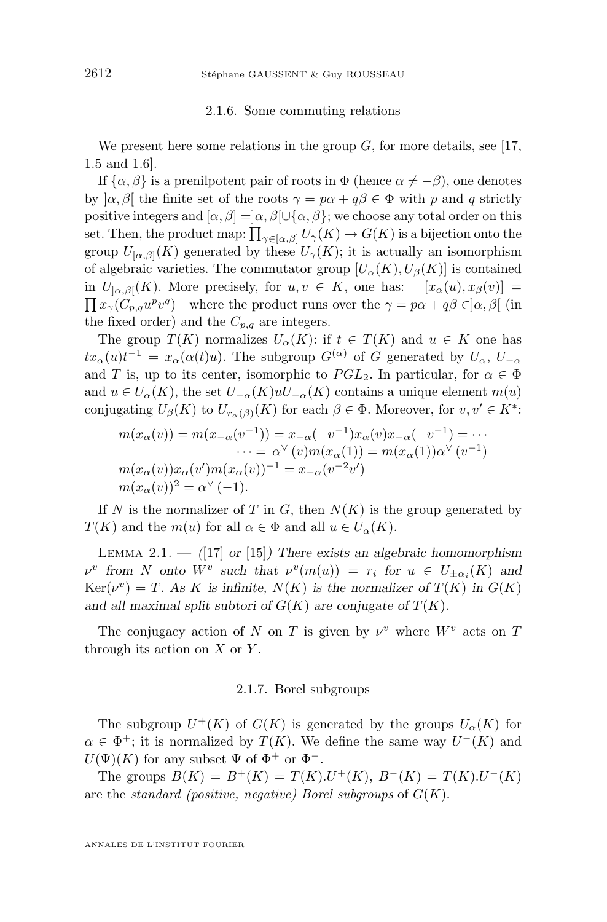#### 2.1.6. Some commuting relations

<span id="page-8-0"></span>We present here some relations in the group  $G$ , for more details, see [\[17,](#page-53-0) 1.5 and 1.6].

If  $\{\alpha, \beta\}$  is a prenilpotent pair of roots in  $\Phi$  (hence  $\alpha \neq -\beta$ ), one denotes by  $[\alpha, \beta]$  the finite set of the roots  $\gamma = p\alpha + q\beta \in \Phi$  with p and q strictly positive integers and  $[\alpha, \beta] = [\alpha, \beta] \cup {\alpha, \beta}$ ; we choose any total order on this set. Then, the product map:  $\prod_{\gamma \in [\alpha,\beta]} U_{\gamma}(K) \to G(K)$  is a bijection onto the group  $U_{[\alpha,\beta]}(K)$  generated by these  $U_{\gamma}(K)$ ; it is actually an isomorphism of algebraic varieties. The commutator group  $[U_{\alpha}(K), U_{\beta}(K)]$  is contained in  $U_{[\alpha,\beta]}(K)$ . More precisely, for  $u, v \in K$ , one has:  $[x_{\alpha}(u), x_{\beta}(v)] =$  $\prod x_{\gamma}(C_{p,q}u^pv^q)$  where the product runs over the  $\gamma = p\alpha + q\beta \in ]\alpha, \beta[$  (in the fixed order) and the  $C_{p,q}$  are integers.

The group  $T(K)$  normalizes  $U_{\alpha}(K)$ : if  $t \in T(K)$  and  $u \in K$  one has  $tx_\alpha(u)t^{-1} = x_\alpha(\alpha(t)u)$ . The subgroup  $G^{(\alpha)}$  of G generated by  $U_\alpha$ ,  $U_{-\alpha}$ and T is, up to its center, isomorphic to  $PGL_2$ . In particular, for  $\alpha \in \Phi$ and  $u \in U_{\alpha}(K)$ , the set  $U_{-\alpha}(K)uU_{-\alpha}(K)$  contains a unique element  $m(u)$ conjugating  $U_{\beta}(K)$  to  $U_{r_{\alpha}(\beta)}(K)$  for each  $\beta \in \Phi$ . Moreover, for  $v, v' \in K^*$ :

$$
m(x_{\alpha}(v)) = m(x_{-\alpha}(v^{-1})) = x_{-\alpha}(-v^{-1})x_{\alpha}(v)x_{-\alpha}(-v^{-1}) = \cdots
$$
  
\n
$$
\cdots = \alpha^{\vee}(v)m(x_{\alpha}(1)) = m(x_{\alpha}(1))\alpha^{\vee}(v^{-1})
$$
  
\n
$$
m(x_{\alpha}(v))x_{\alpha}(v')m(x_{\alpha}(v))^{-1} = x_{-\alpha}(v^{-2}v')
$$
  
\n
$$
m(x_{\alpha}(v))^{2} = \alpha^{\vee}(-1).
$$

If N is the normalizer of T in G, then  $N(K)$  is the group generated by  $T(K)$  and the  $m(u)$  for all  $\alpha \in \Phi$  and all  $u \in U_{\alpha}(K)$ .

Lemma 2.1. — *(*[\[17\]](#page-53-0) *or* [\[15\]](#page-53-0)*) There exists an algebraic homomorphism*  $\nu^v$  from *N* onto  $W^v$  such that  $\nu^v(m(u)) = r_i$  for  $u \in U_{\pm \alpha_i}(K)$  and  $Ker(\nu^v) = T$ . As K is infinite,  $N(K)$  is the normalizer of  $T(K)$  in  $G(K)$ and all maximal split subtori of  $G(K)$  are conjugate of  $T(K)$ .

The conjugacy action of N on T is given by  $\nu^v$  where  $W^v$  acts on T through its action on  $X$  or  $Y$ .

#### 2.1.7. Borel subgroups

The subgroup  $U^+(K)$  of  $G(K)$  is generated by the groups  $U_{\alpha}(K)$  for  $\alpha \in \Phi^+$ ; it is normalized by  $T(K)$ . We define the same way  $U^-(K)$  and  $U(\Psi)(K)$  for any subset  $\Psi$  of  $\Phi^+$  or  $\Phi^-$ .

The groups  $B(K) = B^{+}(K) = T(K) \cdot U^{+}(K)$ ,  $B^{-}(K) = T(K) \cdot U^{-}(K)$ are the *standard (positive, negative) Borel subgroups* of G(K).

ANNALES DE L'INSTITUT FOURIER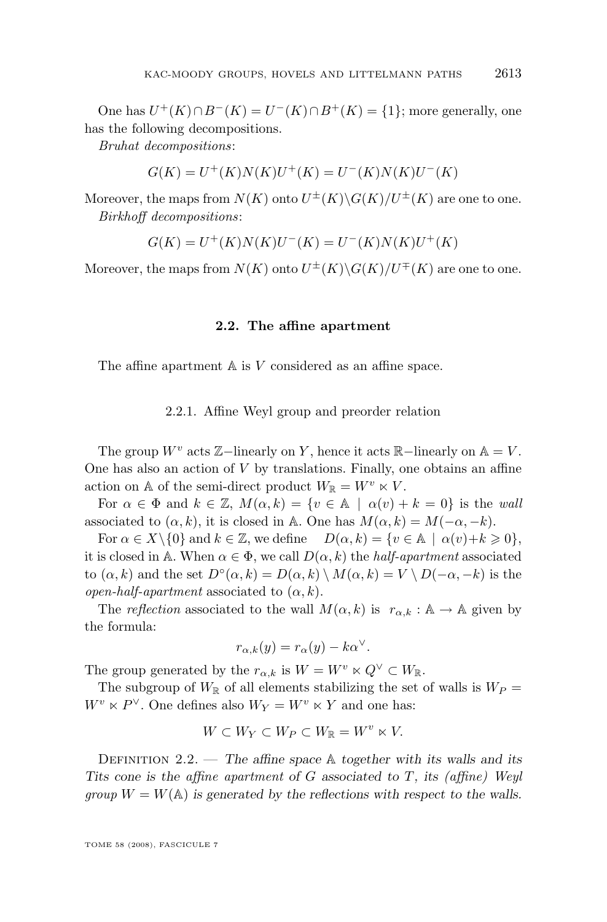<span id="page-9-0"></span>One has  $U^+(K) \cap B^-(K) = U^-(K) \cap B^+(K) = \{1\}$ ; more generally, one has the following decompositions.

*Bruhat decompositions*:

$$
G(K) = U^+(K)N(K)U^+(K) = U^-(K)N(K)U^-(K)
$$

Moreover, the maps from  $N(K)$  onto  $U^{\pm}(K)\backslash G(K)/U^{\pm}(K)$  are one to one. *Birkhoff decompositions*:

$$
G(K) = U^+(K)N(K)U^-(K) = U^-(K)N(K)U^+(K)
$$

Moreover, the maps from  $N(K)$  onto  $U^{\pm}(K) \backslash G(K) / U^{\mp}(K)$  are one to one.

#### **2.2. The affine apartment**

The affine apartment  $A$  is  $V$  considered as an affine space.

#### 2.2.1. Affine Weyl group and preorder relation

The group  $W^v$  acts  $\mathbb{Z}-$ linearly on Y, hence it acts  $\mathbb{R}-$ linearly on  $\mathbb{A} = V$ . One has also an action of  $V$  by translations. Finally, one obtains an affine action on A of the semi-direct product  $W_{\mathbb{R}} = W^v \ltimes V$ .

For  $\alpha \in \Phi$  and  $k \in \mathbb{Z}$ ,  $M(\alpha, k) = \{v \in \mathbb{A} \mid \alpha(v) + k = 0\}$  is the *wall* associated to  $(\alpha, k)$ , it is closed in A. One has  $M(\alpha, k) = M(-\alpha, -k)$ .

For  $\alpha \in X \setminus \{0\}$  and  $k \in \mathbb{Z}$ , we define  $D(\alpha, k) = \{v \in \mathbb{A} \mid \alpha(v) + k \geq 0\},$ it is closed in A. When  $\alpha \in \Phi$ , we call  $D(\alpha, k)$  the *half-apartment* associated to  $(\alpha, k)$  and the set  $D^{\circ}(\alpha, k) = D(\alpha, k) \setminus M(\alpha, k) = V \setminus D(-\alpha, -k)$  is the *open-half-apartment* associated to  $(\alpha, k)$ .

The *reflection* associated to the wall  $M(\alpha, k)$  is  $r_{\alpha, k} : A \to A$  given by the formula:

$$
r_{\alpha,k}(y) = r_{\alpha}(y) - k\alpha^{\vee}.
$$

The group generated by the  $r_{\alpha,k}$  is  $W = W^v \ltimes Q^{\vee} \subset W_{\mathbb{R}}$ .

The subgroup of  $W_{\mathbb{R}}$  of all elements stabilizing the set of walls is  $W_P =$  $W^v \ltimes P^{\vee}$ . One defines also  $W_Y = W^v \ltimes Y$  and one has:

$$
W \subset W_Y \subset W_P \subset W_{\mathbb{R}} = W^v \ltimes V.
$$

Definition 2.2. — *The affine space* A *together with its walls and its Tits cone is the affine apartment of* G *associated to* T*, its (affine) Weyl group*  $W = W(A)$  *is generated by the reflections with respect to the walls.*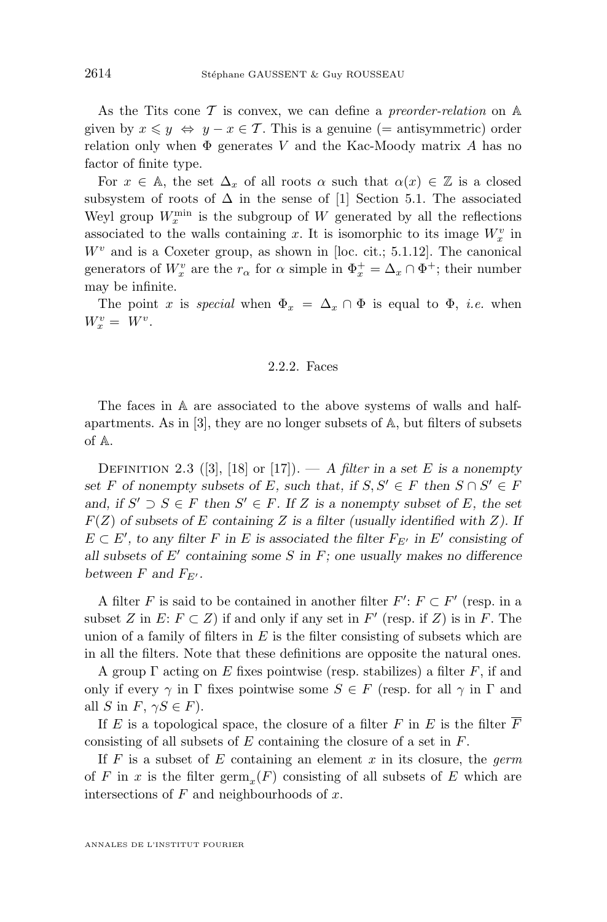<span id="page-10-0"></span>As the Tits cone T is convex, we can define a *preorder-relation* on A given by  $x \leq y \Leftrightarrow y - x \in \mathcal{T}$ . This is a genuine (= antisymmetric) order relation only when  $\Phi$  generates V and the Kac-Moody matrix A has no factor of finite type.

For  $x \in A$ , the set  $\Delta_x$  of all roots  $\alpha$  such that  $\alpha(x) \in \mathbb{Z}$  is a closed subsystem of roots of  $\Delta$  in the sense of [\[1\]](#page-52-0) Section 5.1. The associated Weyl group  $W_x^{\text{min}}$  is the subgroup of W generated by all the reflections associated to the walls containing x. It is isomorphic to its image  $W_x^v$  in  $W<sup>v</sup>$  and is a Coxeter group, as shown in [loc. cit.; 5.1.12]. The canonical generators of  $W_x^v$  are the  $r_\alpha$  for  $\alpha$  simple in  $\Phi_x^+ = \Delta_x \cap \Phi^+$ ; their number may be infinite.

The point x is *special* when  $\Phi_x = \Delta_x \cap \Phi$  is equal to  $\Phi$ , *i.e.* when  $W_x^v = W^v.$ 

#### 2.2.2. Faces

The faces in A are associated to the above systems of walls and halfapartments. As in [\[3\]](#page-52-0), they are no longer subsets of A, but filters of subsets of A.

DEFINITION 2.3 ([\[3\]](#page-52-0), [\[18\]](#page-53-0) or [\[17\]](#page-53-0)). — A *filter* in a set E is a nonempty *set* F of nonempty subsets of E, such that, if  $S, S' \in F$  then  $S \cap S' \in F$ *and, if*  $S' \supset S \in F$  *then*  $S' \in F$ *. If* Z *is a nonempty subset of* E*, the set*  $F(Z)$  *of subsets of* E *containing* Z *is a filter (usually identified with* Z). If  $E \subset E'$ , to any filter F in E is associated the filter  $F_{E'}$  in E' consisting of all subsets of E' containing some S in F; one usually makes no difference *between*  $F$  *and*  $F_{E'}$ *.* 

A filter F is said to be contained in another filter  $F' : F \subset F'$  (resp. in a subset Z in  $E: F \subset Z$ ) if and only if any set in  $F'$  (resp. if Z) is in F. The union of a family of filters in  $E$  is the filter consisting of subsets which are in all the filters. Note that these definitions are opposite the natural ones.

A group  $\Gamma$  acting on E fixes pointwise (resp. stabilizes) a filter F, if and only if every  $\gamma$  in  $\Gamma$  fixes pointwise some  $S \in F$  (resp. for all  $\gamma$  in  $\Gamma$  and all S in F,  $\gamma S \in F$ ).

If E is a topological space, the closure of a filter F in E is the filter  $\overline{F}$ consisting of all subsets of E containing the closure of a set in F.

If F is a subset of E containing an element x in its closure, the *germ* of F in x is the filter  $\mathrm{germ}_x(F)$  consisting of all subsets of E which are intersections of  $F$  and neighbourhoods of  $x$ .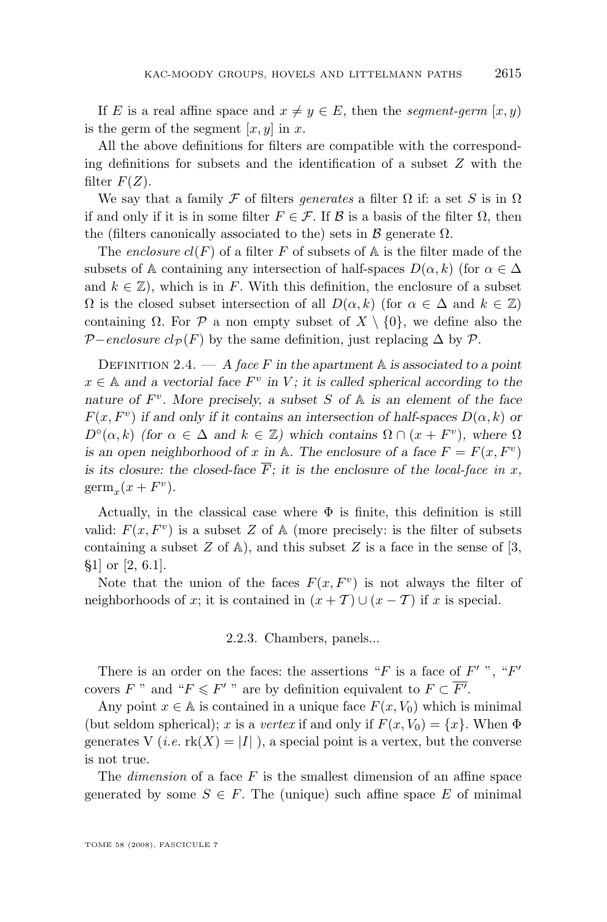If E is a real affine space and  $x \neq y \in E$ , then the *segment-germ* [x, y) is the germ of the segment  $[x, y]$  in x.

All the above definitions for filters are compatible with the corresponding definitions for subsets and the identification of a subset  $Z$  with the filter  $F(Z)$ .

We say that a family F of filters *generates* a filter  $\Omega$  if: a set S is in  $\Omega$ if and only if it is in some filter  $F \in \mathcal{F}$ . If  $\mathcal{B}$  is a basis of the filter  $\Omega$ , then the (filters canonically associated to the) sets in  $\beta$  generate  $\Omega$ .

The *enclosure*  $cl(F)$  of a filter F of subsets of A is the filter made of the subsets of A containing any intersection of half-spaces  $D(\alpha, k)$  (for  $\alpha \in \Delta$ ) and  $k \in \mathbb{Z}$ , which is in F. With this definition, the enclosure of a subset  $\Omega$  is the closed subset intersection of all  $D(\alpha, k)$  (for  $\alpha \in \Delta$  and  $k \in \mathbb{Z}$ ) containing  $\Omega$ . For  $\mathcal P$  a non empty subset of  $X \setminus \{0\}$ , we define also the  $\mathcal{P}-enclosure \; cl_{\mathcal{P}}(F)$  by the same definition, just replacing  $\Delta$  by  $\mathcal{P}$ .

DEFINITION 2.4.  $- A$  *face* F in the apartment  $\mathbb A$  *is associated to a point*  $x \in A$  and a vectorial face  $F^v$  in V; it is called spherical according to the *nature of* F v *. More precisely, a subset* S *of* A *is an element of the face*  $F(x, F<sup>v</sup>)$  *if and only if it contains an intersection of half-spaces*  $D(\alpha, k)$  *or*  $D^{\circ}(\alpha, k)$  *(for*  $\alpha \in \Delta$  *and*  $k \in \mathbb{Z}$ *)* which contains  $\Omega \cap (x + F^{\nu})$ *, where*  $\Omega$ *is an open neighborhood of* x *in* A. The enclosure of a face  $F = F(x, F^v)$ *is its closure: the closed-face*  $\overline{F}$ *; it is the enclosure of the local-face in x,*  $\mathrm{germ}_x(x + F^v).$ 

Actually, in the classical case where  $\Phi$  is finite, this definition is still valid:  $F(x, F^v)$  is a subset Z of A (more precisely: is the filter of subsets containing a subset  $Z$  of  $\mathbb{A}$ ), and this subset  $Z$  is a face in the sense of [\[3,](#page-52-0) §1] or [\[2,](#page-52-0) 6.1].

Note that the union of the faces  $F(x, F<sup>v</sup>)$  is not always the filter of neighborhoods of x; it is contained in  $(x + \mathcal{T}) \cup (x - \mathcal{T})$  if x is special.

2.2.3. Chambers, panels...

There is an order on the faces: the assertions "F is a face of  $F'$ ", " $F'$ covers F " and " $F \leq F'$ " are by definition equivalent to  $F \subset \overline{F'}$ .

Any point  $x \in A$  is contained in a unique face  $F(x, V_0)$  which is minimal (but seldom spherical); x is a *vertex* if and only if  $F(x, V_0) = \{x\}$ . When  $\Phi$ generates V (*i.e.*  $\text{rk}(X) = |I|$ ), a special point is a vertex, but the converse is not true.

The *dimension* of a face F is the smallest dimension of an affine space generated by some  $S \in F$ . The (unique) such affine space E of minimal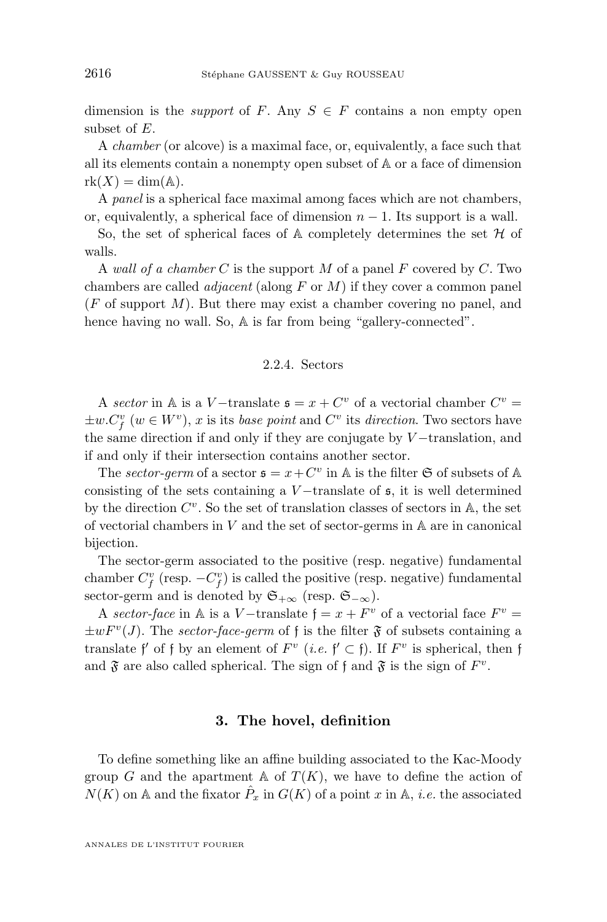<span id="page-12-0"></span>dimension is the *support* of F. Any  $S \in F$  contains a non empty open subset of E.

A *chamber* (or alcove) is a maximal face, or, equivalently, a face such that all its elements contain a nonempty open subset of A or a face of dimension  $rk(X) = dim(A).$ 

A *panel* is a spherical face maximal among faces which are not chambers, or, equivalently, a spherical face of dimension  $n - 1$ . Its support is a wall.

So, the set of spherical faces of  $A$  completely determines the set  $H$  of walls.

A *wall of a chamber* C is the support M of a panel F covered by C. Two chambers are called *adjacent* (along F or M) if they cover a common panel  $(F \text{ of support } M)$ . But there may exist a chamber covering no panel, and hence having no wall. So,  $\mathbb A$  is far from being "gallery-connected".

#### 2.2.4. Sectors

A *sector* in A is a V-translate  $\mathfrak{s} = x + C^v$  of a vectorial chamber  $C^v =$  $\pm w.C_f^v$  ( $w \in W^v$ ), x is its *base point* and  $C^v$  its *direction*. Two sectors have the same direction if and only if they are conjugate by  $V$  –translation, and if and only if their intersection contains another sector.

The *sector-germ* of a sector  $\mathfrak{s} = x + C^v$  in A is the filter  $\mathfrak{S}$  of subsets of A consisting of the sets containing a  $V$  –translate of  $\mathfrak{s}$ , it is well determined by the direction  $C^v$ . So the set of translation classes of sectors in A, the set of vectorial chambers in  $V$  and the set of sector-germs in  $A$  are in canonical bijection.

The sector-germ associated to the positive (resp. negative) fundamental chamber  $C_f^v$  (resp.  $-C_f^v$ ) is called the positive (resp. negative) fundamental sector-germ and is denoted by  $\mathfrak{S}_{+\infty}$  (resp.  $\mathfrak{S}_{-\infty}$ ).

A *sector-face* in A is a V-translate  $f = x + F^v$  of a vectorial face  $F^v =$  $\pm w F^{v}(J)$ . The *sector-face-germ* of f is the filter  $\mathfrak{F}$  of subsets containing a translate f' of f by an element of  $F^v$  (*i.e.*  $f' \subset f$ ). If  $F^v$  is spherical, then f and  $\mathfrak F$  are also called spherical. The sign of f and  $\mathfrak F$  is the sign of  $F^v$ .

### **3. The hovel, definition**

To define something like an affine building associated to the Kac-Moody group G and the apartment A of  $T(K)$ , we have to define the action of  $N(K)$  on A and the fixator  $\hat{P}_x$  in  $G(K)$  of a point x in A, *i.e.* the associated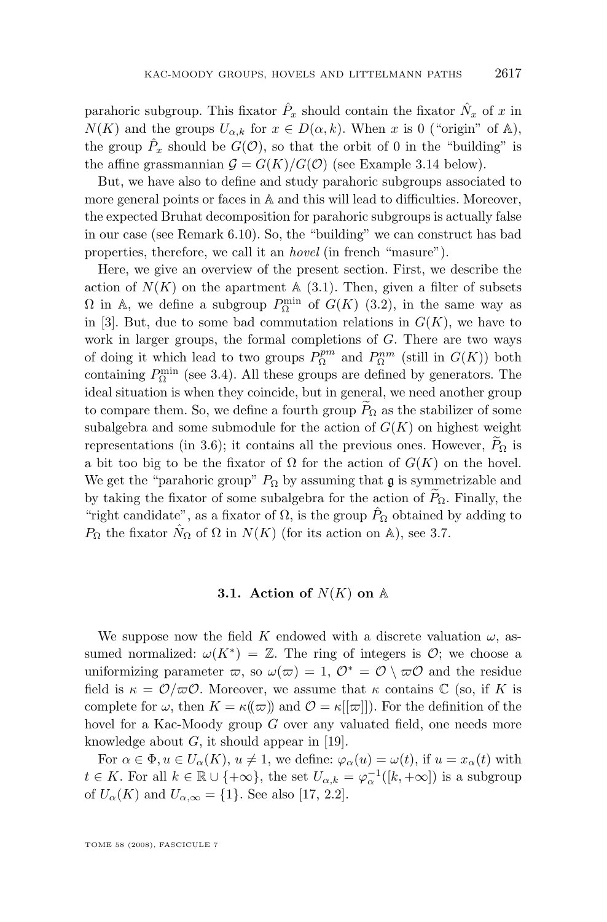<span id="page-13-0"></span>parahoric subgroup. This fixator  $\hat{P}_x$  should contain the fixator  $\hat{N}_x$  of x in  $N(K)$  and the groups  $U_{\alpha,k}$  for  $x \in D(\alpha,k)$ . When x is 0 ("origin" of A), the group  $\hat{P}_x$  should be  $G(\mathcal{O})$ , so that the orbit of 0 in the "building" is the affine grassmannian  $G = G(K)/G(\mathcal{O})$  (see Example [3.14](#page-23-0) below).

But, we have also to define and study parahoric subgroups associated to more general points or faces in A and this will lead to difficulties. Moreover, the expected Bruhat decomposition for parahoric subgroups is actually false in our case (see Remark [6.10\)](#page-50-0). So, the "building" we can construct has bad properties, therefore, we call it an *hovel* (in french "masure").

Here, we give an overview of the present section. First, we describe the action of  $N(K)$  on the apartment  $A(3.1)$ . Then, given a filter of subsets  $\Omega$  in A, we define a subgroup  $P_{\Omega}^{\min}$  of  $G(K)$  [\(3.2\)](#page-14-0), in the same way as in [\[3\]](#page-52-0). But, due to some bad commutation relations in  $G(K)$ , we have to work in larger groups, the formal completions of G. There are two ways of doing it which lead to two groups  $P^{pm}_{\Omega}$  and  $P^{nm}_{\Omega}$  (still in  $G(K)$ ) both containing  $P_{\Omega}^{\min}$  (see [3.4\)](#page-17-0). All these groups are defined by generators. The ideal situation is when they coincide, but in general, we need another group to compare them. So, we define a fourth group  $P_{\Omega}$  as the stabilizer of some subalgebra and some submodule for the action of  $G(K)$  on highest weight representations (in [3.6\)](#page-20-0); it contains all the previous ones. However,  $P_{\Omega}$  is a bit too big to be the fixator of  $\Omega$  for the action of  $G(K)$  on the hovel. We get the "parahoric group"  $P_{\Omega}$  by assuming that g is symmetrizable and by taking the fixator of some subalgebra for the action of  $\widetilde{P}_{\Omega}$ . Finally, the "right candidate", as a fixator of  $\Omega$ , is the group  $\hat{P}_{\Omega}$  obtained by adding to  $P_{\Omega}$  the fixator  $\hat{N}_{\Omega}$  of  $\Omega$  in  $N(K)$  (for its action on A), see [3.7.](#page-21-0)

#### **3.1.** Action of  $N(K)$  on  $\mathbb{A}$

We suppose now the field K endowed with a discrete valuation  $\omega$ , assumed normalized:  $\omega(K^*) = \mathbb{Z}$ . The ring of integers is  $\mathcal{O}$ ; we choose a uniformizing parameter  $\varpi$ , so  $\omega(\varpi) = 1, \mathcal{O}^* = \mathcal{O} \setminus \varpi\mathcal{O}$  and the residue field is  $\kappa = \mathcal{O}/\varpi\mathcal{O}$ . Moreover, we assume that  $\kappa$  contains  $\mathbb C$  (so, if K is complete for  $\omega$ , then  $K = \kappa(\omega)$  and  $\mathcal{O} = \kappa[[\omega]]$ . For the definition of the hovel for a Kac-Moody group G over any valuated field, one needs more knowledge about  $G$ , it should appear in [\[19\]](#page-53-0).

For  $\alpha \in \Phi, u \in U_{\alpha}(K), u \neq 1$ , we define:  $\varphi_{\alpha}(u) = \omega(t)$ , if  $u = x_{\alpha}(t)$  with  $t \in K$ . For all  $k \in \mathbb{R} \cup \{+\infty\}$ , the set  $U_{\alpha,k} = \varphi_{\alpha}^{-1}([k,+\infty])$  is a subgroup of  $U_{\alpha}(K)$  and  $U_{\alpha,\infty} = \{1\}$ . See also [\[17,](#page-53-0) 2.2].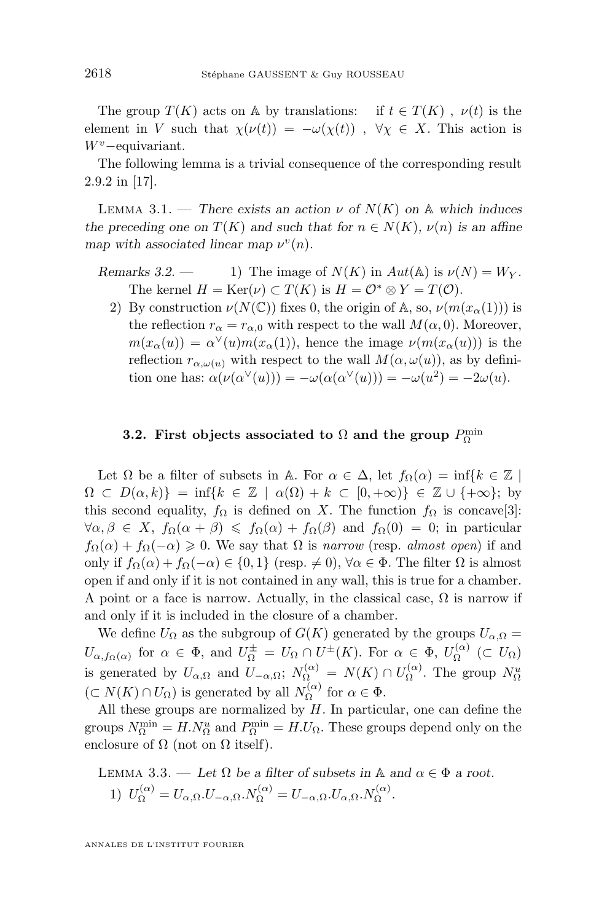<span id="page-14-0"></span>The group  $T(K)$  acts on A by translations: if  $t \in T(K)$ ,  $\nu(t)$  is the element in V such that  $\chi(\nu(t)) = -\omega(\chi(t))$ ,  $\forall \chi \in X$ . This action is  $W^v$  – equivariant.

The following lemma is a trivial consequence of the corresponding result 2.9.2 in [\[17\]](#page-53-0).

LEMMA 3.1. — *There exists an action*  $\nu$  *of*  $N(K)$  *on* A *which induces the preceding one on*  $T(K)$  *and such that for*  $n \in N(K)$ *,*  $\nu(n)$  *is an affine map* with associated linear map  $\nu^v(n)$ .

- *Remarks 3.2.* 1) The image of  $N(K)$  in  $Aut(A)$  is  $\nu(N) = W_Y$ . The kernel  $H = \text{Ker}(\nu) \subset T(K)$  is  $H = \mathcal{O}^* \otimes Y = T(\mathcal{O}).$ 
	- 2) By construction  $\nu(N(\mathbb{C}))$  fixes 0, the origin of A, so,  $\nu(m(x_0(1)))$  is the reflection  $r_{\alpha} = r_{\alpha,0}$  with respect to the wall  $M(\alpha, 0)$ . Moreover,  $m(x_\alpha(u)) = \alpha^{\vee}(u) m(x_\alpha(1))$ , hence the image  $\nu(m(x_\alpha(u)))$  is the reflection  $r_{\alpha,\omega(u)}$  with respect to the wall  $M(\alpha,\omega(u))$ , as by definition one has:  $\alpha(\nu(\alpha^{\vee}(u))) = -\omega(\alpha(\alpha^{\vee}(u))) = -\omega(u^2) = -2\omega(u)$ .

# **3.2.** First objects associated to  $\Omega$  and the group  $P_{\Omega}^{\min}$

Let  $\Omega$  be a filter of subsets in A. For  $\alpha \in \Delta$ , let  $f_{\Omega}(\alpha) = \inf\{k \in \mathbb{Z} \mid \alpha \in \mathbb{Z} \mid \alpha \in \mathbb{Z} \mid \alpha \in \mathbb{Z} \}$  $\Omega \subset D(\alpha, k)$ } = inf{ $k \in \mathbb{Z} \mid \alpha(\Omega) + k \subset [0, +\infty)$ }  $\in \mathbb{Z} \cup \{+\infty\}$ ; by this second equality,  $f_{\Omega}$  is defined on X. The function  $f_{\Omega}$  is concave[\[3\]](#page-52-0):  $\forall \alpha, \beta \in X$ ,  $f_{\Omega}(\alpha + \beta) \leq f_{\Omega}(\alpha) + f_{\Omega}(\beta)$  and  $f_{\Omega}(0) = 0$ ; in particular  $f_{\Omega}(\alpha) + f_{\Omega}(-\alpha) \geq 0$ . We say that  $\Omega$  is *narrow* (resp. *almost open*) if and only if  $f_{\Omega}(\alpha) + f_{\Omega}(-\alpha) \in \{0,1\}$  (resp.  $\neq 0$ ),  $\forall \alpha \in \Phi$ . The filter  $\Omega$  is almost open if and only if it is not contained in any wall, this is true for a chamber. A point or a face is narrow. Actually, in the classical case,  $\Omega$  is narrow if and only if it is included in the closure of a chamber.

We define  $U_{\Omega}$  as the subgroup of  $G(K)$  generated by the groups  $U_{\alpha,\Omega} =$  $U_{\alpha, f_{\Omega}(\alpha)}$  for  $\alpha \in \Phi$ , and  $U_{\Omega}^{\pm} = U_{\Omega} \cap U^{\pm}(K)$ . For  $\alpha \in \Phi$ ,  $U_{\Omega}^{(\alpha)}$  $\Omega^{(\alpha)} \subset U_{\Omega}$ is generated by  $U_{\alpha,\Omega}$  and  $U_{-\alpha,\Omega}$ ;  $N_{\Omega}^{(\alpha)} = N(K) \cap U_{\Omega}^{(\alpha)}$  $\Omega^{(\alpha)}$ . The group  $N_{\Omega}^u$  $(\subset N(K) \cap U_{\Omega})$  is generated by all  $N_{\Omega}^{(\alpha)}$  $\Omega^{\alpha}$  for  $\alpha \in \Phi$ .

All these groups are normalized by  $H$ . In particular, one can define the groups  $N_{\Omega}^{\min} = H.N_{\Omega}^u$  and  $P_{\Omega}^{\min} = H.U_{\Omega}$ . These groups depend only on the enclosure of  $\Omega$  (not on  $\Omega$  itself).

LEMMA 3.3. — Let  $\Omega$  be a filter of subsets in A and  $\alpha \in \Phi$  a root. 1)  $U_{\Omega}^{(\alpha)} = U_{\alpha,\Omega}U_{-\alpha,\Omega}N_{\Omega}^{(\alpha)} = U_{-\alpha,\Omega}U_{\alpha,\Omega}N_{\Omega}^{(\alpha)}$ .

ANNALES DE L'INSTITUT FOURIER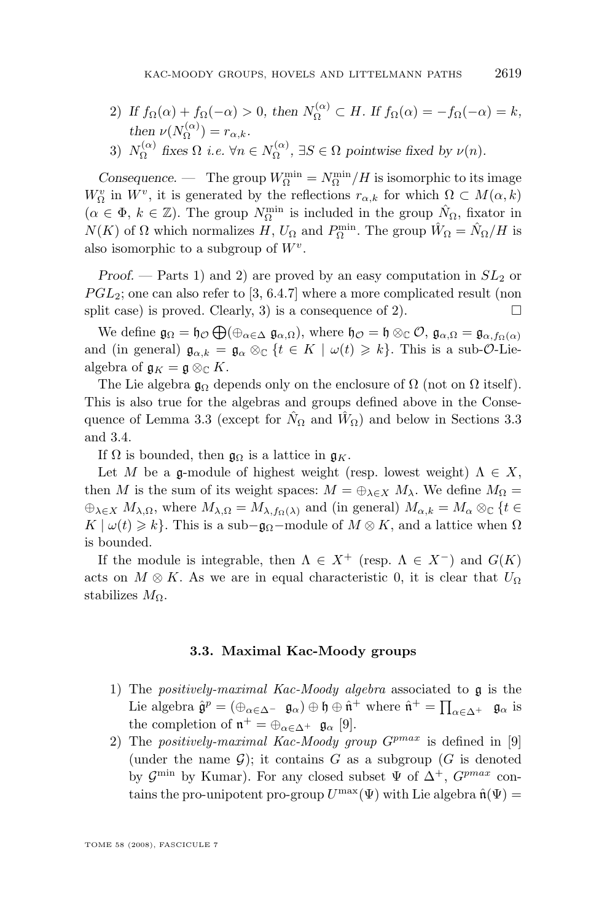- <span id="page-15-0"></span>2) If  $f_{\Omega}(\alpha) + f_{\Omega}(-\alpha) > 0$ , then  $N_{\Omega}^{(\alpha)} \subset H$ . If  $f_{\Omega}(\alpha) = -f_{\Omega}(-\alpha) = k$ , *then*  $\nu(N_{\Omega}^{(\alpha)}) = r_{\alpha,k}$ . Ω
- 3)  $N_{\Omega}^{(\alpha)}$  $f_{\Omega}^{(\alpha)}$  fixes  $\Omega$  *i.e.*  $\forall n \in N_{\Omega}^{(\alpha)}$  $\Omega^{(\alpha)}$ ,  $\exists S \in \Omega$  pointwise fixed by  $\nu(n)$ .

*Consequence.* — The group  $W_{\Omega}^{\min} = N_{\Omega}^{\min}/H$  is isomorphic to its image  $W_{\Omega}^{v}$  in  $W^{v}$ , it is generated by the reflections  $r_{\alpha,k}$  for which  $\Omega \subset M(\alpha,k)$  $(\alpha \in \Phi, k \in \mathbb{Z})$ . The group  $N_{\Omega}^{\min}$  is included in the group  $\hat{N}_{\Omega}$ , fixator in  $N(K)$  of  $\Omega$  which normalizes H,  $U_{\Omega}$  and  $P_{\Omega}^{\min}$ . The group  $\hat{W}_{\Omega} = \hat{N}_{\Omega}/H$  is also isomorphic to a subgroup of  $W^v$ .

*Proof.* — Parts 1) and 2) are proved by an easy computation in  $SL_2$  or  $PGL_2$ ; one can also refer to [\[3,](#page-52-0) 6.4.7] where a more complicated result (non split case) is proved. Clearly, 3) is a consequence of 2).

We define  $\mathfrak{g}_{\Omega} = \mathfrak{h}_{\mathcal{O}} \bigoplus (\oplus_{\alpha \in \Delta} \mathfrak{g}_{\alpha,\Omega}),$  where  $\mathfrak{h}_{\mathcal{O}} = \mathfrak{h} \otimes_{\mathbb{C}} \mathcal{O}, \mathfrak{g}_{\alpha,\Omega} = \mathfrak{g}_{\alpha,f_{\Omega}(\alpha)}$ and (in general)  $\mathfrak{g}_{\alpha,k} = \mathfrak{g}_{\alpha} \otimes_{\mathbb{C}} \{t \in K \mid \omega(t) \geq k\}.$  This is a sub- $\mathcal{O}\text{-Lie}$ algebra of  $\mathfrak{g}_K = \mathfrak{g} \otimes_{\mathbb{C}} K$ .

The Lie algebra  $\mathfrak{g}_{\Omega}$  depends only on the enclosure of  $\Omega$  (not on  $\Omega$  itself). This is also true for the algebras and groups defined above in the Conse-quence of Lemma [3.3](#page-14-0) (except for  $\hat{N}_{\Omega}$  and  $\hat{W}_{\Omega}$ ) and below in Sections 3.3 and [3.4.](#page-17-0)

If  $\Omega$  is bounded, then  $\mathfrak{g}_{\Omega}$  is a lattice in  $\mathfrak{g}_K$ .

Let M be a g-module of highest weight (resp. lowest weight)  $\Lambda \in X$ , then M is the sum of its weight spaces:  $M = \bigoplus_{\lambda \in X} M_{\lambda}$ . We define  $M_{\Omega} =$  $\bigoplus_{\lambda \in X} M_{\lambda,\Omega}$ , where  $M_{\lambda,\Omega} = M_{\lambda,f_{\Omega}(\lambda)}$  and (in general)  $M_{\alpha,k} = M_{\alpha} \otimes_{\mathbb{C}} \{t \in$  $K \mid \omega(t) \geq k$ . This is a sub- $\mathfrak{g}_{\Omega}$ -module of  $M \otimes K$ , and a lattice when  $\Omega$ is bounded.

If the module is integrable, then  $\Lambda \in X^+$  (resp.  $\Lambda \in X^-$ ) and  $G(K)$ acts on  $M \otimes K$ . As we are in equal characteristic 0, it is clear that  $U_{\Omega}$ stabilizes  $M_{\Omega}$ .

#### **3.3. Maximal Kac-Moody groups**

- 1) The *positively-maximal Kac-Moody algebra* associated to g is the Lie algebra  $\hat{\mathfrak{g}}^p = (\bigoplus_{\alpha \in \Delta^-} \mathfrak{g}_{\alpha}) \oplus \mathfrak{h} \oplus \hat{\mathfrak{n}}^+$  where  $\hat{\mathfrak{n}}^+ = \prod_{\alpha \in \Delta^+} \mathfrak{g}_{\alpha}$  is the completion of  $\mathfrak{n}^+ = \bigoplus_{\alpha \in \Delta^+} \mathfrak{g}_{\alpha}$  [\[9\]](#page-53-0).
- 2) The *positively-maximal Kac-Moody group*  $G^{pmax}$  is defined in [\[9\]](#page-53-0) (under the name  $\mathcal{G}$ ); it contains G as a subgroup (G is denoted by  $\mathcal{G}^{\min}$  by Kumar). For any closed subset  $\Psi$  of  $\Delta^{+}$ ,  $G^{pmax}$  contains the pro-unipotent pro-group  $U^{\max}(\Psi)$  with Lie algebra  $\hat{\mathfrak{n}}(\Psi)$  =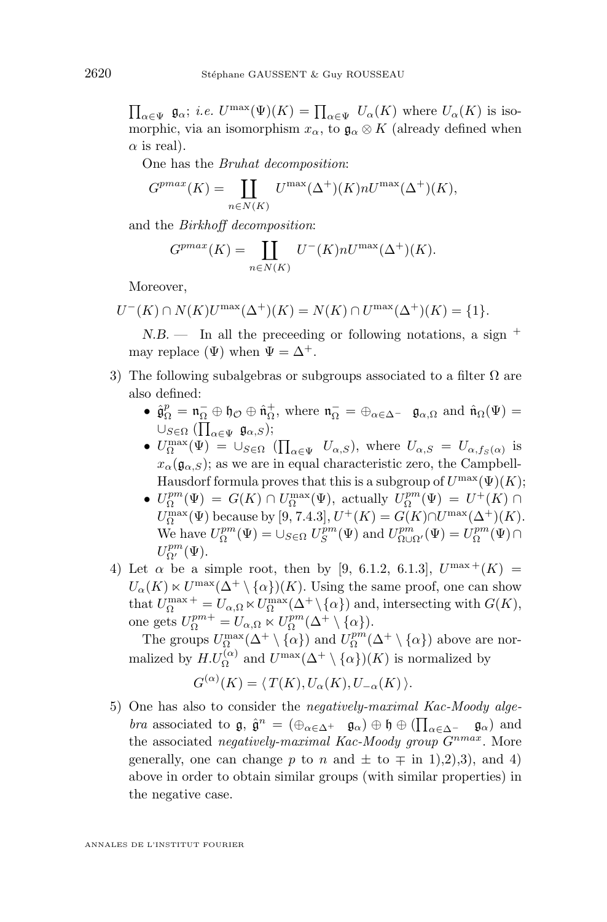$\prod_{\alpha\in\Psi} \mathfrak{g}_{\alpha}$ ; *i.e.*  $U^{\max}(\Psi)(K) = \prod_{\alpha\in\Psi} U_{\alpha}(K)$  where  $U_{\alpha}(K)$  is isomorphic, via an isomorphism  $x_{\alpha}$ , to  $\mathfrak{g}_{\alpha} \otimes K$  (already defined when  $\alpha$  is real).

One has the *Bruhat decomposition*:

$$
G^{pmax}(K) = \coprod_{n \in N(K)} U^{\max}(\Delta^+)(K) n U^{\max}(\Delta^+)(K),
$$

and the *Birkhoff decomposition*:

$$
G^{pmax}(K) = \coprod_{n \in N(K)} U^-(K) n U^{\max}(\Delta^+)(K).
$$

Moreover,

 $U^-(K) \cap N(K)U^{\max}(\Delta^+)(K) = N(K) \cap U^{\max}(\Delta^+)(K) = \{1\}.$ 

*N.B.* — In all the preceeding or following notations, a sign  $^+$ may replace ( $\Psi$ ) when  $\Psi = \Delta^+$ .

- 3) The following subalgebras or subgroups associated to a filter  $\Omega$  are also defined:
	- $\hat{\mathfrak{g}}_{\Omega}^p = \mathfrak{n}_{\Omega}^- \oplus \mathfrak{h}_{\mathcal{O}} \oplus \hat{\mathfrak{n}}_{\Omega}^+$ , where  $\mathfrak{n}_{\Omega}^- = \oplus_{\alpha \in \Delta^-} \mathfrak{g}_{\alpha,\Omega}$  and  $\hat{\mathfrak{n}}_{\Omega}(\Psi) =$  $\cup_{S \in \Omega} (\prod_{\alpha \in \Psi} \mathfrak{g}_{\alpha,S});$
	- $U_{\Omega}^{\max}(\Psi) = \cup_{S \in \Omega} (\prod_{\alpha \in \Psi} U_{\alpha,S})$ , where  $U_{\alpha,S} = U_{\alpha,fs(\alpha)}$  is  $x_{\alpha}(\mathfrak{g}_{\alpha,S})$ ; as we are in equal characteristic zero, the Campbell-Hausdorf formula proves that this is a subgroup of  $U^{\max}(\Psi)(K);$
	- $U_{\Omega}^{pm}(\Psi) = G(K) \cap U_{\Omega}^{\max}(\Psi)$ , actually  $U_{\Omega}^{pm}(\Psi) = U^+(K) \cap$  $U_{\Omega}^{\max}(\Psi)$  because by [\[9,](#page-53-0) 7.4.3],  $U^{+}(K) = G(K) \cap U^{\max}(\Delta^{+})(K)$ . We have  $U_{\Omega}^{pm}(\Psi) = \cup_{S \in \Omega} U_S^{pm}(\Psi)$  and  $U_{\Omega \cup \Omega'}^{pm}(\Psi) = U_{\Omega}^{pm}(\Psi) \cap$  $U_{\Omega'}^{pm}(\Psi).$
- 4) Let  $\alpha$  be a simple root, then by [\[9,](#page-53-0) 6.1.2, 6.1.3],  $U^{\max +}(K) =$  $U_{\alpha}(K) \ltimes U^{\max}(\Delta^+ \setminus {\{\alpha\}})(K)$ . Using the same proof, one can show that  $U_{\Omega}^{\max}{}^+ = U_{\alpha,\Omega} \ltimes U_{\Omega}^{\max}(\Delta^+ \setminus {\alpha})$  and, intersecting with  $G(K)$ , one gets  $U_{\Omega}^{pm+} = U_{\alpha,\Omega} \ltimes U_{\Omega}^{pm}(\Delta^+ \setminus {\{\alpha\}}).$

The groups  $U^{\max}_{\Omega}(\Delta^+\setminus\{\alpha\})$  and  $U^{pm}_{\Omega}(\Delta^+\setminus\{\alpha\})$  above are normalized by  $H.U_\Omega^{(\alpha)}$  and  $U^{\max}(\Delta^+ \setminus {\alpha})$  (K) is normalized by

$$
G^{(\alpha)}(K) = \langle T(K), U_{\alpha}(K), U_{-\alpha}(K) \rangle.
$$

5) One has also to consider the *negatively-maximal Kac-Moody algebra* associated to  $\mathfrak{g}$ ,  $\hat{\mathfrak{g}}^n = (\bigoplus_{\alpha \in \Delta^+} \mathfrak{g}_{\alpha}) \oplus \mathfrak{h} \oplus (\prod_{\alpha \in \Delta^-} \mathfrak{g}_{\alpha})$  and the associated *negatively-maximal Kac-Moody group*  $G^{nmax}$ . More generally, one can change p to n and  $\pm$  to  $\mp$  in 1),2),3), and 4) above in order to obtain similar groups (with similar properties) in the negative case.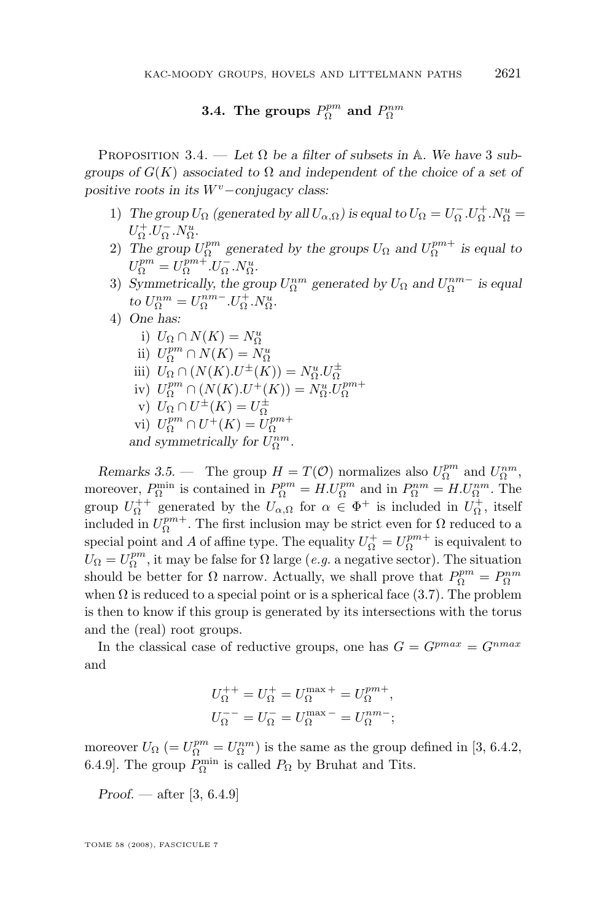# **3.4.** The groups  $P_{\Omega}^{pm}$  and  $P_{\Omega}^{nm}$

<span id="page-17-0"></span>PROPOSITION 3.4. — Let  $\Omega$  be a filter of subsets in A. We have 3 sub*groups of* G(K) *associated to* Ω *and independent of the choice of a set of positive roots in its*  $W^v$ −*conjugacy class:* 

- 1) *The group*  $U_{\Omega}$  (generated by all  $U_{\alpha,\Omega}$ ) is equal to  $U_{\Omega} = U_{\Omega}^- \cdot U_{\Omega}^+ \cdot N_{\Omega}^u =$  $U_{\Omega}^{\dagger}.U_{\Omega}^{\dagger}.N_{\Omega}^{u}.$
- 2) The group  $U_{\Omega}^{pm}$  generated by the groups  $U_{\Omega}$  and  $U_{\Omega}^{pm+}$  is equal to  $U_{\Omega}^{pm} = U_{\Omega}^{pm+}.U_{\Omega}^{-}.N_{\Omega}^{u}.$
- 3) *Symmetrically, the group*  $U_{\Omega}^{nm}$  generated by  $U_{\Omega}$  and  $U_{\Omega}^{nm-}$  is equal *to*  $U_{\Omega}^{nm} = U_{\Omega}^{nm-}.U_{\Omega}^{+}.N_{\Omega}^{u}$ .
- 4) *One has:*
	- i)  $U_{\Omega} \cap N(K) = N_O^u$
	- ii)  $U_{\Omega}^{pm} \cap N(K) = N_{\Omega}^{u}$
	- iii)  $U_{\Omega} \cap (N(K) \cdot U^{\pm}(K)) = N_{\Omega}^u \cdot U_{\Omega}^{\pm}$
	- iv)  $U_{\Omega}^{pm} \cap (N(K).U^{+}(K)) = N_{\Omega}^{0} \cdot U_{\Omega}^{pm+}$
	-
	- v)  $U_{\Omega} \cap U^{\pm}(K) = U_{\Omega}^{\pm}$ <br>vi)  $U_{\Omega}^{pm} \cap U^{+}(K) = U_{\Omega}^{pm+}$

and symmetrically for  $U_{\Omega}^{nm}$ .

*Remarks 3.5.* — The group  $H = T(\mathcal{O})$  normalizes also  $U_{\Omega}^{pm}$  and  $U_{\Omega}^{nm}$ , moreover,  $P_{\Omega}^{\min}$  is contained in  $P_{\Omega}^{pm} = H.U_{\Omega}^{pm}$  and in  $P_{\Omega}^{nm} = H.U_{\Omega}^{nm}$ . The group  $U_{\Omega}^{++}$  generated by the  $U_{\alpha,\Omega}$  for  $\alpha \in \Phi^+$  is included in  $U_{\Omega}^+$ , itself included in  $U_{\Omega}^{pm+}$ . The first inclusion may be strict even for  $\Omega$  reduced to a special point and A of affine type. The equality  $U_{\Omega}^{+} = U_{\Omega}^{pm+}$  is equivalent to  $U_{\Omega} = U_{\Omega}^{pm}$ , it may be false for  $\Omega$  large (*e.g.* a negative sector). The situation should be better for  $\Omega$  narrow. Actually, we shall prove that  $P_{\Omega}^{pm} = P_{\Omega}^{nm}$ when  $\Omega$  is reduced to a special point or is a spherical face [\(3.7\)](#page-21-0). The problem is then to know if this group is generated by its intersections with the torus and the (real) root groups.

In the classical case of reductive groups, one has  $G = G^{pmax} = G^{nmax}$ and

$$
\begin{aligned} U^{++}_\Omega &= U^{+}_\Omega = U^{ \max}_\Omega + = U^{pm}_\Omega, \\ U^{--}_\Omega &= U^{-}_\Omega = U^{ \max}_\Omega - = U^{nm}_\Omega; \end{aligned}
$$

moreover  $U_{\Omega}$  (=  $U_{\Omega}^{pm} = U_{\Omega}^{nm}$ ) is the same as the group defined in [\[3,](#page-52-0) 6.4.2, 6.4.9]. The group  $P_{\Omega}^{\min}$  is called  $P_{\Omega}$  by Bruhat and Tits.

*Proof. —* after [\[3,](#page-52-0) 6.4.9]

TOME 58 (2008), FASCICULE 7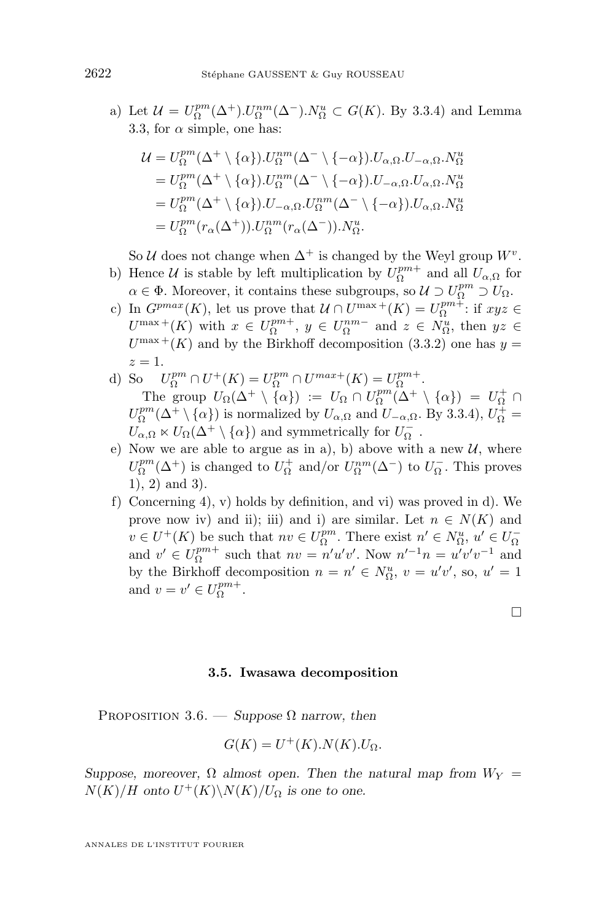<span id="page-18-0"></span>a) Let  $\mathcal{U} = U_{\Omega}^{pm}(\Delta^+).U_{\Omega}^{nm}(\Delta^-).N_{\Omega}^u \subset G(K).$  By [3.3.](#page-15-0)4) and Lemma [3.3,](#page-14-0) for  $\alpha$  simple, one has:

$$
\mathcal{U} = U_{\Omega}^{pm}(\Delta^{+} \setminus {\alpha}) \cdot U_{\Omega}^{nm}(\Delta^{-} \setminus {\{-\alpha\}}) \cdot U_{\alpha,\Omega} \cdot U_{-\alpha,\Omega} \cdot N_{\Omega}^{u}
$$
\n
$$
= U_{\Omega}^{pm}(\Delta^{+} \setminus {\{\alpha\}}) \cdot U_{\Omega}^{nm}(\Delta^{-} \setminus {\{-\alpha\}}) \cdot U_{-\alpha,\Omega} \cdot U_{\alpha,\Omega} \cdot N_{\Omega}^{u}
$$
\n
$$
= U_{\Omega}^{pm}(\Delta^{+} \setminus {\{\alpha\}}) \cdot U_{-\alpha,\Omega} \cdot U_{\Omega}^{nm}(\Delta^{-} \setminus {\{-\alpha\}}) \cdot U_{\alpha,\Omega} \cdot N_{\Omega}^{u}
$$
\n
$$
= U_{\Omega}^{pm}(r_{\alpha}(\Delta^{+})) \cdot U_{\Omega}^{nm}(r_{\alpha}(\Delta^{-})) \cdot N_{\Omega}^{u}.
$$

So U does not change when  $\Delta^+$  is changed by the Weyl group  $W^v$ .

- b) Hence  $\mathcal U$  is stable by left multiplication by  $U_{\Omega}^{pm+}$  and all  $U_{\alpha,\Omega}$  for  $\alpha \in \Phi$ . Moreover, it contains these subgroups, so  $\mathcal{U} \supset U_{\Omega}^{pm} \supset U_{\Omega}$ .
- c) In  $G^{pmax}(K)$ , let us prove that  $\mathcal{U} \cap U^{max+}(K) = U_Q^{pm+}$ : if  $xyz \in$  $U^{\max}$  +  $(K)$  with  $x \in U_{\Omega}^{pm+}$ ,  $y \in U_{\Omega}^{nm-}$  and  $z \in N_{\Omega}^{u}$ , then  $yz \in$  $U^{\max +}(K)$  and by the Birkhoff decomposition [\(3.3.](#page-15-0)2) one has  $y =$  $z=1$ .
- d) So  $U_{\Omega}^{pm} \cap U^+(K) = U_{\Omega}^{pm} \cap U^{max+}(K) = U_{\Omega}^{pm+}.$ The group  $U_{\Omega}(\Delta^+ \setminus \{\alpha\}) := U_{\Omega} \cap U_{\Omega}^{pm}(\Delta^+ \setminus \{\alpha\}) = U_{\Omega}^+ \cap$  $U_{\Omega}^{pm}(\Delta^+\setminus\{\alpha\})$  is normalized by  $U_{\alpha,\Omega}$  and  $U_{-\alpha,\Omega}$ . By [3.3.](#page-15-0)4),  $U_{\Omega}^+$  =  $U_{\alpha,\Omega}\ltimes U_\Omega(\Delta^+\setminus\{\alpha\})$  and symmetrically for  $U_\Omega^-$  .
- e) Now we are able to argue as in a), b) above with a new  $U$ , where  $U_{\Omega}^{pm}(\Delta^{+})$  is changed to  $U_{\Omega}^{+}$  and/or  $U_{\Omega}^{nm}(\Delta^{-})$  to  $U_{\Omega}^{-}$ . This proves 1), 2) and 3).
- f) Concerning 4), v) holds by definition, and vi) was proved in d). We prove now iv) and ii); iii) and i) are similar. Let  $n \in N(K)$  and  $v \in U^+(K)$  be such that  $nv \in U^{pm}_{\Omega}$ . There exist  $n' \in N^u_{\Omega}$ ,  $u' \in U^{-}_{\Omega}$ and  $v' \in U_{\Omega}^{pm+}$  such that  $nv = n'u'v'$ . Now  $n'^{-1}n = u'v'v^{-1}$  and by the Birkhoff decomposition  $n = n' \in N^u_{\Omega}$ ,  $v = u'v'$ , so,  $u' = 1$ and  $v = v' \in U_{\Omega}^{pm+}$ .

 $\Box$ 

#### **3.5. Iwasawa decomposition**

PROPOSITION 3.6. — *Suppose*  $\Omega$  *narrow, then* 

$$
G(K) = U^+(K).N(K).U_{\Omega}.
$$

*Suppose, moreover,*  $\Omega$  *almost open. Then the natural map from*  $W_Y$  =  $N(K)/H$  onto  $U^+(K)\backslash N(K)/U_{\Omega}$  is one to one.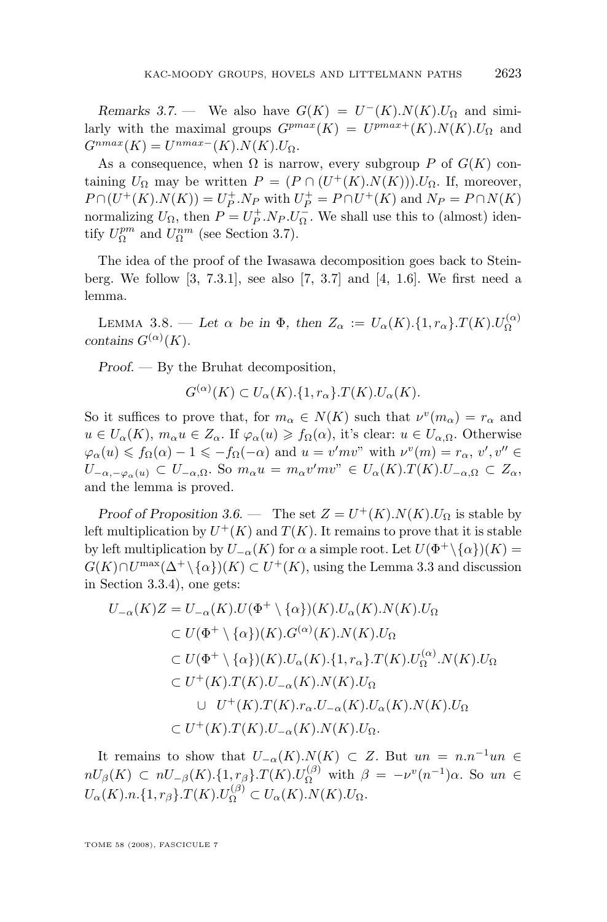*Remarks 3.7.* — We also have  $G(K) = U^-(K) \cdot N(K) \cdot U_{\Omega}$  and similarly with the maximal groups  $G^{pmax}(K) = U^{pmax+}(K) \cdot N(K) \cdot U_{\Omega}$  and  $G^{nmax}(K) = U^{nmax-}(K) \cdot N(K) \cdot U_{\Omega}.$ 

As a consequence, when  $\Omega$  is narrow, every subgroup P of  $G(K)$  containing  $U_{\Omega}$  may be written  $P = (P \cap (U^+(K).N(K))) \cup_{\Omega}$ . If, moreover,  $P \cap (U^+(K) \cdot N(K)) = U_P^+ \cdot N_P$  with  $U_P^+ = P \cap U^+(K)$  and  $N_P = P \cap N(K)$ normalizing  $U_{\Omega}$ , then  $P = U_P^+ N_P U_{\Omega}^-$ . We shall use this to (almost) identify  $U_{\Omega}^{pm}$  and  $U_{\Omega}^{nm}$  (see Section [3.7\)](#page-21-0).

The idea of the proof of the Iwasawa decomposition goes back to Steinberg. We follow [\[3,](#page-52-0) 7.3.1], see also [\[7,](#page-53-0) 3.7] and [\[4,](#page-52-0) 1.6]. We first need a lemma.

LEMMA 3.8. — Let  $\alpha$  be in  $\Phi$ , then  $Z_{\alpha} := U_{\alpha}(K) \cdot \{1, r_{\alpha}\} \cdot T(K) \cdot U_{\Omega}^{(\alpha)}$ *contains*  $G^{(\alpha)}(K)$ *.* 

*Proof. —* By the Bruhat decomposition,

$$
G^{(\alpha)}(K) \subset U_{\alpha}(K) \cdot \{1, r_{\alpha}\} \cdot T(K) \cdot U_{\alpha}(K).
$$

So it suffices to prove that, for  $m_{\alpha} \in N(K)$  such that  $\nu^v(m_{\alpha}) = r_{\alpha}$  and  $u \in U_{\alpha}(K)$ ,  $m_{\alpha}u \in Z_{\alpha}$ . If  $\varphi_{\alpha}(u) \geq f_{\Omega}(\alpha)$ , it's clear:  $u \in U_{\alpha,\Omega}$ . Otherwise  $\varphi_{\alpha}(u) \leqslant f_{\Omega}(\alpha) - 1 \leqslant -f_{\Omega}(-\alpha)$  and  $u = v'mv''$  with  $\nu^{v}(m) = r_{\alpha}, v', v'' \in$  $U_{-\alpha,-\varphi_\alpha(u)} \subset U_{-\alpha,\Omega}$ . So  $m_\alpha u = m_\alpha v' m v^{\gamma} \in U_\alpha(K) \cdot T(K) \cdot U_{-\alpha,\Omega} \subset Z_\alpha$ , and the lemma is proved.

*Proof of Proposition* [3.6.](#page-18-0) — The set  $Z = U^+(K)$ . $N(K)$ . $U_{\Omega}$  is stable by left multiplication by  $U^+(K)$  and  $T(K)$ . It remains to prove that it is stable by left multiplication by  $U_{-\alpha}(K)$  for  $\alpha$  a simple root. Let  $U(\Phi^+\backslash {\{\alpha\}})(K) =$  $G(K) \cap U^{\max}(\Delta^+ \setminus {\{\alpha\}})(K) \subset U^+(K)$ , using the Lemma [3.3](#page-14-0) and discussion in Section [3.3.](#page-15-0)4), one gets:

$$
U_{-\alpha}(K)Z = U_{-\alpha}(K).U(\Phi^+ \setminus {\alpha})|(K).U_{\alpha}(K).N(K).U_{\Omega}
$$
  
\n
$$
\subset U(\Phi^+ \setminus {\alpha})|(K).G^{(\alpha)}(K).N(K).U_{\Omega}
$$
  
\n
$$
\subset U(\Phi^+ \setminus {\alpha})|(K).U_{\alpha}(K).{\{1, r_{\alpha}\}}.T(K).U_{\Omega}^{(\alpha)}.N(K).U_{\Omega}
$$
  
\n
$$
\subset U^+(K).T(K).U_{-\alpha}(K).N(K).U_{\alpha}(K).N(K).U_{\Omega}
$$
  
\n
$$
\subset U^+(K).T(K).U_{-\alpha}(K).N(K).U_{\Omega}.
$$

It remains to show that  $U_{-\alpha}(K) \cdot N(K) \subset Z$ . But  $un = n \cdot n^{-1}un \in$  $nU_\beta(K) \subset nU_{-\beta}(K)$ . {1,  $r_\beta$ }.  $T(K)$ .  $U_{\Omega}^{(\beta)}$  with  $\beta = -\nu^v(n^{-1})\alpha$ . So  $un \in$  $U_{\alpha}(K) \cdot n. \{1, r_{\beta}\}\cdot T(K) \cdot U_{\Omega}^{(\beta)} \subset U_{\alpha}(K) \cdot N(K) \cdot U_{\Omega}.$ 

TOME 58 (2008), FASCICULE 7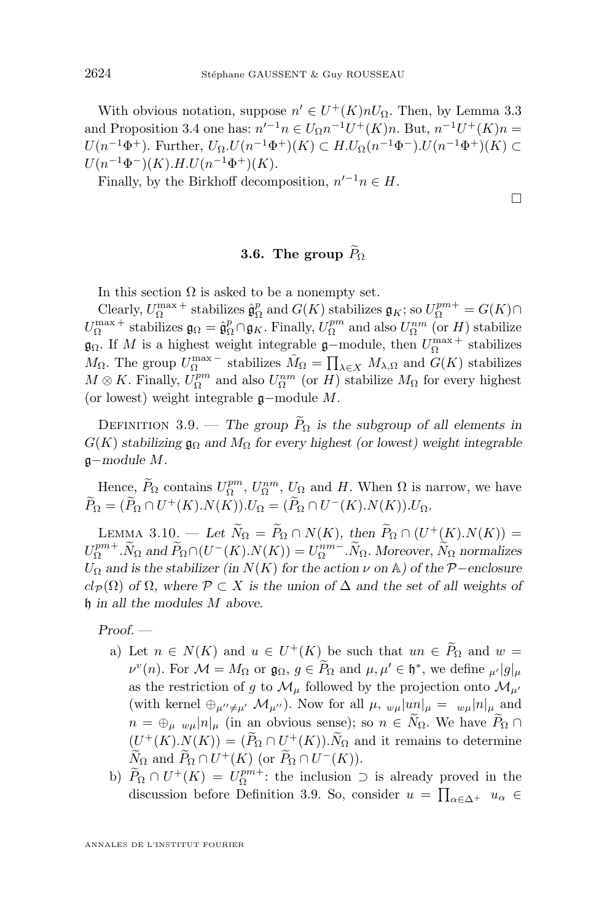<span id="page-20-0"></span>With obvious notation, suppose  $n' \in U^+(K)nU_{\Omega}$ . Then, by Lemma [3.3](#page-14-0) and Proposition [3.4](#page-17-0) one has:  $n'^{-1}n \in U_{\Omega}n^{-1}U^{+}(K)n$ . But,  $n^{-1}U^{+}(K)n$  $U(n^{-1}\Phi^+)$ . Further,  $U_{\Omega}$ ,  $U(n^{-1}\Phi^+)(K)$  ⊂  $H$ . $U_{\Omega}(n^{-1}\Phi^-)$ . $U(n^{-1}\Phi^+)(K)$  ⊂  $U(n^{-1}\Phi^{-})(K)$ .H. $U(n^{-1}\Phi^{+})(K)$ .

Finally, by the Birkhoff decomposition,  $n'^{-1}n \in H$ .

 $\Box$ 

# **3.6.** The group  $\widetilde{P}_{\Omega}$

In this section  $\Omega$  is asked to be a nonempty set.

Clearly,  $U_{\Omega}^{\max}$  + stabilizes  $\hat{\mathfrak{g}}_{\Omega}^p$  and  $G(K)$  stabilizes  $\mathfrak{g}_K$ ; so  $U_{\Omega}^{pm} = G(K) \cap$  $U_{\Omega}^{\max}$  + stabilizes  $\mathfrak{g}_{\Omega} = \hat{\mathfrak{g}}_{\Omega}^p \cap \mathfrak{g}_K$ . Finally,  $U_{\Omega}^{pm}$  and also  $U_{\Omega}^{nm}$  (or H) stabilize  $\mathfrak{g}_{\Omega}$ . If M is a highest weight integrable  $\mathfrak{g}-$ module, then  $U_{\Omega}^{\max +}$  stabilizes  $M_{\Omega}$ . The group  $U_{\Omega}^{\max}$  – stabilizes  $\hat{M}_{\Omega} = \prod_{\lambda \in X} M_{\lambda, \Omega}$  and  $G(K)$  stabilizes  $M \otimes K$ . Finally,  $U_{\Omega}^{pm}$  and also  $U_{\Omega}^{nm}$  (or  $H$ ) stabilize  $M_{\Omega}$  for every highest (or lowest) weight integrable g−module M.

DEFINITION 3.9. — *The group*  $\widetilde{P}_{\Omega}$  *is the subgroup of all elements in*  $G(K)$  *stabilizing*  $\mathfrak{g}_{\Omega}$  *and*  $M_{\Omega}$  *for every highest (or lowest)* weight integrable g−*module* M*.*

Hence,  $\widetilde{P}_{\Omega}$  contains  $U_{\Omega}^{pm}$ ,  $U_{\Omega}^{nm}$ ,  $U_{\Omega}$  and H. When  $\Omega$  is narrow, we have  $\hat{P}_{\Omega} = (\hat{P}_{\Omega} \cap U^+(K).N(K)).U_{\Omega} = (\hat{P}_{\Omega} \cap U^-(K).N(K)).U_{\Omega}.$ 

LEMMA 3.10. — *Let*  $\widetilde{N}_{\Omega} = \widetilde{P}_{\Omega} \cap N(K)$ , then  $\widetilde{P}_{\Omega} \cap (U^+(K) \cdot N(K)) =$  $U_{\Omega}^{pm+}$ .  $\widetilde{N}_{\Omega}$  and  $\widetilde{P}_{\Omega} \cap (U^{-}(K)$ .  $N(K)) = U_{\Omega}^{nm-}$ .  $\widetilde{N}_{\Omega}$ . Moreover,  $\widetilde{N}_{\Omega}$  normalizes  $U_{\Omega}$  *and is the stabilizer (in*  $N(K)$  *for the action*  $\nu$  *on* A*) of the* P−*enclosure*  $cl_{\mathcal{P}}(\Omega)$  *of*  $\Omega$ *, where*  $\mathcal{P} \subset X$  *is the union of*  $\Delta$  *and the set of all weights of* h *in all the modules* M *above.*

*Proof. —*

- a) Let  $n \in N(K)$  and  $u \in U^+(K)$  be such that  $un \in P_{\Omega}$  and  $w =$  $\nu^v(n)$ . For  $\mathcal{M} = M_{\Omega}$  or  $\mathfrak{g}_{\Omega}, g \in \widetilde{P}_{\Omega}$  and  $\mu, \mu' \in \mathfrak{h}^*$ , we define  $\mu' |g|_{\mu}$ as the restriction of g to  $\mathcal{M}_{\mu}$  followed by the projection onto  $\mathcal{M}_{\mu'}$ (with kernel  $\oplus_{\mu''\neq\mu'}$   $\mathcal{M}_{\mu''}$ ). Now for all  $\mu$ ,  $w_{\mu}|un|_{\mu} = w_{\mu}|n|_{\mu}$  and  $n = \bigoplus_{\mu \in \mathcal{W}} |\mu|_{\mu}$  (in an obvious sense); so  $n \in \overline{N}_{\Omega}$ . We have  $\overline{P}_{\Omega} \cap$  $(U^+(K) \cdot N(K)) = (\tilde{P}_{\Omega} \cap U^+(K)).\tilde{N}_{\Omega}$  and it remains to determine  $\widetilde{N}_{\Omega}$  and  $\widetilde{P}_{\Omega} \cap U^+(K)$  (or  $\widetilde{P}_{\Omega} \cap U^-(K)$ ).
- b)  $\widetilde{P}_{\Omega} \cap U^+(K) = U_{\Omega}^{pm+}$ : the inclusion ⊃ is already proved in the discussion before Definition 3.9. So, consider  $u = \prod_{\alpha \in \Delta^+} u_{\alpha} \in$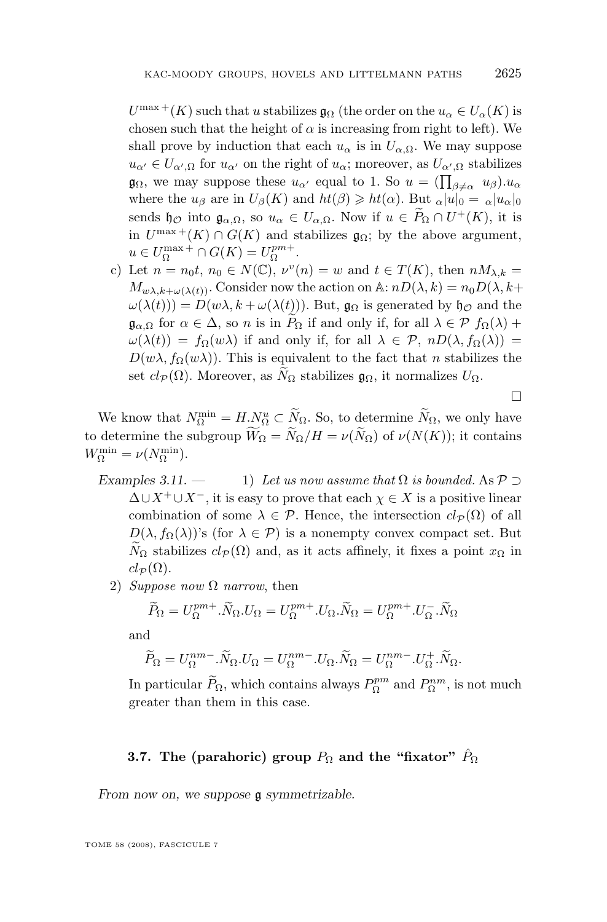<span id="page-21-0"></span> $U^{\max}$  + (K) such that u stabilizes  $\mathfrak{g}_{\Omega}$  (the order on the  $u_{\alpha} \in U_{\alpha}(K)$  is chosen such that the height of  $\alpha$  is increasing from right to left). We shall prove by induction that each  $u_{\alpha}$  is in  $U_{\alpha,\Omega}$ . We may suppose  $u_{\alpha'} \in U_{\alpha',\Omega}$  for  $u_{\alpha'}$  on the right of  $u_{\alpha}$ ; moreover, as  $U_{\alpha',\Omega}$  stabilizes  $\mathfrak{g}_{\Omega}$ , we may suppose these  $u_{\alpha'}$  equal to 1. So  $u = (\prod_{\beta \neq \alpha} u_{\beta}) u_{\alpha}$ where the  $u_{\beta}$  are in  $U_{\beta}(K)$  and  $ht(\beta) \geqslant ht(\alpha)$ . But  $\alpha|u|_0 = \alpha|u_{\alpha}|_0$ sends  $\mathfrak{h}_{\mathcal{O}}$  into  $\mathfrak{g}_{\alpha,\Omega}$ , so  $u_{\alpha} \in U_{\alpha,\Omega}$ . Now if  $u \in P_{\Omega} \cap U^+(K)$ , it is in  $U^{\max}+(K) \cap G(K)$  and stabilizes  $\mathfrak{g}_{\Omega}$ ; by the above argument,  $u \in U_{\Omega}^{\max} + \cap G(K) = U_{\Omega}^{pm+}.$ 

c) Let  $n = n_0 t$ ,  $n_0 \in N(\mathbb{C})$ ,  $\nu^v(n) = w$  and  $t \in T(K)$ , then  $nM_{\lambda,k} =$  $M_{w\lambda,k+\omega(\lambda(t))}$ . Consider now the action on A:  $nD(\lambda,k) = n_0D(\lambda,k+$  $\omega(\lambda(t)) = D(w\lambda, k + \omega(\lambda(t)))$ . But,  $\mathfrak{g}_{\Omega}$  is generated by  $\mathfrak{h}_{\mathcal{O}}$  and the  $\mathfrak{g}_{\alpha,\Omega}$  for  $\alpha \in \Delta$ , so n is in  $P_{\Omega}$  if and only if, for all  $\lambda \in \mathcal{P}$   $f_{\Omega}(\lambda)$  +  $\omega(\lambda(t)) = f_{\Omega}(w\lambda)$  if and only if, for all  $\lambda \in \mathcal{P}$ ,  $nD(\lambda, f_{\Omega}(\lambda)) =$  $D(w\lambda, f_{\Omega}(w\lambda))$ . This is equivalent to the fact that n stabilizes the set  $cl_{\mathcal{P}}(\Omega)$ . Moreover, as  $N_{\Omega}$  stabilizes  $\mathfrak{g}_{\Omega}$ , it normalizes  $U_{\Omega}$ .

 $\Box$ 

We know that  $N_{\Omega}^{\min} = H_{\Omega}^N \subset N_{\Omega}$ . So, to determine  $N_{\Omega}$ , we only have to determine the subgroup  $\widetilde{W}_{\Omega} = \widetilde{N}_{\Omega}/H = \nu(\widetilde{N}_{\Omega})$  of  $\nu(N(K))$ ; it contains  $W_{\Omega}^{\min} = \nu(N_{\Omega}^{\min}).$ 

- *Examples 3.11.* 1) *Let us now assume that*  $\Omega$  *is bounded.* As  $P \supset$  $\Delta \cup X^+ \cup X^-$ , it is easy to prove that each  $\chi \in X$  is a positive linear combination of some  $\lambda \in \mathcal{P}$ . Hence, the intersection  $cl_{\mathcal{P}}(\Omega)$  of all  $D(\lambda, f_{\Omega}(\lambda))$ 's (for  $\lambda \in \mathcal{P}$ ) is a nonempty convex compact set. But  $N_{\Omega}$  stabilizes  $cl_{\mathcal{P}}(\Omega)$  and, as it acts affinely, it fixes a point  $x_{\Omega}$  in  $cl_{\mathcal{P}}(\Omega)$ .
	- 2) *Suppose now* Ω *narrow*, then

$$
\widetilde{P}_{\Omega} = U_{\Omega}^{pm+}.\widetilde{N}_{\Omega}.U_{\Omega} = U_{\Omega}^{pm+}.\widetilde{U}_{\Omega}.\widetilde{N}_{\Omega} = U_{\Omega}^{pm+}.\widetilde{U}_{\Omega}.\widetilde{N}_{\Omega}
$$

and

$$
\widetilde{P}_{\Omega} = U_{\Omega}^{nm-} \cdot \widetilde{N}_{\Omega} \cdot U_{\Omega} = U_{\Omega}^{nm-} \cdot U_{\Omega} \cdot \widetilde{N}_{\Omega} = U_{\Omega}^{nm-} \cdot U_{\Omega}^{+} \cdot \widetilde{N}_{\Omega}.
$$

In particular  $\widetilde{P}_{\Omega}$ , which contains always  $P_{\Omega}^{pm}$  and  $P_{\Omega}^{nm}$ , is not much greater than them in this case.

## **3.7.** The (parahoric) group  $P_{\Omega}$  and the "fixator"  $\hat{P}_{\Omega}$

*From now on, we suppose* g *symmetrizable.*

TOME 58 (2008), FASCICULE 7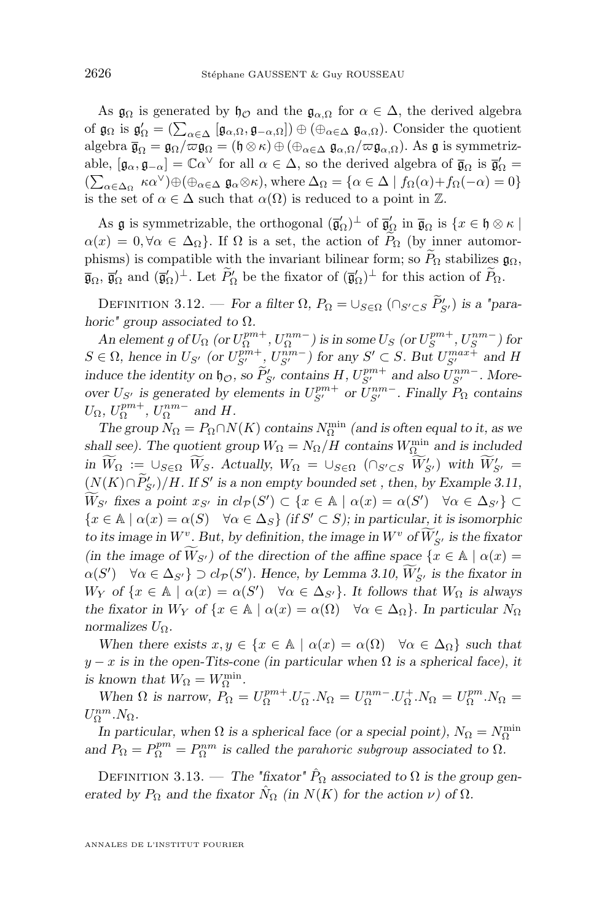<span id="page-22-0"></span>As  $\mathfrak{g}_{\Omega}$  is generated by  $\mathfrak{h}_{\mathcal{O}}$  and the  $\mathfrak{g}_{\alpha,\Omega}$  for  $\alpha \in \Delta$ , the derived algebra of  $\mathfrak{g}_{\Omega}$  is  $\mathfrak{g}'_{\Omega} = (\sum_{\alpha \in \Delta} [\mathfrak{g}_{\alpha,\Omega}, \mathfrak{g}_{-\alpha,\Omega}] \oplus (\oplus_{\alpha \in \Delta} \mathfrak{g}_{\alpha,\Omega}).$  Consider the quotient algebra  $\overline{\mathfrak{g}_{\Omega}} = \mathfrak{g}_{\Omega}/\overline{\omega} \overline{\mathfrak{g}_{\Omega}} = (\mathfrak{h} \otimes \kappa) \oplus (\oplus_{\alpha \in \Delta} \mathfrak{g}_{\alpha,\Omega}/\overline{\omega} \mathfrak{g}_{\alpha,\Omega}).$  As  $\mathfrak{g}$  is symmetrizable,  $[\mathfrak{g}_{\alpha}, \mathfrak{g}_{-\alpha}] = \mathbb{C}\alpha^{\vee}$  for all  $\alpha \in \Delta$ , so the derived algebra of  $\overline{\mathfrak{g}}_{\Omega}$  is  $\overline{\mathfrak{g}}'_{\Omega} =$  $(\sum_{\alpha \in \Delta_{\Omega}} \kappa \alpha^{\vee}) \oplus (\bigoplus_{\alpha \in \Delta} \mathfrak{g}_{\alpha} \otimes \kappa)$ , where  $\Delta_{\Omega} = {\alpha \in \Delta \mid f_{\Omega}(\alpha) + f_{\Omega}(-\alpha) = 0}$ is the set of  $\alpha \in \Delta$  such that  $\alpha(\Omega)$  is reduced to a point in  $\mathbb{Z}$ .

As  $\mathfrak g$  is symmetrizable, the orthogonal  $(\overline{\mathfrak g}_\Omega')^\perp$  of  $\overline{\mathfrak g}_\Omega'$  in  $\overline{\mathfrak g}_\Omega$  is  $\{x \in \mathfrak h \otimes \kappa \mid \Omega\}$  $\alpha(x) = 0, \forall \alpha \in \Delta_{\Omega}$ . If  $\Omega$  is a set, the action of  $\widetilde{P}_{\Omega}$  (by inner automorphisms) is compatible with the invariant bilinear form; so  $\widetilde{P}_{\Omega}$  stabilizes  $\mathfrak{g}_{\Omega}$ ,  $\overline{\mathfrak{g}}_{\Omega}, \overline{\mathfrak{g}}'_{\Omega}$  and  $(\overline{\mathfrak{g}}'_{\Omega})^{\perp}$ . Let  $\widetilde{P}'_{\Omega}$  be the fixator of  $(\overline{\mathfrak{g}}'_{\Omega})^{\perp}$  for this action of  $\widetilde{P}_{\Omega}$ .

DEFINITION 3.12. — *For a filter*  $\Omega$ ,  $P_{\Omega} = \bigcup_{S \in \Omega} (\bigcap_{S' \subset S} \widetilde{P}'_{S'})$  *is a "parahoric" group associated to* Ω*.*

*An element g of*  $U_{\Omega}$  *(or*  $U_{\Omega}^{pm+}$ *,*  $U_{\Omega}^{nm-}$ *) is in some*  $U_S$  *(or*  $U_S^{pm+}$ *,*  $U_S^{nm-}$ *) for*  $S \in \Omega$ , hence in  $U_{S'}$  (or  $U_{S'}^{pm+}$ ,  $U_{S'}^{nm-}$ ) for any  $S' \subset S$ . But  $U_{S'}^{max+}$  and H *induce the identity on*  $\mathfrak{h}_{\mathcal{O}}$ *, so*  $\widetilde{P}_{S'}^{\prime}$  *contains*  $H, U_{S'}^{pm+}$  *and also*  $U_{S'}^{nm-}$ *. Moreover*  $U_{S'}$  *is generated by elements in*  $U_{S'}^{pm}$  *or*  $U_{S'}^{nm}$ *. Finally*  $P_{\Omega}$  *contains*  $U_{\Omega}$ *,*  $U_{\Omega}^{pm+}$ *,*  $U_{\Omega}^{nm-}$  and H.

*The group*  $N_{\Omega} = P_{\Omega} \cap N(K)$  *contains*  $N_{\Omega}^{\min}$  *(and is often equal to it, as we shall see). The quotient group*  $W_{\Omega} = N_{\Omega}/H$  *contains*  $W_{\Omega}^{\min}$  *and is included*  $\lim_{\Omega} W_{\Omega} := \bigcup_{S \in \Omega} W_S$ . Actually,  $W_{\Omega} = \bigcup_{S \in \Omega} (\bigcap_{S' \subset S} W'_{S'})$  with  $W'_{S'} =$  $(N(K) \cap P_{S'})/H$ . If S' is a non empty bounded set, then, by Example [3.11,](#page-21-0)  $\widetilde{W}_{S}$ <sup>*f*</sup> fixes a point  $x_{S}$ <sup>*i*</sup> in  $cl_{\mathcal{P}}(S') \subset \{x \in \mathbb{A} \mid \alpha(x) = \alpha(S') \quad \forall \alpha \in \Delta_{S'}\} \subset$  ${x \in \mathbb{A} \mid \alpha(x) = \alpha(S) \quad \forall \alpha \in \Delta_S}$  *(if*  $S' \subset S$ *); in particular, it is isomorphic to its image in*  $W^v$ . But, by definition, the image in  $W^v$  of  $W'_{S'}$  is the fixator  $(in the image of W_{S'})$  *of the direction of the affine space*  $\{x \in A \mid \alpha(x) = a\}$  $\alpha(S') \quad \forall \alpha \in \Delta_{S'}\} \supset cl_{\mathcal{P}}(S')$ . Hence, by Lemma [3.10,](#page-20-0)  $W'_{S'}$  is the fixator in  $W_Y$  *of*  $\{x \in \mathbb{A} \mid \alpha(x) = \alpha(S') \quad \forall \alpha \in \Delta_{S'}\}$ . It follows that  $W_{\Omega}$  is always *the fixator in*  $W_Y$  *of*  $\{x \in \mathbb{A} \mid \alpha(x) = \alpha(\Omega) \quad \forall \alpha \in \Delta_{\Omega}\}\$ . In particular  $N_{\Omega}$ *normalizes*  $U_{\Omega}$ *.* 

*When there exists*  $x, y \in \{x \in \mathbb{A} \mid \alpha(x) = \alpha(\Omega) \quad \forall \alpha \in \Delta_{\Omega}\}\$  such that  $y - x$  *is in the open-Tits-cone (in particular when*  $\Omega$  *is a spherical face), it is known that*  $W_{\Omega} = W_{\Omega}^{\min}$ .

*When*  $\Omega$  *is narrow,*  $P_{\Omega} = U_{\Omega}^{pm+} . U_{\Omega}^- . N_{\Omega} = U_{\Omega}^{nm-} . U_{\Omega}^+ . N_{\Omega} = U_{\Omega}^{pm} . N_{\Omega} =$  $U_{\Omega}^{nm}.N_{\Omega}$ .

*In particular, when*  $\Omega$  *is a spherical face (or a special point),*  $N_{\Omega} = N_{\Omega}^{\min}$ and  $P_{\Omega} = P_{\Omega}^{pm} = P_{\Omega}^{nm}$  is called the *parahoric subgroup* associated to  $\Omega$ *.* 

DEFINITION 3.13. — *The "fixator"*  $\hat{P}_{\Omega}$  associated to  $\Omega$  is the group gen*erated by*  $P_{\Omega}$  *and the fixator*  $\hat{N}_{\Omega}$  *(in*  $N(K)$  *for the action*  $\nu$ *) of*  $\Omega$ *.* 

ANNALES DE L'INSTITUT FOURIER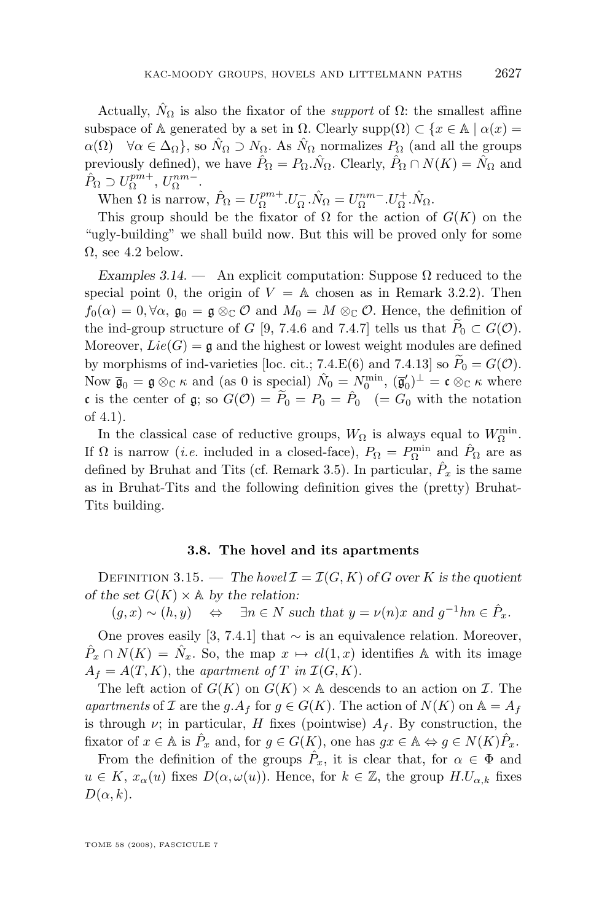<span id="page-23-0"></span>Actually,  $\hat{N}_{\Omega}$  is also the fixator of the *support* of  $\Omega$ : the smallest affine subspace of A generated by a set in  $\Omega$ . Clearly supp $(\Omega) \subset \{x \in \mathbb{A} \mid \alpha(x) =$  $\alpha(\Omega) \quad \forall \alpha \in \Delta_{\Omega}$ , so  $\hat{N}_{\Omega} \supset N_{\Omega}$ . As  $\hat{N}_{\Omega}$  normalizes  $P_{\Omega}$  (and all the groups previously defined), we have  $\hat{P}_{\Omega} = P_{\Omega} \cdot \hat{N}_{\Omega}$ . Clearly,  $\hat{P}_{\Omega} \cap N(K) = \hat{N}_{\Omega}$  and  $\hat{P}_{\Omega} \supset U_{\Omega}^{pm+}, U_{\Omega}^{nm-}.$ 

When  $\Omega$  is narrow,  $\hat{P}_{\Omega} = U_{\Omega}^{pm+} . U_{\Omega}^- . \hat{N}_{\Omega} = U_{\Omega}^{nm-} . U_{\Omega}^+ . \hat{N}_{\Omega}$ .

This group should be the fixator of  $\Omega$  for the action of  $G(K)$  on the "ugly-building" we shall build now. But this will be proved only for some  $\Omega$ , see [4.2](#page-27-0) below.

*Examples 3.14.* — An explicit computation: Suppose  $\Omega$  reduced to the special point 0, the origin of  $V = A$  chosen as in Remark [3.2.](#page-14-0)2). Then  $f_0(\alpha) = 0, \forall \alpha, \mathfrak{g}_0 = \mathfrak{g} \otimes_{\mathbb{C}} \mathcal{O}$  and  $M_0 = M \otimes_{\mathbb{C}} \mathcal{O}$ . Hence, the definition of the ind-group structure of G [\[9,](#page-53-0) 7.4.6 and 7.4.7] tells us that  $P_0 \subset G(\mathcal{O})$ . Moreover,  $Lie(G) = \mathfrak{g}$  and the highest or lowest weight modules are defined by morphisms of ind-varieties [loc. cit.; 7.4.E(6) and 7.4.13] so  $P_0 = G(\mathcal{O})$ . Now  $\bar{\mathfrak{g}}_0 = \mathfrak{g} \otimes_{\mathbb{C}} \kappa$  and (as 0 is special)  $\hat{N}_0 = N_0^{\min}$ ,  $(\bar{\mathfrak{g}}'_0)^{\perp} = \mathfrak{c} \otimes_{\mathbb{C}} \kappa$  where c is the center of g; so  $G(\mathcal{O}) = \widetilde{P}_0 = P_0 = \hat{P}_0$  (=  $G_0$  with the notation of [4.1\)](#page-24-0).

In the classical case of reductive groups,  $W_{\Omega}$  is always equal to  $W_{\Omega}^{\min}$ . If  $\Omega$  is narrow *(i.e.* included in a closed-face),  $P_{\Omega} = P_{\Omega}^{\min}$  and  $\hat{P}_{\Omega}$  are as defined by Bruhat and Tits (cf. Remark [3.5\)](#page-17-0). In particular,  $\hat{P}_x$  is the same as in Bruhat-Tits and the following definition gives the (pretty) Bruhat-Tits building.

#### **3.8. The hovel and its apartments**

DEFINITION 3.15. — The hovel  $\mathcal{I} = \mathcal{I}(G, K)$  of G over K is the quotient *of the set*  $G(K) \times A$  *by the relation:* 

 $(g, x) \sim (h, y) \quad \Leftrightarrow \quad \exists n \in N \text{ such that } y = \nu(n)x \text{ and } g^{-1}hn \in \hat{P}_x.$ 

One proves easily [\[3,](#page-52-0) 7.4.1] that  $\sim$  is an equivalence relation. Moreover,  $\hat{P}_x \cap N(K) = \hat{N}_x$ . So, the map  $x \mapsto cl(1, x)$  identifies A with its image  $A_f = A(T, K)$ , the *apartment of* T *in*  $\mathcal{I}(G, K)$ .

The left action of  $G(K)$  on  $G(K) \times A$  descends to an action on  $\mathcal I$ . The *apartments* of I are the g. $A_f$  for  $g \in G(K)$ . The action of  $N(K)$  on  $\mathbb{A} = A_f$ is through  $\nu$ ; in particular, H fixes (pointwise)  $A_f$ . By construction, the fixator of  $x \in \mathbb{A}$  is  $\hat{P}_x$  and, for  $g \in G(K)$ , one has  $gx \in \mathbb{A} \Leftrightarrow g \in N(K)\hat{P}_x$ .

From the definition of the groups  $\hat{P}_x$ , it is clear that, for  $\alpha \in \Phi$  and  $u \in K$ ,  $x_{\alpha}(u)$  fixes  $D(\alpha, \omega(u))$ . Hence, for  $k \in \mathbb{Z}$ , the group  $H.U_{\alpha,k}$  fixes  $D(\alpha, k)$ .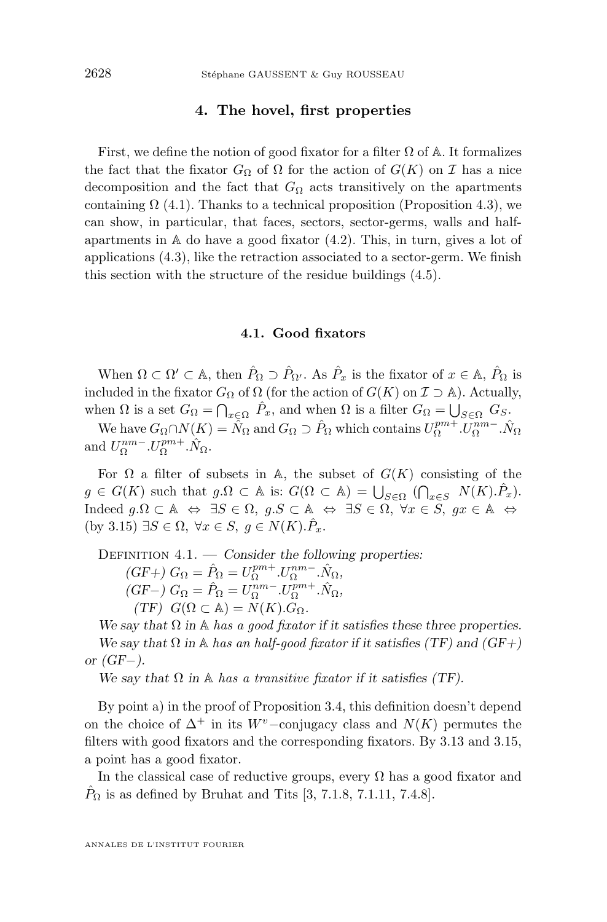#### **4. The hovel, first properties**

<span id="page-24-0"></span>First, we define the notion of good fixator for a filter  $\Omega$  of A. It formalizes the fact that the fixator  $G_{\Omega}$  of  $\Omega$  for the action of  $G(K)$  on  $\mathcal I$  has a nice decomposition and the fact that  $G_{\Omega}$  acts transitively on the apartments containing  $\Omega$  (4.1). Thanks to a technical proposition (Proposition [4.3\)](#page-25-0), we can show, in particular, that faces, sectors, sector-germs, walls and halfapartments in  $A$  do have a good fixator  $(4.2)$ . This, in turn, gives a lot of applications [\(4.3\)](#page-27-0), like the retraction associated to a sector-germ. We finish this section with the structure of the residue buildings [\(4.5\)](#page-30-0).

#### **4.1. Good fixators**

When  $\Omega \subset \Omega' \subset \mathbb{A}$ , then  $\hat{P}_{\Omega} \supset \hat{P}_{\Omega'}$ . As  $\hat{P}_x$  is the fixator of  $x \in \mathbb{A}$ ,  $\hat{P}_{\Omega}$  is included in the fixator  $G_{\Omega}$  of  $\Omega$  (for the action of  $G(K)$  on  $\mathcal{I} \supset \mathbb{A}$ ). Actually, when  $\Omega$  is a set  $G_{\Omega} = \bigcap_{x \in \Omega} \hat{P}_x$ , and when  $\Omega$  is a filter  $G_{\Omega} = \bigcup_{S \in \Omega} G_S$ .

We have  $G_{\Omega} \cap N(K) = \hat{N}_{\Omega}$  and  $G_{\Omega} \supset \hat{P}_{\Omega}$  which contains  $U_{\Omega}^{pm} \cdot U_{\Omega}^{nm} \cdot \hat{N}_{\Omega}$ and  $U_{\Omega}^{nm-}.U_{\Omega}^{pm+}.\hat{N}_{\Omega}$ .

For  $\Omega$  a filter of subsets in A, the subset of  $G(K)$  consisting of the  $g \in G(K)$  such that  $g.\Omega \subset \mathbb{A}$  is:  $G(\Omega \subset \mathbb{A}) = \bigcup_{S \in \Omega} (\bigcap_{x \in S} N(K).\hat{P}_x).$ Indeed  $g.\Omega \subset \mathbb{A} \Leftrightarrow \exists S \in \Omega, g.S \subset \mathbb{A} \Leftrightarrow \exists S \in \Omega, \forall x \in S, gx \in \mathbb{A} \Leftrightarrow$ (by [3.15\)](#page-23-0)  $\exists S \in \Omega, \ \forall x \in S, \ g \in N(K) \hat{P}_x.$ 

Definition 4.1. — *Consider the following properties:*

$$
(GF+) G_{\Omega} = \hat{P}_{\Omega} = U_{\Omega}^{pm+} U_{\Omega}^{nm-} . \hat{N}_{\Omega},
$$
  
\n
$$
(GF-) G_{\Omega} = \hat{P}_{\Omega} = U_{\Omega}^{nm-} . U_{\Omega}^{pm+} . \hat{N}_{\Omega},
$$
  
\n
$$
(TF) G(\Omega \subset A) = N(K) . G_{\Omega}.
$$

We say that  $\Omega$  *in*  $\mathbb A$  *has a good fixator* if it satisfies these three properties. *We say that*  $\Omega$  *in* A *has an half-good fixator if it satisfies (TF)* and (GF+) *or (GF*−*).*

*We say that*  $\Omega$  *in*  $\mathbb A$  *has a transitive fixator if it satisfies (TF).* 

By point a) in the proof of Proposition [3.4,](#page-17-0) this definition doesn't depend on the choice of  $\Delta^+$  in its W<sup>v</sup>−conjugacy class and  $N(K)$  permutes the filters with good fixators and the corresponding fixators. By [3.13](#page-22-0) and [3.15,](#page-23-0) a point has a good fixator.

In the classical case of reductive groups, every  $\Omega$  has a good fixator and  $P_{\Omega}$  is as defined by Bruhat and Tits [\[3,](#page-52-0) 7.1.8, 7.1.11, 7.4.8].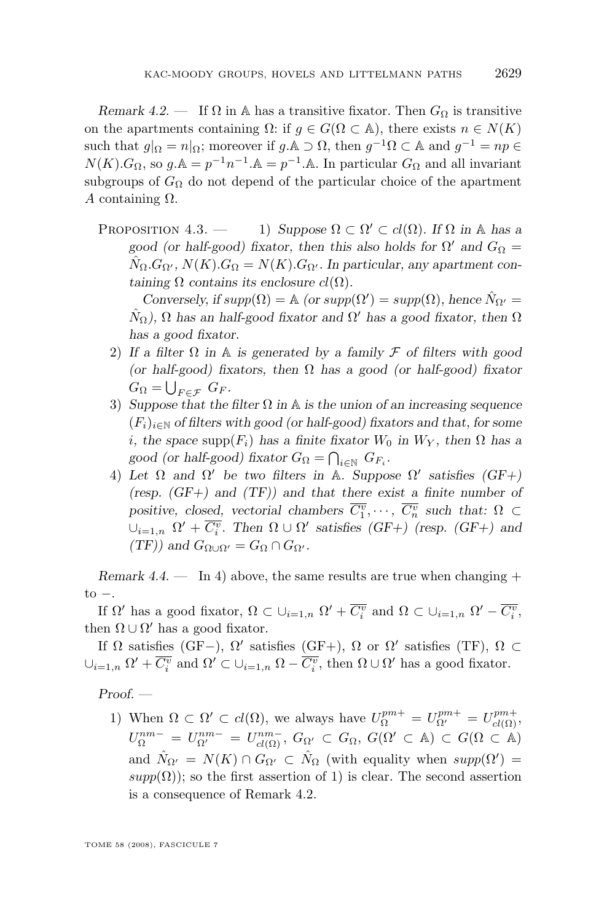<span id="page-25-0"></span>*Remark 4.2.* — If  $\Omega$  in A has a transitive fixator. Then  $G_{\Omega}$  is transitive on the apartments containing  $\Omega$ : if  $g \in G(\Omega \subset \mathbb{A})$ , there exists  $n \in N(K)$ such that  $g|_{\Omega} = n|_{\Omega}$ ; moreover if  $g \land \Omega$ , then  $g^{-1}\Omega \subset \mathbb{A}$  and  $g^{-1} = np \in$  $N(K)$ . $G_{\Omega}$ , so  $g.\mathbb{A} = p^{-1}n^{-1}.\mathbb{A} = p^{-1}.\mathbb{A}$ . In particular  $G_{\Omega}$  and all invariant subgroups of  $G_{\Omega}$  do not depend of the particular choice of the apartment A containing Ω.

PROPOSITION  $4.3.$  — 1) Suppose  $\Omega \subset \Omega' \subset cl(\Omega)$ . If  $\Omega$  *in* A *has a good (or half-good) fixator, then this also holds for*  $\Omega'$  *and*  $G_{\Omega}$  =  $\hat{N}_{\Omega}.G_{\Omega'}, N(K).G_{\Omega} = N(K).G_{\Omega'}$ . In particular, any apartment con*taining*  $\Omega$  *contains its enclosure cl(* $\Omega$ *).* 

*Conversely, if*  $supp(\Omega) = \mathbb{A}$  *(or*  $supp(\Omega') = supp(\Omega)$ *, hence*  $\hat{N}_{\Omega'} =$  $\hat{N}_{\Omega}$ ),  $\Omega$  has an half-good fixator and  $\Omega'$  has a good fixator, then  $\Omega$ *has a good fixator.*

- 2) *If a filter* Ω *in* A *is generated by a family* F *of filters with good (or half-good) fixators, then* Ω *has a good (or half-good) fixator*  $G_{\Omega} = \bigcup_{F \in \mathcal{F}} G_F.$
- 3) *Suppose that the filter* Ω *in* A *is the union of an increasing sequence*  $(F_i)_{i\in\mathbb{N}}$  *of filters with good (or half-good) fixators and that, for some i*, the space supp $(F_i)$  has a finite fixator  $W_0$  in  $W_Y$ , then  $\Omega$  has a *good (or half-good) fixator*  $G_{\Omega} = \bigcap_{i \in \mathbb{N}} G_{F_i}$ .
- 4) Let  $\Omega$  and  $\Omega'$  be two filters in A. Suppose  $\Omega'$  satisfies  $(GF+)$ *(resp. (GF+) and (TF)) and that there exist a finite number of positive, closed, vectorial chambers*  $\overline{C_1^v}, \dots, \overline{C_n^v}$  such that:  $\Omega \subset$  $\cup_{i=1,n}$   $\Omega' + \overline{C_i^v}$ . Then  $\Omega \cup \Omega'$  satisfies (GF+) (resp. (GF+) and  $(TF)$ *)* and  $G_{\Omega\cup\Omega'} = G_{\Omega} \cap G_{\Omega'}$ .

*Remark 4.4.* — In 4) above, the same results are true when changing +  $to -$ .

If  $\Omega'$  has a good fixator,  $\Omega \subset \cup_{i=1,n} \Omega' + \overline{C_i^v}$  and  $\Omega \subset \cup_{i=1,n} \Omega' - \overline{C_i^v}$ , then  $\Omega \cup \Omega'$  has a good fixator.

If  $\Omega$  satisfies (GF-),  $\Omega'$  satisfies (GF+),  $\Omega$  or  $\Omega'$  satisfies (TF),  $\Omega \subset$  $\cup_{i=1,n} \Omega' + \overline{C_i^v}$  and  $\Omega' \subset \cup_{i=1,n} \Omega - \overline{C_i^v}$ , then  $\Omega \cup \Omega'$  has a good fixator.

*Proof. —*

1) When  $\Omega \subset \Omega' \subset cl(\Omega)$ , we always have  $U_{\Omega}^{pm+} = U_{\Omega'}^{pm+} = U_{cl(\Omega)}^{pm+}$ ,  $U_{\Omega}^{nm-} = U_{\Omega'}^{nm-} = U_{cl(\Omega)}^{nm-}$ ,  $G_{\Omega'} \subset G_{\Omega}$ ,  $G(\Omega' \subset A) \subset G(\Omega \subset A)$ and  $\hat{N}_{\Omega'} = N(K) \cap G_{\Omega'} \subset \hat{N}_{\Omega}$  (with equality when  $supp(\Omega') =$  $supp(\Omega)$ ; so the first assertion of 1) is clear. The second assertion is a consequence of Remark [4.2.](#page-24-0)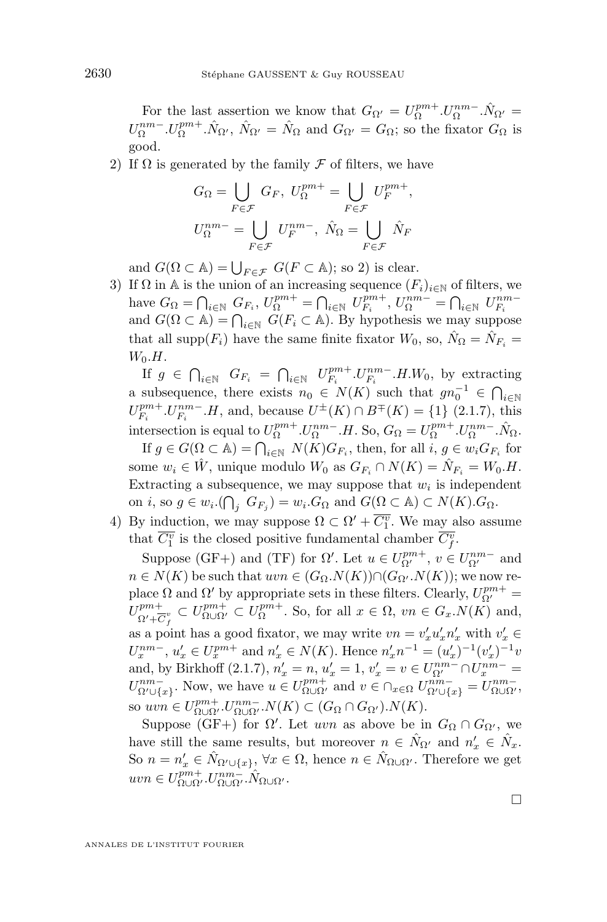For the last assertion we know that  $G_{\Omega'} = U_{\Omega}^{pm+} \cdot U_{\Omega}^{nm-} \cdot \hat{N}_{\Omega'}$  $U_{\Omega}^{nm-}.U_{\Omega}^{pm+}.\hat{N}_{\Omega}, \ \hat{N}_{\Omega'} = \hat{N}_{\Omega}$  and  $G_{\Omega'} = G_{\Omega}$ ; so the fixator  $G_{\Omega}$  is good.

2) If  $\Omega$  is generated by the family  $\mathcal F$  of filters, we have

$$
G_{\Omega} = \bigcup_{F \in \mathcal{F}} G_F, \ U_{\Omega}^{pm+} = \bigcup_{F \in \mathcal{F}} U_F^{pm+},
$$
  

$$
U_{\Omega}^{nm-} = \bigcup_{F \in \mathcal{F}} U_F^{nm-}, \ \hat{N}_{\Omega} = \bigcup_{F \in \mathcal{F}} \hat{N}_F
$$

and  $G(\Omega \subset \mathbb{A}) = \bigcup_{F \in \mathcal{F}} G(F \subset \mathbb{A})$ ; so 2) is clear.

3) If  $\Omega$  in A is the union of an increasing sequence  $(F_i)_{i\in\mathbb{N}}$  of filters, we have  $G_{\Omega} = \bigcap_{i \in \mathbb{N}} G_{F_i}, U_{\Omega}^{pm+} = \bigcap_{i \in \mathbb{N}} U_{F_i}^{pm+}, U_{\Omega}^{nm-} = \bigcap_{i \in \mathbb{N}} U_{F_i}^{nm-}$ and  $G(\Omega \subset \mathbb{A}) = \bigcap_{i \in \mathbb{N}} G(F_i \subset \mathbb{A})$ . By hypothesis we may suppose that all supp $(F_i)$  have the same finite fixator  $W_0$ , so,  $\hat{N}_{\Omega} = \hat{N}_{F_i} =$  $W_0.H.$ 

If  $g \in \bigcap_{i \in \mathbb{N}} G_{F_i} = \bigcap_{i \in \mathbb{N}} U_{F_i}^{pm+} . U_{F_i}^{nm-} . H . W_0$ , by extracting a subsequence, there exists  $n_0 \in N(K)$  such that  $gn_0^{-1} \in \bigcap_{i \in \mathbb{N}}$  $U_{F_i}^{pm+}.U_{F_i}^{nm-}.H$ , and, because  $U^{\pm}(K) \cap B^{\mp}(K) = \{1\}$  [\(2.1.7\)](#page-8-0), this intersection is equal to  $U_{\Omega}^{pm+}.U_{\Omega}^{nm-}.H$ . So,  $G_{\Omega} = U_{\Omega}^{pm+}.U_{\Omega}^{nm-}.\hat{N}_{\Omega}$ .

If  $g \in G(\Omega \subset \mathbb{A}) = \bigcap_{i \in \mathbb{N}} N(K)G_{F_i}$ , then, for all  $i, g \in w_i G_{F_i}$  for some  $w_i \in \hat{W}$ , unique modulo  $W_0$  as  $G_{F_i} \cap N(K) = \hat{N}_{F_i} = W_0.H$ . Extracting a subsequence, we may suppose that  $w_i$  is independent on *i*, so  $g \in w_i$ .( $\bigcap_j G_{F_j}$ ) =  $w_i$ . $G_{\Omega}$  and  $G(\Omega \subset \mathbb{A}) \subset N(K)$ . $G_{\Omega}$ .

4) By induction, we may suppose  $\Omega \subset \Omega' + \overline{C_1^v}$ . We may also assume that  $\overline{C_1^v}$  is the closed positive fundamental chamber  $\overline{C_f^v}$ .

Suppose (GF+) and (TF) for  $\Omega'$ . Let  $u \in U_{\Omega'}^{pm+}$ ,  $v \in U_{\Omega'}^{nm-}$  and  $n \in N(K)$  be such that  $uvw \in (G_{\Omega}.N(K)) \cap (G_{\Omega}.N(K))$ ; we now replace  $\Omega$  and  $\Omega'$  by appropriate sets in these filters. Clearly,  $U_{\Omega'}^{pm+} =$  $U^{pm+}_{\alpha\beta}$  $p_{\Omega' + \overline{C}^v_f}^{pm+} \subset U_{\Omega \cup \Omega'}^{pm+} \subset U_{\Omega}^{pm+}$ . So, for all  $x \in \Omega$ ,  $vn \in G_x.N(K)$  and, as a point has a good fixator, we may write  $vn = v'_x u'_x n'_x$  with  $v'_x \in$  $U_x^{nm-}, u'_x \in U_x^{pm+}$  and  $n'_x \in N(K)$ . Hence  $n'_x n^{-1} = (u'_x)^{-1} (v'_x)^{-1} v'_x$ and, by Birkhoff (2.1.7),  $n'_x = n$ ,  $u'_x = 1$ ,  $v'_x = v \in U^{nm-}_{\Omega'} \cap U^{nm-}_{x} =$  $U_{\Omega' \cup \{x\}}^{nm-}$ . Now, we have  $u \in U_{\Omega \cup \Omega'}^{pm+}$  and  $v \in \cap_{x \in \Omega} U_{\Omega' \cup \{x\}}^{nm-} = U_{\Omega \cup \Omega'}^{nm-}$ , so  $uvn \in U_{\Omega \cup \Omega'}^{pm+} U_{\Omega \cup \Omega'}^{nm-} N(K) \subset (G_{\Omega} \cap G_{\Omega'}) . N(K)$ .

Suppose (GF+) for  $\Omega'$ . Let uvn as above be in  $G_{\Omega} \cap G_{\Omega'}$ , we have still the same results, but moreover  $n \in \hat{N}_{\Omega'}$  and  $n'_x \in \hat{N}_x$ . So  $n = n'_x \in \hat{N}_{\Omega' \cup \{x\}}, \forall x \in \Omega$ , hence  $n \in \hat{N}_{\Omega \cup \Omega'}$ . Therefore we get  $uvn \in U^{pm+}_{\Omega \cup \Omega'}$ . $U^{nm-}_{\Omega \cup \Omega'}$ . $\hat{N}_{\Omega \cup \Omega'}$ .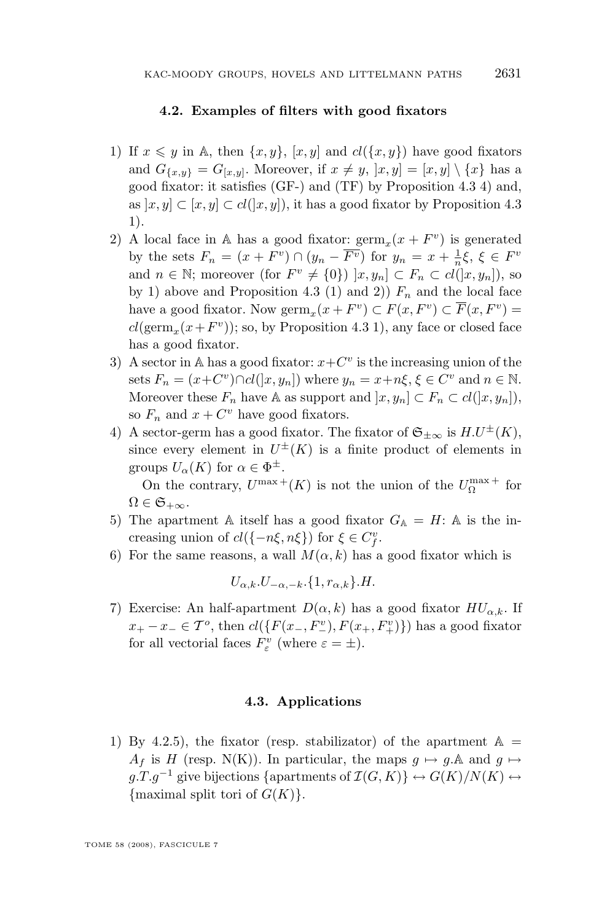#### **4.2. Examples of filters with good fixators**

- <span id="page-27-0"></span>1) If  $x \leq y$  in A, then  $\{x, y\}$ ,  $[x, y]$  and  $cl(\{x, y\})$  have good fixators and  $G_{\{x,y\}} = G_{[x,y]}$ . Moreover, if  $x \neq y$ ,  $[x,y] = [x,y] \setminus \{x\}$  has a good fixator: it satisfies (GF-) and (TF) by Proposition [4.3](#page-25-0) 4) and, as  $[x, y] \subset [x, y] \subset cl([x, y])$ , it has a good fixator by Proposition [4.3](#page-25-0) 1).
- 2) A local face in A has a good fixator:  $\mathrm{germ}_x(x + F^v)$  is generated by the sets  $F_n = (x + F^v) \cap (y_n - \overline{F^v})$  for  $y_n = x + \frac{1}{n}\xi$ ,  $\xi \in F^v$ and  $n \in \mathbb{N}$ ; moreover (for  $F^v \neq \{0\}$ )  $[x, y_n] \subset F_n \subset cl([x, y_n])$ , so by 1) above and Proposition [4.3](#page-25-0) (1) and 2))  $F_n$  and the local face have a good fixator. Now  $\mathrm{germ}_x(x + F^v) \subset F(x, F^v) \subset \overline{F}(x, F^v) =$  $cl(\operatorname{germ}_x(x+F^v));$  so, by Proposition [4.3](#page-25-0) 1), any face or closed face has a good fixator.
- 3) A sector in A has a good fixator:  $x + C^v$  is the increasing union of the sets  $F_n = (x+C^v) \cap cl(|x,y_n|)$  where  $y_n = x+n\xi, \xi \in C^v$  and  $n \in \mathbb{N}$ . Moreover these  $F_n$  have A as support and  $[x, y_n] \subset F_n \subset cl(|x, y_n|)$ , so  $F_n$  and  $x + C^v$  have good fixators.
- 4) A sector-germ has a good fixator. The fixator of  $\mathfrak{S}_{+\infty}$  is  $H.U^{\pm}(K)$ , since every element in  $U^{\pm}(K)$  is a finite product of elements in groups  $U_{\alpha}(K)$  for  $\alpha \in \Phi^{\pm}$ .

On the contrary,  $U^{\max +}(K)$  is not the union of the  $U_{\Omega}^{\max +}$  for  $\Omega \in \mathfrak{S}_{+\infty}$ .

- 5) The apartment A itself has a good fixator  $G_{\mathbb{A}} = H:$  A is the increasing union of  $cl({\lbrace -n\xi, n\xi \rbrace})$  for  $\xi \in C_f^v$ .
- 6) For the same reasons, a wall  $M(\alpha, k)$  has a good fixator which is

$$
U_{\alpha,k}.U_{-\alpha,-k}.\{1,r_{\alpha,k}\}.\mathit{H}.
$$

7) Exercise: An half-apartment  $D(\alpha, k)$  has a good fixator  $HU_{\alpha, k}$ . If  $x_+ - x_- \in \mathcal{T}^o$ , then  $cl({F(x_-, F^v_-), F(x_+, F^v_+)} )$  has a good fixator for all vectorial faces  $F_{\varepsilon}^{v}$  (where  $\varepsilon = \pm$ ).

#### **4.3. Applications**

1) By 4.2.5), the fixator (resp. stabilizator) of the apartment  $\mathbb{A} =$  $A_f$  is H (resp. N(K)). In particular, the maps  $g \mapsto g.\mathbb{A}$  and  $g \mapsto$  $g.T.g^{-1}$  give bijections {apartments of  $\mathcal{I}(G,K)$ }  $\leftrightarrow$   $G(K)/N(K)$   $\leftrightarrow$ {maximal split tori of  $G(K)$ }.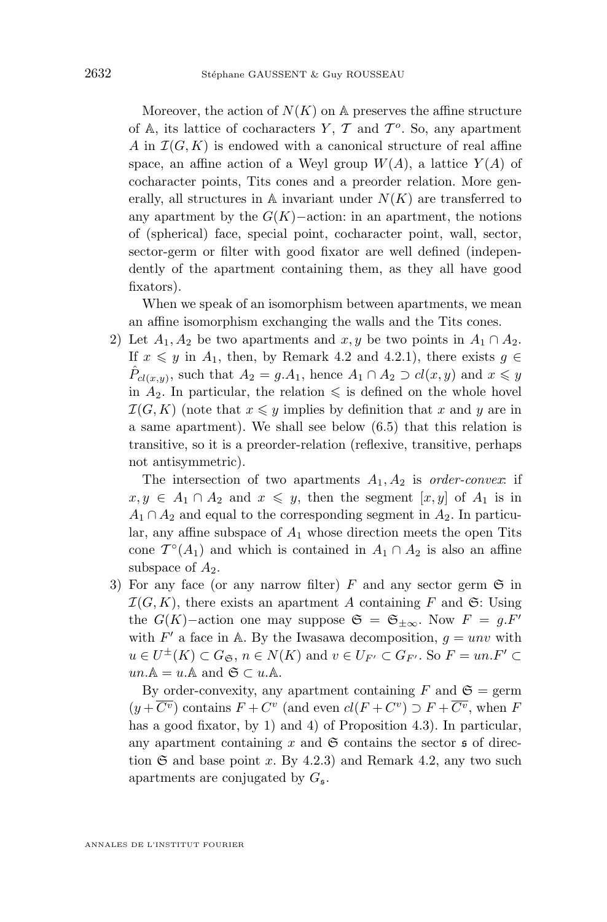Moreover, the action of  $N(K)$  on A preserves the affine structure of  $A$ , its lattice of cocharacters  $Y$ ,  $T$  and  $T<sup>o</sup>$ . So, any apartment A in  $\mathcal{I}(G, K)$  is endowed with a canonical structure of real affine space, an affine action of a Weyl group  $W(A)$ , a lattice  $Y(A)$  of cocharacter points, Tits cones and a preorder relation. More generally, all structures in A invariant under  $N(K)$  are transferred to any apartment by the  $G(K)$ –action: in an apartment, the notions of (spherical) face, special point, cocharacter point, wall, sector, sector-germ or filter with good fixator are well defined (independently of the apartment containing them, as they all have good fixators).

When we speak of an isomorphism between apartments, we mean an affine isomorphism exchanging the walls and the Tits cones.

2) Let  $A_1, A_2$  be two apartments and  $x, y$  be two points in  $A_1 \cap A_2$ . If  $x \leq y$  in  $A_1$ , then, by Remark [4.2](#page-24-0) and [4.2.](#page-27-0)1), there exists  $g \in$  $\hat{P}_{cl(x,y)}$ , such that  $A_2 = g.A_1$ , hence  $A_1 \cap A_2 \supset cl(x,y)$  and  $x \leq y$ in  $A_2$ . In particular, the relation  $\leq$  is defined on the whole hovel  $\mathcal{I}(G, K)$  (note that  $x \leq y$  implies by definition that x and y are in a same apartment). We shall see below [\(6.5\)](#page-50-0) that this relation is transitive, so it is a preorder-relation (reflexive, transitive, perhaps not antisymmetric).

The intersection of two apartments  $A_1, A_2$  is *order-convex*: if  $x, y \in A_1 \cap A_2$  and  $x \leq y$ , then the segment  $[x, y]$  of  $A_1$  is in  $A_1 \cap A_2$  and equal to the corresponding segment in  $A_2$ . In particular, any affine subspace of  $A_1$  whose direction meets the open Tits cone  $\mathcal{T}^{\circ}(A_1)$  and which is contained in  $A_1 \cap A_2$  is also an affine subspace of  $A_2$ .

3) For any face (or any narrow filter) F and any sector germ  $\mathfrak S$  in  $\mathcal{I}(G, K)$ , there exists an apartment A containing F and G: Using the  $G(K)$ –action one may suppose  $\mathfrak{S} = \mathfrak{S}_{\pm \infty}$ . Now  $F = g.F'$ with  $F'$  a face in A. By the Iwasawa decomposition,  $g = unv$  with  $u \in U^{\pm}(K) \subset G_{\mathfrak{S}}, n \in N(K)$  and  $v \in U_{F'} \subset G_{F'}$ . So  $F = un.F' \subset$  $un.\mathbb{A} = u.\mathbb{A}$  and  $\mathfrak{S} \subset u.\mathbb{A}$ .

By order-convexity, any apartment containing F and  $\mathfrak{S} = \text{germ}$  $(y+\overline{C^v})$  contains  $F+C^v$  (and even  $cl(F+C^v) \supset F+\overline{C^v}$ , when F has a good fixator, by 1) and 4) of Proposition [4.3\)](#page-25-0). In particular, any apartment containing  $x$  and  $\mathfrak S$  contains the sector  $\mathfrak s$  of direction  $\mathfrak S$  and base point x. By [4.2.](#page-27-0)3) and Remark [4.2,](#page-24-0) any two such apartments are conjugated by  $G_{\mathfrak{s}}$ .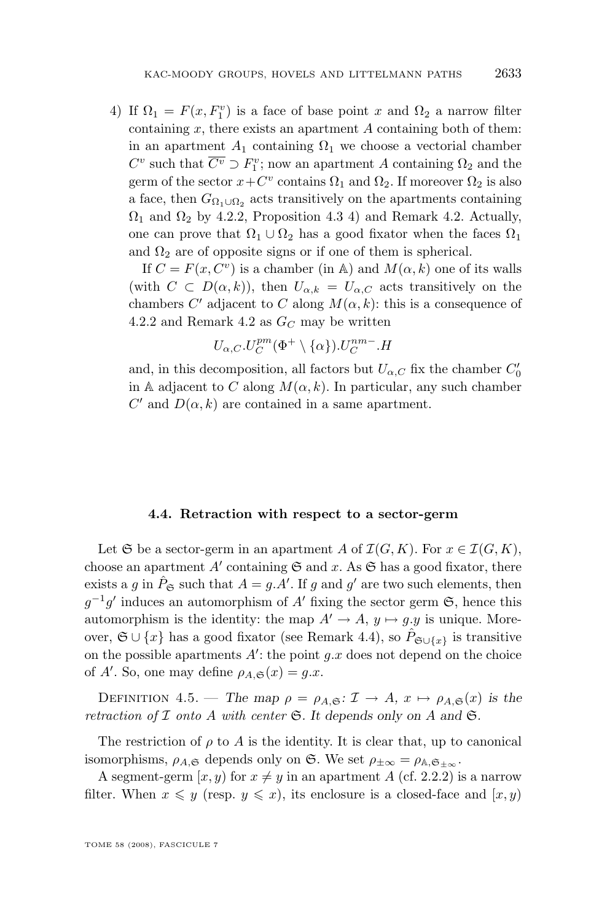<span id="page-29-0"></span>4) If  $\Omega_1 = F(x, F_1^v)$  is a face of base point x and  $\Omega_2$  a narrow filter containing  $x$ , there exists an apartment  $A$  containing both of them: in an apartment  $A_1$  containing  $\Omega_1$  we choose a vectorial chamber  $C^v$  such that  $\overline{C^v} \supset F_1^v$ ; now an apartment A containing  $\Omega_2$  and the germ of the sector  $x + C^v$  contains  $\Omega_1$  and  $\Omega_2$ . If moreover  $\Omega_2$  is also a face, then  $G_{\Omega_1 \cup \Omega_2}$  acts transitively on the apartments containing  $\Omega_1$  and  $\Omega_2$  by [4.2.](#page-24-0)2, Proposition [4.3](#page-25-0) 4) and Remark 4.2. Actually, one can prove that  $\Omega_1 \cup \Omega_2$  has a good fixator when the faces  $\Omega_1$ and  $\Omega_2$  are of opposite signs or if one of them is spherical.

If  $C = F(x, C^v)$  is a chamber (in A) and  $M(\alpha, k)$  one of its walls (with  $C \subset D(\alpha, k)$ ), then  $U_{\alpha, k} = U_{\alpha, C}$  acts transitively on the chambers C' adjacent to C along  $M(\alpha, k)$ : this is a consequence of [4.2.](#page-27-0)2 and Remark [4.2](#page-24-0) as  $G_C$  may be written

$$
U_{\alpha,C}.U_C^{pm}(\Phi^+\setminus\{\alpha\}).U_C^{nm-}.H
$$

and, in this decomposition, all factors but  $U_{\alpha,C}$  fix the chamber  $C_0'$ in A adjacent to C along  $M(\alpha, k)$ . In particular, any such chamber C' and  $D(\alpha, k)$  are contained in a same apartment.

#### **4.4. Retraction with respect to a sector-germ**

Let G be a sector-germ in an apartment A of  $\mathcal{I}(G, K)$ . For  $x \in \mathcal{I}(G, K)$ , choose an apartment  $A'$  containing  $\mathfrak S$  and x. As  $\mathfrak S$  has a good fixator, there exists a g in  $\hat{P}_{\mathfrak{S}}$  such that  $A = g.A'$ . If g and g' are two such elements, then  $g^{-1}g'$  induces an automorphism of A' fixing the sector germ  $\mathfrak{S}$ , hence this automorphism is the identity: the map  $A' \rightarrow A$ ,  $y \mapsto q.y$  is unique. Moreover,  $\mathfrak{S} \cup \{x\}$  has a good fixator (see Remark [4.4\)](#page-25-0), so  $P_{\mathfrak{S} \cup \{x\}}$  is transitive on the possible apartments  $A'$ : the point  $g.x$  does not depend on the choice of A'. So, one may define  $\rho_{A,\mathfrak{S}}(x) = g.x$ .

DEFINITION 4.5. — *The map*  $\rho = \rho_{A,\mathfrak{S}}: \mathcal{I} \to A$ ,  $x \mapsto \rho_{A,\mathfrak{S}}(x)$  *is the retraction of*  $I$  *onto*  $A$  *with center*  $\mathfrak{S}$ *. It depends only on*  $A$  *and*  $\mathfrak{S}$ *.* 

The restriction of  $\rho$  to A is the identity. It is clear that, up to canonical isomorphisms,  $\rho_{A,\mathfrak{S}}$  depends only on  $\mathfrak{S}$ . We set  $\rho_{\pm\infty} = \rho_{\mathbb{A},\mathfrak{S}_{+\infty}}$ .

A segment-germ  $[x, y)$  for  $x \neq y$  in an apartment A (cf. [2.2.2\)](#page-10-0) is a narrow filter. When  $x \leq y$  (resp.  $y \leq x$ ), its enclosure is a closed-face and  $[x, y)$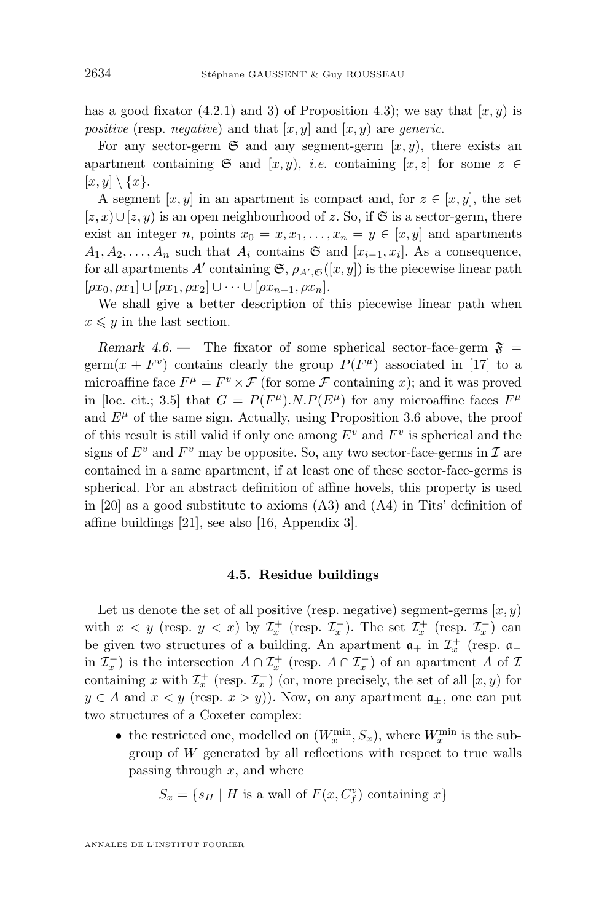<span id="page-30-0"></span>has a good fixator [\(4.2.](#page-27-0)1) and 3) of Proposition [4.3\)](#page-25-0); we say that  $[x, y)$  is *positive* (resp. *negative*) and that  $[x, y]$  and  $[x, y]$  are *generic*.

For any sector-germ  $\mathfrak{S}$  and any segment-germ  $[x, y)$ , there exists an apartment containing  $\mathfrak{S}$  and  $[x, y)$ , *i.e.* containing  $[x, z]$  for some  $z \in \mathfrak{S}$  $[x, y] \setminus \{x\}.$ 

A segment  $[x, y]$  in an apartment is compact and, for  $z \in [x, y]$ , the set  $[z, x) \cup [z, y)$  is an open neighbourhood of z. So, if G is a sector-germ, there exist an integer n, points  $x_0 = x, x_1, \ldots, x_n = y \in [x, y]$  and apartments  $A_1, A_2, \ldots, A_n$  such that  $A_i$  contains  $\mathfrak{S}$  and  $[x_{i-1}, x_i]$ . As a consequence, for all apartments A' containing  $\mathfrak{S}, \rho_{A', \mathfrak{S}}([x, y])$  is the piecewise linear path  $[\rho x_0, \rho x_1] \cup [\rho x_1, \rho x_2] \cup \cdots \cup [\rho x_{n-1}, \rho x_n].$ 

We shall give a better description of this piecewise linear path when  $x \leq y$  in the last section.

*Remark 4.6.* — The fixator of some spherical sector-face-germ  $\mathfrak{F}$  = germ $(x + F^v)$  contains clearly the group  $P(F^{\mu})$  associated in [\[17\]](#page-53-0) to a microaffine face  $F^{\mu} = F^{\nu} \times \mathcal{F}$  (for some  $\mathcal F$  containing x); and it was proved in [loc. cit.; 3.5] that  $G = P(F^{\mu}).N.P(E^{\mu})$  for any microaffine faces  $F^{\mu}$ and  $E^{\mu}$  of the same sign. Actually, using Proposition [3.6](#page-18-0) above, the proof of this result is still valid if only one among  $E^v$  and  $F^v$  is spherical and the signs of  $E^v$  and  $F^v$  may be opposite. So, any two sector-face-germs in  $\mathcal I$  are contained in a same apartment, if at least one of these sector-face-germs is spherical. For an abstract definition of affine hovels, this property is used in [\[20\]](#page-53-0) as a good substitute to axioms  $(A3)$  and  $(A4)$  in Tits' definition of affine buildings [\[21\]](#page-53-0), see also [\[16,](#page-53-0) Appendix 3].

#### **4.5. Residue buildings**

Let us denote the set of all positive (resp. negative) segment-germs  $(x, y)$ with  $x < y$  (resp.  $y < x$ ) by  $\mathcal{I}_x^+$  (resp.  $\mathcal{I}_x^-$ ). The set  $\mathcal{I}_x^+$  (resp.  $\mathcal{I}_x^-$ ) can be given two structures of a building. An apartment  $a_+$  in  $\mathcal{I}^+_x$  (resp.  $a_$ in  $\mathcal{I}_x^-$ ) is the intersection  $A \cap \mathcal{I}_x^+$  (resp.  $A \cap \mathcal{I}_x^-$ ) of an apartment A of  $\mathcal{I}_x$ containing x with  $\mathcal{I}_x^+$  (resp.  $\mathcal{I}_x^-$ ) (or, more precisely, the set of all  $[x, y)$  for  $y \in A$  and  $x < y$  (resp.  $x > y$ )). Now, on any apartment  $a_{\pm}$ , one can put two structures of a Coxeter complex:

• the restricted one, modelled on  $(W_x^{\min}, S_x)$ , where  $W_x^{\min}$  is the subgroup of  $W$  generated by all reflections with respect to true walls passing through  $x$ , and where

$$
S_x = \{ s_H \mid H \text{ is a wall of } F(x, C_f^v) \text{ containing } x \}
$$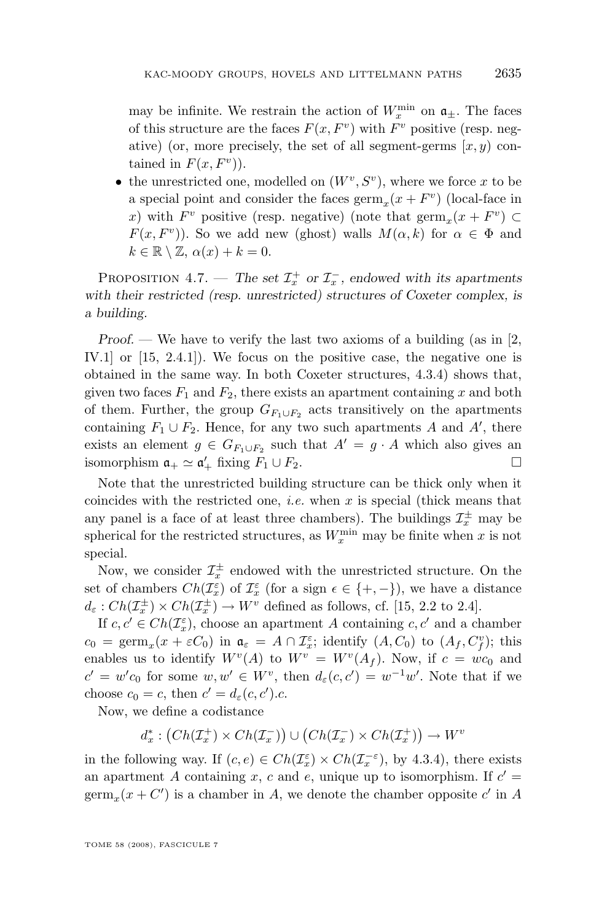may be infinite. We restrain the action of  $W_x^{\min}$  on  $\mathfrak{a}_{\pm}$ . The faces of this structure are the faces  $F(x, F^v)$  with  $F^v$  positive (resp. negative) (or, more precisely, the set of all segment-germs  $(x, y)$  contained in  $F(x, F<sup>v</sup>)$ .

• the unrestricted one, modelled on  $(W^v, S^v)$ , where we force x to be a special point and consider the faces  $\operatorname{germ}_x(x + F^v)$  (local-face in x) with  $F^v$  positive (resp. negative) (note that  $\operatorname{germ}_x(x + F^v) \subset$  $F(x, F^v)$ ). So we add new (ghost) walls  $M(\alpha, k)$  for  $\alpha \in \Phi$  and  $k \in \mathbb{R} \setminus \mathbb{Z}, \alpha(x) + k = 0.$ 

PROPOSITION 4.7. — The set  $\mathcal{I}^+_x$  or  $\mathcal{I}^-_x$ , endowed with its apartments *with their restricted (resp. unrestricted) structures of Coxeter complex, is a building.*

*Proof.* — We have to verify the last two axioms of a building (as in [\[2,](#page-52-0) IV.1] or [\[15,](#page-53-0) 2.4.1]). We focus on the positive case, the negative one is obtained in the same way. In both Coxeter structures, [4.3.](#page-27-0)4) shows that, given two faces  $F_1$  and  $F_2$ , there exists an apartment containing x and both of them. Further, the group  $G_{F_1\cup F_2}$  acts transitively on the apartments containing  $F_1 \cup F_2$ . Hence, for any two such apartments A and A', there exists an element  $g \in G_{F_1 \cup F_2}$  such that  $A' = g \cdot A$  which also gives an isomorphism  $\mathfrak{a}_+ \simeq \mathfrak{a}'_+$  fixing  $F_1 \cup F_2$ .

Note that the unrestricted building structure can be thick only when it coincides with the restricted one, *i.e.* when  $x$  is special (thick means that any panel is a face of at least three chambers). The buildings  $\mathcal{I}_x^{\pm}$  may be spherical for the restricted structures, as  $W_x^{\min}$  may be finite when x is not special.

Now, we consider  $\mathcal{I}_x^{\pm}$  endowed with the unrestricted structure. On the set of chambers  $Ch(\mathcal{I}_{x}^{\varepsilon})$  of  $\mathcal{I}_{x}^{\varepsilon}$  (for a sign  $\epsilon \in \{+, -\}$ ), we have a distance  $d_{\varepsilon}: Ch(\mathcal{I}_{x}^{\pm}) \times Ch(\mathcal{I}_{x}^{\pm}) \to W^{v}$  defined as follows, cf. [\[15,](#page-53-0) 2.2 to 2.4].

If  $c, c' \in Ch(\mathcal{I}_x^{\varepsilon})$ , choose an apartment A containing  $c, c'$  and a chamber  $c_0 = \text{germ}_x(x + \varepsilon C_0)$  in  $\mathfrak{a}_{\varepsilon} = A \cap \mathcal{I}_{x}^{\varepsilon}$ ; identify  $(A, C_0)$  to  $(A_f, C_f^v)$ ; this enables us to identify  $W^{v}(A)$  to  $W^{v} = W^{v}(A_{f})$ . Now, if  $c = wc_0$  and  $c' = w'c_0$  for some  $w, w' \in W^v$ , then  $d_{\varepsilon}(c, c') = w^{-1}w'$ . Note that if we choose  $c_0 = c$ , then  $c' = d_{\varepsilon}(c, c')$ .c.

Now, we define a codistance

$$
d_x^* : (Ch(\mathcal{I}_x^+) \times Ch(\mathcal{I}_x^-)) \cup (Ch(\mathcal{I}_x^-) \times Ch(\mathcal{I}_x^+)) \to W^v
$$

in the following way. If  $(c, e) \in Ch(\mathcal{I}_x^{\varepsilon}) \times Ch(\mathcal{I}_x^{-\varepsilon})$ , by [4.3.](#page-27-0)4), there exists an apartment A containing x, c and e, unique up to isomorphism. If  $c' =$  $\operatorname{germ}_x(x+C')$  is a chamber in A, we denote the chamber opposite  $c'$  in A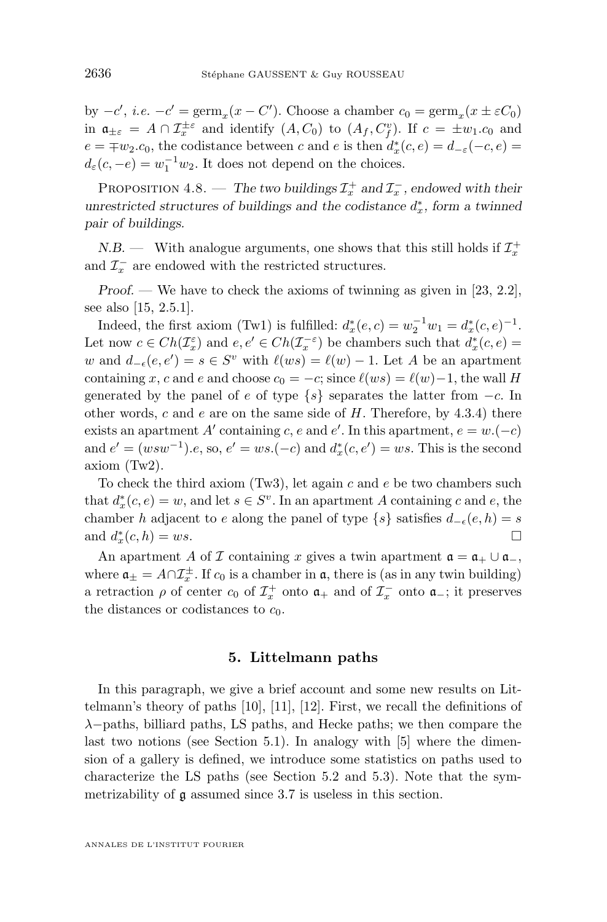<span id="page-32-0"></span>by  $-c'$ , *i.e.*  $-c' = \text{germ}_x(x - C')$ . Choose a chamber  $c_0 = \text{germ}_x(x \pm \varepsilon C_0)$ in  $\mathfrak{a}_{\pm\varepsilon} = A \cap \mathcal{I}_{x}^{\pm\varepsilon}$  and identify  $(A, C_0)$  to  $(A_f, C_f^v)$ . If  $c = \pm w_1.c_0$  and  $e = \mp w_2.c_0$ , the codistance between c and e is then  $d_x^*(c, e) = d_{-\varepsilon}(-c, e)$  $d_{\varepsilon}(c, -e) = w_1^{-1}w_2$ . It does not depend on the choices.

PROPOSITION 4.8. — *The two buildings*  $\mathcal{I}_x^+$  *and*  $\mathcal{I}_x^-$ *, endowed with their unrestricted structures of buildings and the codistance*  $d_x^*$ , form a twinned *pair of buildings.*

*N.B.* — With analogue arguments, one shows that this still holds if  $\mathcal{I}_x^+$ and  $\mathcal{I}_x^-$  are endowed with the restricted structures.

*Proof.* — We have to check the axioms of twinning as given in [\[23,](#page-53-0) 2.2], see also [\[15,](#page-53-0) 2.5.1].

Indeed, the first axiom (Tw1) is fulfilled:  $d_x^*(e, c) = w_2^{-1}w_1 = d_x^*(c, e)^{-1}$ . Let now  $c \in Ch(\mathcal{I}_x^{\varepsilon})$  and  $e, e' \in Ch(\mathcal{I}_x^{-\varepsilon})$  be chambers such that  $d_x^*(c, e) =$ w and  $d_{-\epsilon}(e, e') = s \in S^v$  with  $\ell(ws) = \ell(w) - 1$ . Let A be an apartment containing x, c and e and choose  $c_0 = -c$ ; since  $\ell(ws) = \ell(w)-1$ , the wall H generated by the panel of e of type  $\{s\}$  separates the latter from  $-c$ . In other words, c and  $e$  are on the same side of  $H$ . Therefore, by [4.3.](#page-27-0)4) there exists an apartment A' containing c, e and e'. In this apartment,  $e = w.(-c)$ and  $e' = (wsw^{-1}).e$ , so,  $e' = ws.(-c)$  and  $d_x^*(c, e') = ws$ . This is the second axiom (Tw2).

To check the third axiom  $(Tw3)$ , let again c and e be two chambers such that  $d_x^*(c, e) = w$ , and let  $s \in S^v$ . In an apartment A containing c and e, the chamber h adjacent to e along the panel of type  $\{s\}$  satisfies  $d_{-\epsilon}(e, h) = s$ and  $d_x^*(c, h) = ws$ .

An apartment A of I containing x gives a twin apartment  $\mathfrak{a} = \mathfrak{a}_+ \cup \mathfrak{a}_-,$ where  $\mathfrak{a}_{\pm} = A \cap \mathcal{I}_{x}^{\pm}$ . If  $c_0$  is a chamber in  $\mathfrak{a}$ , there is (as in any twin building) a retraction  $\rho$  of center  $c_0$  of  $\mathcal{I}_x^+$  onto  $\mathfrak{a}_+$  and of  $\mathcal{I}_x^-$  onto  $\mathfrak{a}_-$ ; it preserves the distances or codistances to  $c_0$ .

#### **5. Littelmann paths**

In this paragraph, we give a brief account and some new results on Littelmann's theory of paths [\[10\]](#page-53-0), [\[11\]](#page-53-0), [\[12\]](#page-53-0). First, we recall the definitions of  $\lambda$ −paths, billiard paths, LS paths, and Hecke paths; we then compare the last two notions (see Section [5.1\)](#page-33-0). In analogy with [\[5\]](#page-52-0) where the dimension of a gallery is defined, we introduce some statistics on paths used to characterize the LS paths (see Section [5.2](#page-35-0) and [5.3\)](#page-37-0). Note that the symmetrizability of g assumed since [3.7](#page-21-0) is useless in this section.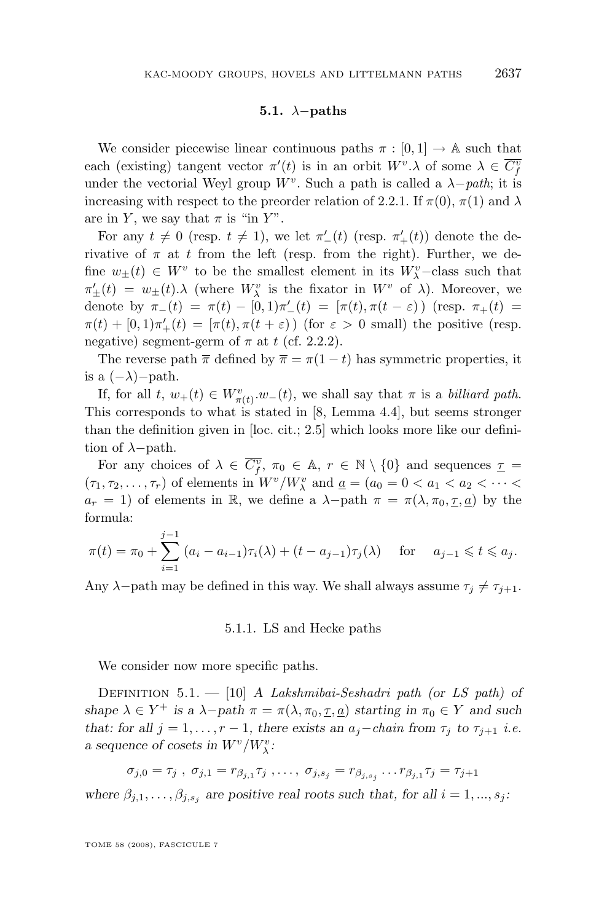#### **5.1.** λ−**paths**

<span id="page-33-0"></span>We consider piecewise linear continuous paths  $\pi : [0, 1] \rightarrow \mathbb{A}$  such that each (existing) tangent vector  $\pi'(t)$  is in an orbit  $W^v \lambda$  of some  $\lambda \in \overline{C_f^v}$ under the vectorial Weyl group  $W^v$ . Such a path is called a  $\lambda$ *-path*; it is increasing with respect to the preorder relation of [2.2.1.](#page-9-0) If  $\pi(0)$ ,  $\pi(1)$  and  $\lambda$ are in Y, we say that  $\pi$  is "in Y".

For any  $t \neq 0$  (resp.  $t \neq 1$ ), we let  $\pi'_{-}(t)$  (resp.  $\pi'_{+}(t)$ ) denote the derivative of  $\pi$  at t from the left (resp. from the right). Further, we define  $w_{\pm}(t) \in W^v$  to be the smallest element in its  $W^v_{\lambda}$ -class such that  $\pi'_{\pm}(t) = w_{\pm}(t) \cdot \lambda$  (where  $W_{\lambda}^{v}$  is the fixator in  $W^{v}$  of  $\lambda$ ). Moreover, we denote by  $\pi_-(t) = \pi(t) - [0,1]\pi_-'(t) = [\pi(t), \pi(t-\varepsilon))$  (resp.  $\pi_+(t) =$  $\pi(t) + [0,1]\pi'_{+}(t) = [\pi(t), \pi(t+\varepsilon))$  (for  $\varepsilon > 0$  small) the positive (resp. negative) segment-germ of  $\pi$  at t (cf. [2.2.2\)](#page-10-0).

The reverse path  $\bar{\pi}$  defined by  $\bar{\pi} = \pi(1-t)$  has symmetric properties, it is a  $(-\lambda)$ -path.

If, for all  $t, w_+(t) \in W^v_{\pi(t)} \cdot w_-(t)$ , we shall say that  $\pi$  is a *billiard path*. This corresponds to what is stated in [\[8,](#page-53-0) Lemma 4.4], but seems stronger than the definition given in [loc. cit.; 2.5] which looks more like our definition of  $\lambda$ −path.

For any choices of  $\lambda \in \overline{C^v_f}$ ,  $\pi_0 \in \mathbb{A}$ ,  $r \in \mathbb{N} \setminus \{0\}$  and sequences  $\underline{\tau} =$  $(\tau_1, \tau_2, \dots, \tau_r)$  of elements in  $W^v/W^v_\lambda$  and  $\underline{a} = (a_0 = 0 < a_1 < a_2 < \dots <$  $a_r = 1$ ) of elements in R, we define a  $\lambda$ -path  $\pi = \pi(\lambda, \pi_0, \underline{\tau}, \underline{a})$  by the formula:

$$
\pi(t) = \pi_0 + \sum_{i=1}^{j-1} (a_i - a_{i-1})\tau_i(\lambda) + (t - a_{j-1})\tau_j(\lambda) \quad \text{for} \quad a_{j-1} \leq t \leq a_j.
$$

Any  $\lambda$ -path may be defined in this way. We shall always assume  $\tau_i \neq \tau_{i+1}$ .

#### 5.1.1. LS and Hecke paths

We consider now more specific paths.

Definition 5.1. — [\[10\]](#page-53-0) *A Lakshmibai-Seshadri path (or LS path) of shape*  $\lambda \in Y^+$  *is a*  $\lambda$ -*path*  $\pi = \pi(\lambda, \pi_0, \underline{\tau}, \underline{a})$  *starting in*  $\pi_0 \in Y$  *and such that: for all*  $j = 1, \ldots, r - 1$ *, there exists an*  $a_j$ -*chain* from  $\tau_j$  *to*  $\tau_{j+1}$  *i.e. a* sequence of cosets in  $W^v/W^v_\lambda$ :

 $\sigma_{j,0} = \tau_j$ ,  $\sigma_{j,1} = r_{\beta_{j,1}} \tau_j$ ,...,  $\sigma_{j,s_j} = r_{\beta_{j,s_j}} \dots r_{\beta_{j,1}} \tau_j = \tau_{j+1}$ 

where  $\beta_{j,1}, \ldots, \beta_{j,s_j}$  are positive real roots such that, for all  $i = 1, \ldots, s_j$ :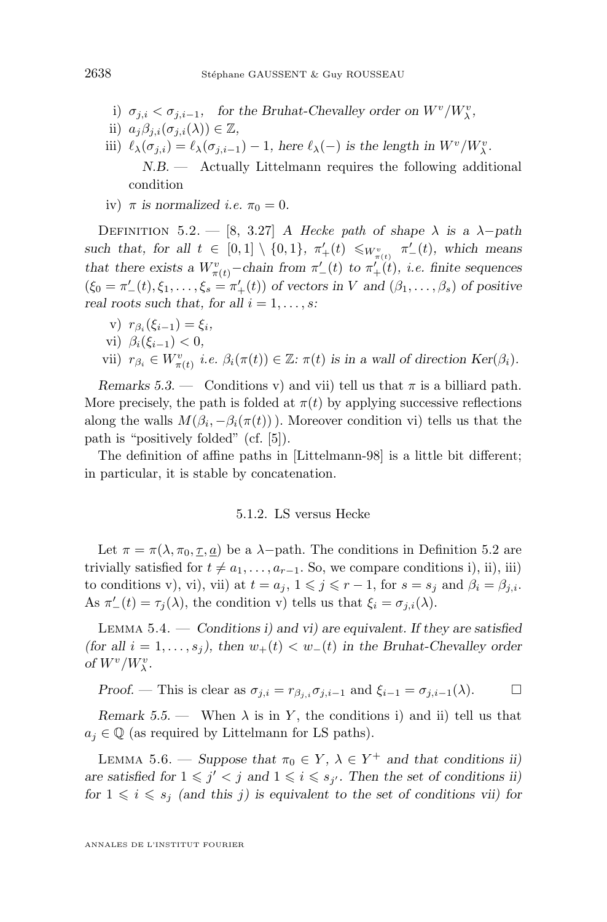- <span id="page-34-0"></span>i)  $\sigma_{j,i} < \sigma_{j,i-1}$ , for the Bruhat-Chevalley order on  $W^v/W^v_{\lambda}$ ,
- ii)  $a_j\beta_{j,i}(\sigma_{j,i}(\lambda)) \in \mathbb{Z}$ ,
- iii)  $\ell_{\lambda}(\sigma_{j,i}) = \ell_{\lambda}(\sigma_{j,i-1}) 1$ , here  $\ell_{\lambda}(-)$  *is the length in*  $W^v/W_{\lambda}^v$ . *N.B. —* Actually Littelmann requires the following additional condition
- iv)  $\pi$  *is normalized i.e.*  $\pi_0 = 0$ *.*

DEFINITION 5.2. — [\[8,](#page-53-0) 3.27] *A Hecke path* of shape  $\lambda$  is a  $\lambda$ -path such that, for all  $t \in [0,1] \setminus \{0,1\}$ ,  $\pi'_{+}(t) \leq_{W^v_{\pi(t)}} \pi'_{-}(t)$ , which means *that there exists a*  $W_{\pi(t)}^v$ -*chain from*  $\pi'_{-}(t)$  *to*  $\pi'_{+}(t)$ *, i.e. finite sequences*  $(\xi_0 = \pi'_-(t), \xi_1, \ldots, \xi_s = \pi'_+(t))$  *of vectors in V and*  $(\beta_1, \ldots, \beta_s)$  *of positive real roots such that, for all*  $i = 1, \ldots, s$ :

 $v)$   $r_{\beta_i}(\xi_{i-1}) = \xi_i,$ vi)  $\beta_i(\xi_{i-1}) < 0$ , vii)  $r_{\beta_i} \in W^v_{\pi(t)}$  *i.e.*  $\beta_i(\pi(t)) \in \mathbb{Z}$ :  $\pi(t)$  is in a wall of direction Ker( $\beta_i$ ).

*Remarks* 5.3. — Conditions v) and vii) tell us that  $\pi$  is a billiard path. More precisely, the path is folded at  $\pi(t)$  by applying successive reflections along the walls  $M(\beta_i, -\beta_i(\pi(t)))$ . Moreover condition vi) tells us that the path is "positively folded" (cf. [\[5\]](#page-52-0)).

The definition of affine paths in [Littelmann-98] is a little bit different; in particular, it is stable by concatenation.

#### 5.1.2. LS versus Hecke

Let  $\pi = \pi(\lambda, \pi_0, \underline{\tau}, \underline{a})$  be a  $\lambda$ -path. The conditions in Definition 5.2 are trivially satisfied for  $t \neq a_1, \ldots, a_{r-1}$ . So, we compare conditions i), ii), iii) to conditions v), vii, vii) at  $t = a_j$ ,  $1 \leq j \leq r - 1$ , for  $s = s_j$  and  $\beta_i = \beta_{j,i}$ . As  $\pi'_{-}(t) = \tau_j(\lambda)$ , the condition v) tells us that  $\xi_i = \sigma_{j,i}(\lambda)$ .

Lemma 5.4. — *Conditions i) and vi) are equivalent. If they are satisfied (for all*  $i = 1, \ldots, s_j$ *), then*  $w_+(t) < w_-(t)$  *in the Bruhat-Chevalley order of*  $W^v/W^v_\lambda$ .

Proof. — This is clear as 
$$
\sigma_{j,i} = r_{\beta_j,i} \sigma_{j,i-1}
$$
 and  $\xi_{i-1} = \sigma_{j,i-1}(\lambda)$ .

*Remark 5.5.* — When  $\lambda$  is in Y, the conditions i) and ii) tell us that  $a_j \in \mathbb{Q}$  (as required by Littelmann for LS paths).

LEMMA 5.6. — *Suppose that*  $\pi_0 \in Y$ ,  $\lambda \in Y^+$  *and that conditions ii*) are satisfied for  $1 \leq j' < j$  and  $1 \leq i \leq s_{j'}$ . Then the set of conditions ii) *for*  $1 \leq i \leq s_j$  *(and this j) is equivalent to the set of conditions vii) for* 

ANNALES DE L'INSTITUT FOURIER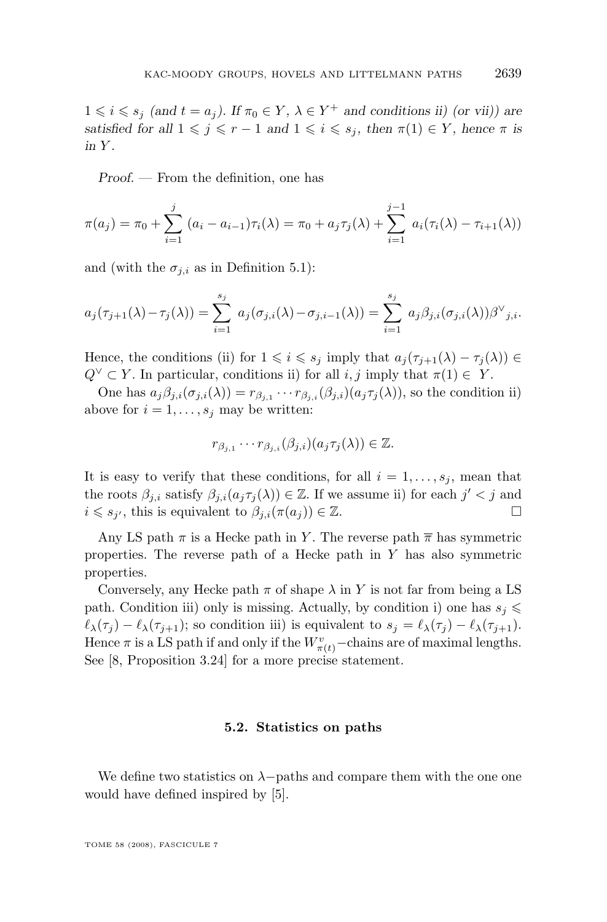<span id="page-35-0"></span> $1 \leq i \leq s_j \text{ (and } t = a_j)$ . If  $\pi_0 \in Y$ ,  $\lambda \in Y^+$  and conditions ii) (or vii)) are *satisfied for all*  $1 \leq j \leq r - 1$  *and*  $1 \leq i \leq s_j$ *, then*  $\pi(1) \in Y$ *, hence*  $\pi$  *is in* Y *.*

*Proof. —* From the definition, one has

$$
\pi(a_j) = \pi_0 + \sum_{i=1}^j (a_i - a_{i-1})\tau_i(\lambda) = \pi_0 + a_j \tau_j(\lambda) + \sum_{i=1}^{j-1} a_i(\tau_i(\lambda) - \tau_{i+1}(\lambda))
$$

and (with the  $\sigma_{j,i}$  as in Definition [5.1\)](#page-33-0):

$$
a_j(\tau_{j+1}(\lambda)-\tau_j(\lambda))=\sum_{i=1}^{s_j} a_j(\sigma_{j,i}(\lambda)-\sigma_{j,i-1}(\lambda))=\sum_{i=1}^{s_j} a_j\beta_{j,i}(\sigma_{j,i}(\lambda))\beta^{\vee}_{j,i}.
$$

Hence, the conditions (ii) for  $1 \leq i \leq s_j$  imply that  $a_i(\tau_{i+1}(\lambda) - \tau_i(\lambda)) \in$  $Q^{\vee} \subset Y$ . In particular, conditions ii) for all  $i, j$  imply that  $\pi(1) \in Y$ .

One has  $a_j\beta_{j,i}(\sigma_{j,i}(\lambda)) = r_{\beta_{j,1}} \cdots r_{\beta_{j,i}}(\beta_{j,i})(a_j\tau_j(\lambda))$ , so the condition ii) above for  $i = 1, \ldots, s_j$  may be written:

$$
r_{\beta_{j,1}} \cdots r_{\beta_{j,i}}(\beta_{j,i})(a_j \tau_j(\lambda)) \in \mathbb{Z}.
$$

It is easy to verify that these conditions, for all  $i = 1, \ldots, s_j$ , mean that the roots  $\beta_{j,i}$  satisfy  $\beta_{j,i}(a_j \tau_j(\lambda)) \in \mathbb{Z}$ . If we assume ii) for each  $j' < j$  and  $i \leq s_{j'}$ , this is equivalent to  $\beta_{j,i}(\pi(a_j)) \in \mathbb{Z}$ .

Any LS path  $\pi$  is a Hecke path in Y. The reverse path  $\overline{\pi}$  has symmetric properties. The reverse path of a Hecke path in  $Y$  has also symmetric properties.

Conversely, any Hecke path  $\pi$  of shape  $\lambda$  in Y is not far from being a LS path. Condition iii) only is missing. Actually, by condition i) one has  $s_j \leq$  $\ell_{\lambda}(\tau_j) - \ell_{\lambda}(\tau_{j+1});$  so condition iii) is equivalent to  $s_j = \ell_{\lambda}(\tau_j) - \ell_{\lambda}(\tau_{j+1}).$ Hence  $\pi$  is a LS path if and only if the  $W^v_{\pi(t)}$  –chains are of maximal lengths. See [\[8,](#page-53-0) Proposition 3.24] for a more precise statement.

#### **5.2. Statistics on paths**

We define two statistics on  $\lambda$ −paths and compare them with the one one would have defined inspired by [\[5\]](#page-52-0).

TOME 58 (2008), FASCICULE 7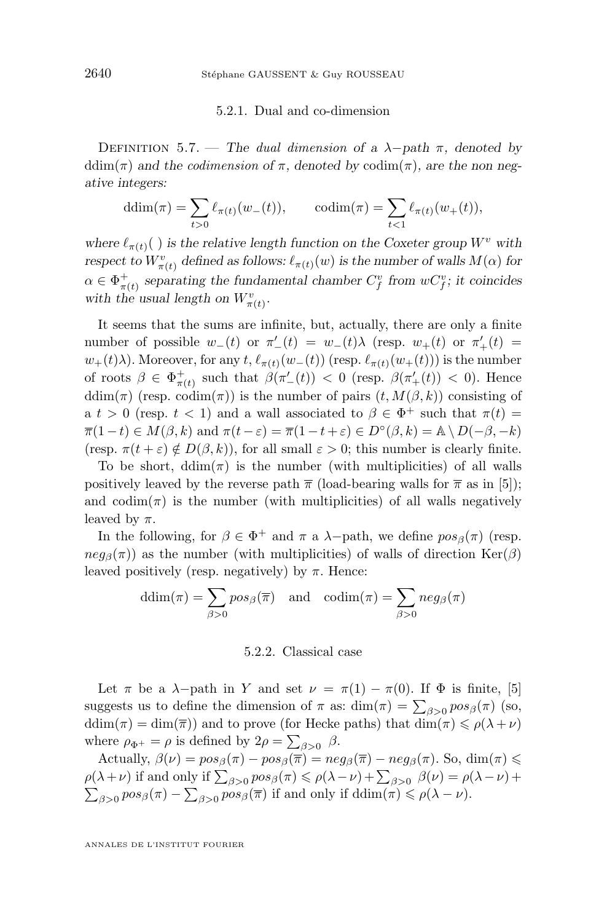#### 5.2.1. Dual and co-dimension

<span id="page-36-0"></span>DEFINITION 5.7. — *The dual dimension* of a  $\lambda$ -*path*  $\pi$ *, denoted by* ddim( $\pi$ ) and the *codimension* of  $\pi$ , denoted by codim( $\pi$ ), are the non neg*ative integers:*

$$
ddim(\pi) = \sum_{t>0} \ell_{\pi(t)}(w_-(t)), \quad \text{codim}(\pi) = \sum_{t<1} \ell_{\pi(t)}(w_+(t)),
$$

*where*  $\ell_{\pi(t)}$ ( ) *is the relative length function on the Coxeter group*  $W^v$  *with respect to*  $W^v_{\pi(t)}$  defined as follows:  $\ell_{\pi(t)}(w)$  is the number of walls  $M(\alpha)$  for  $\alpha \in \Phi^+_{\pi(t)}$  separating the fundamental chamber  $C^v_f$  from  $wC^v_f$ ; it coincides with the usual length on  $W^v_{\pi(t)}$ .

It seems that the sums are infinite, but, actually, there are only a finite number of possible  $w_-(t)$  or  $\pi'_-(t) = w_-(t)\lambda$  (resp.  $w_+(t)$  or  $\pi'_+(t) =$  $w_+(t)\lambda$ . Moreover, for any  $t, \ell_{\pi(t)}(w_-(t))$  (resp.  $\ell_{\pi(t)}(w_+(t))$ ) is the number of roots  $\beta \in \Phi^+_{\pi(t)}$  such that  $\beta(\pi'_{-}(t)) < 0$  (resp.  $\beta(\pi'_{+}(t)) < 0$ ). Hence ddim( $\pi$ ) (resp. codim( $\pi$ )) is the number of pairs  $(t, M(\beta, k))$  consisting of a  $t > 0$  (resp.  $t < 1$ ) and a wall associated to  $\beta \in \Phi^+$  such that  $\pi(t) =$  $\overline{\pi}(1-t) \in M(\beta, k)$  and  $\pi(t-\varepsilon) = \overline{\pi}(1-t+\varepsilon) \in D^{\circ}(\beta, k) = \mathbb{A} \setminus D(-\beta, -k)$ (resp.  $\pi(t + \varepsilon) \notin D(\beta, k)$ ), for all small  $\varepsilon > 0$ ; this number is clearly finite.

To be short,  $ddim(\pi)$  is the number (with multiplicities) of all walls positively leaved by the reverse path  $\bar{\pi}$  (load-bearing walls for  $\bar{\pi}$  as in [\[5\]](#page-52-0)); and  $\text{codim}(\pi)$  is the number (with multiplicities) of all walls negatively leaved by  $\pi$ .

In the following, for  $\beta \in \Phi^+$  and  $\pi$  a  $\lambda$ -path, we define  $pos_{\beta}(\pi)$  (resp.  $neg_\beta(\pi)$ ) as the number (with multiplicities) of walls of direction  $\text{Ker}(\beta)$ leaved positively (resp. negatively) by  $\pi$ . Hence:

$$
ddim(\pi) = \sum_{\beta > 0} pos_{\beta}(\overline{\pi}) \text{ and } codim(\pi) = \sum_{\beta > 0} neg_{\beta}(\pi)
$$

#### 5.2.2. Classical case

Let  $\pi$  be a  $\lambda$ -path in Y and set  $\nu = \pi(1) - \pi(0)$ . If  $\Phi$  is finite, [\[5\]](#page-52-0) suggests us to define the dimension of  $\pi$  as:  $\dim(\pi) = \sum_{\beta > 0} pos_{\beta}(\pi)$  (so, ddim( $\pi$ ) = dim( $\overline{\pi}$ )) and to prove (for Hecke paths) that dim( $\pi$ )  $\leq \rho(\lambda + \nu)$ where  $\rho_{\Phi^+} = \rho$  is defined by  $2\rho = \sum_{\beta > 0} \beta$ .

Actually,  $\beta(\nu) = pos_{\beta}(\pi) - pos_{\beta}(\overline{\pi}) = neg_{\beta}(\overline{\pi}) - neg_{\beta}(\pi)$ . So, dim $(\pi) \leq$  $\rho(\lambda+\nu)$  if and only if  $\sum_{\beta>0} pos_{\beta}(\pi) \leq \rho(\lambda-\nu) + \sum_{\beta>0} \beta(\nu) = \rho(\lambda-\nu) +$  $\sum_{\beta>0} pos_{\beta}(\pi) - \sum_{\beta>0} pos_{\beta}(\overline{\pi})$  if and only if  $ddim(\pi) \leq \rho(\lambda - \nu)$ .

ANNALES DE L'INSTITUT FOURIER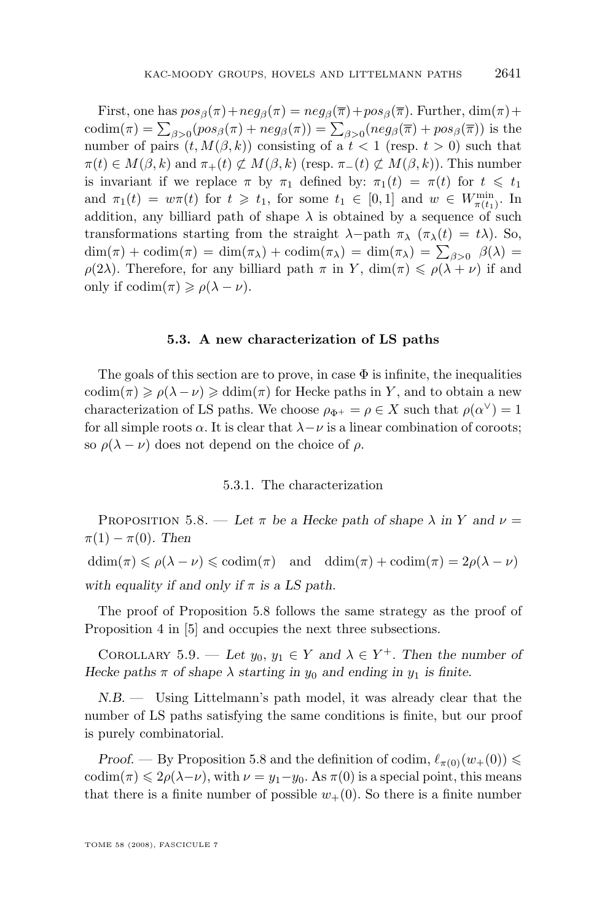<span id="page-37-0"></span>First, one has  $pos_{\beta}(\pi) + neg_{\beta}(\pi) = neg_{\beta}(\pi) + pos_{\beta}(\pi)$ . Further,  $dim(\pi) +$  $\text{codim}(\pi) = \sum_{\beta>0} (pos_{\beta}(\pi) + neg_{\beta}(\pi)) = \sum_{\beta>0} (neg_{\beta}(\overline{\pi}) + pos_{\beta}(\overline{\pi}))$  is the number of pairs  $(t, M(\beta, k))$  consisting of a  $t < 1$  (resp.  $t > 0$ ) such that  $\pi(t) \in M(\beta, k)$  and  $\pi_+(t) \not\subset M(\beta, k)$  (resp.  $\pi_-(t) \not\subset M(\beta, k)$ ). This number is invariant if we replace  $\pi$  by  $\pi_1$  defined by:  $\pi_1(t) = \pi(t)$  for  $t \leq t_1$ and  $\pi_1(t) = w\pi(t)$  for  $t \geq t_1$ , for some  $t_1 \in [0,1]$  and  $w \in W_{\pi(t_1)}^{\min}$ . In addition, any billiard path of shape  $\lambda$  is obtained by a sequence of such transformations starting from the straight  $\lambda$ -path  $\pi_{\lambda}$  ( $\pi_{\lambda}(t) = t\lambda$ ). So,  $\dim(\pi) + \text{codim}(\pi) = \dim(\pi_\lambda) + \text{codim}(\pi_\lambda) = \dim(\pi_\lambda) = \sum_{\beta > 0} \beta(\lambda) =$  $\rho(2\lambda)$ . Therefore, for any billiard path  $\pi$  in Y,  $\dim(\pi) \leq \rho(\lambda + \nu)$  if and only if  $\text{codim}(\pi) \geqslant \rho(\lambda - \nu)$ .

#### **5.3. A new characterization of LS paths**

The goals of this section are to prove, in case  $\Phi$  is infinite, the inequalities codim( $\pi$ )  $\geq \rho(\lambda - \nu) \geq \text{ddim}(\pi)$  for Hecke paths in Y, and to obtain a new characterization of LS paths. We choose  $\rho_{\Phi^+} = \rho \in X$  such that  $\rho(\alpha^{\vee}) = 1$ for all simple roots  $\alpha$ . It is clear that  $\lambda - \nu$  is a linear combination of coroots; so  $\rho(\lambda - \nu)$  does not depend on the choice of  $\rho$ .

#### 5.3.1. The characterization

PROPOSITION 5.8. — Let  $\pi$  be a Hecke path of shape  $\lambda$  in Y and  $\nu =$  $\pi(1) - \pi(0)$ . Then  $ddim(\pi) \leq \rho(\lambda - \nu) \leq \operatorname{codim}(\pi)$  and  $ddim(\pi) + \operatorname{codim}(\pi) = 2\rho(\lambda - \nu)$ with equality if and only if  $\pi$  is a LS path.

The proof of Proposition 5.8 follows the same strategy as the proof of Proposition 4 in [\[5\]](#page-52-0) and occupies the next three subsections.

COROLLARY 5.9. — Let  $y_0, y_1 \in Y$  and  $\lambda \in Y^+$ . Then the number of *Hecke paths*  $\pi$  *of shape*  $\lambda$  *starting* in  $y_0$  *and ending* in  $y_1$  *is finite.* 

*N.B. —* Using Littelmann's path model, it was already clear that the number of LS paths satisfying the same conditions is finite, but our proof is purely combinatorial.

*Proof.* — By Proposition 5.8 and the definition of codim,  $\ell_{\pi(0)}(w_+(0)) \leq$ codim( $\pi$ )  $\leq 2\rho(\lambda-\nu)$ , with  $\nu = y_1-y_0$ . As  $\pi(0)$  is a special point, this means that there is a finite number of possible  $w_+(0)$ . So there is a finite number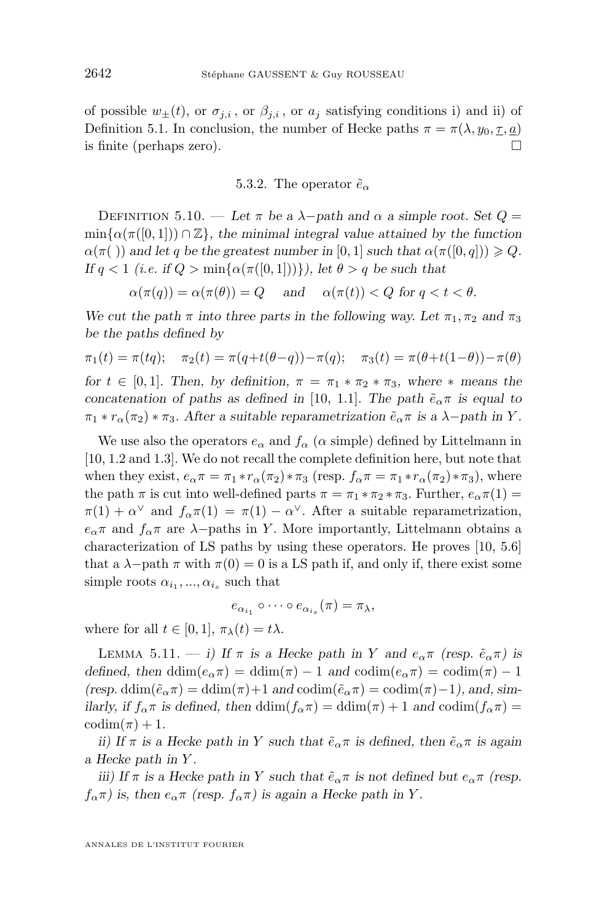<span id="page-38-0"></span>of possible  $w_{\pm}(t)$ , or  $\sigma_{j,i}$ , or  $\beta_{j,i}$ , or  $a_j$  satisfying conditions i) and ii) of Definition [5.1.](#page-33-0) In conclusion, the number of Hecke paths  $\pi = \pi(\lambda, y_0, \tau, a)$ is finite (perhaps zero).  $\Box$ 

#### 5.3.2. The operator  $\tilde{e}_{\alpha}$

DEFINITION 5.10. — Let  $\pi$  be a  $\lambda$ -path and  $\alpha$  a simple root. Set  $Q =$  $\min{\alpha(\pi([0,1])) \cap \mathbb{Z}}$ *, the minimal integral value attained by the function*  $\alpha(\pi(\cdot))$  and let q be the greatest number in [0, 1] such that  $\alpha(\pi([0, q])) \geq Q$ . *If*  $q < 1$  (*i.e. if*  $Q > \min\{\alpha(\pi([0, 1]))\}$ *), let*  $\theta > q$  *be such that* 

 $\alpha(\pi(q)) = \alpha(\pi(\theta)) = Q$  and  $\alpha(\pi(t)) < Q$  for  $q < t < \theta$ .

We cut the path  $\pi$  *into three parts in the following way. Let*  $\pi_1, \pi_2$  *and*  $\pi_3$ *be the paths defined by*

$$
\pi_1(t) = \pi(tq); \quad \pi_2(t) = \pi(q+t(\theta-q)) - \pi(q); \quad \pi_3(t) = \pi(\theta+t(1-\theta)) - \pi(\theta)
$$

*for*  $t \in [0, 1]$ *. Then, by definition,*  $\pi = \pi_1 * \pi_2 * \pi_3$ *, where*  $*$  *means the concatenation of paths as defined in* [\[10,](#page-53-0) 1.1]*. The path*  $\tilde{e}_{\alpha} \pi$  *is equal to*  $\pi_1 * r_\alpha(\pi_2) * \pi_3$ . After a suitable reparametrization  $\tilde{e}_\alpha \pi$  is a  $\lambda$ -*path* in Y.

We use also the operators  $e_{\alpha}$  and  $f_{\alpha}$  ( $\alpha$  simple) defined by Littelmann in [\[10,](#page-53-0) 1.2 and 1.3]. We do not recall the complete definition here, but note that when they exist,  $e_{\alpha}\pi = \pi_1 * r_{\alpha}(\pi_2) * \pi_3$  (resp.  $f_{\alpha}\pi = \pi_1 * r_{\alpha}(\pi_2) * \pi_3$ ), where the path  $\pi$  is cut into well-defined parts  $\pi = \pi_1 * \pi_2 * \pi_3$ . Further,  $e_\alpha \pi(1) =$  $\pi(1) + \alpha^{\vee}$  and  $f_{\alpha}\pi(1) = \pi(1) - \alpha^{\vee}$ . After a suitable reparametrization,  $e_{\alpha} \pi$  and  $f_{\alpha} \pi$  are  $\lambda$ -paths in Y. More importantly, Littelmann obtains a characterization of LS paths by using these operators. He proves [\[10,](#page-53-0) 5.6] that a  $\lambda$ -path  $\pi$  with  $\pi(0) = 0$  is a LS path if, and only if, there exist some simple roots  $\alpha_{i_1},...,\alpha_{i_s}$  such that

$$
e_{\alpha_{i_1}} \circ \cdots \circ e_{\alpha_{i_s}}(\pi) = \pi_{\lambda},
$$

where for all  $t \in [0, 1]$ ,  $\pi_{\lambda}(t) = t\lambda$ .

LEMMA 5.11. — *i)* If  $\pi$  is a Hecke path in Y and  $e_{\alpha}\pi$  (resp.  $\tilde{e}_{\alpha}\pi$ ) is *defined, then* ddim $(e_{\alpha}\pi) = \text{ddim}(\pi) - 1$  *and*  $\text{codim}(e_{\alpha}\pi) = \text{codim}(\pi) - 1$  $(resp. \text{ddim}(\tilde{e}_{\alpha}\pi) = \text{ddim}(\pi) + 1 \text{ and } \text{codim}(\tilde{e}_{\alpha}\pi) = \text{codim}(\pi) - 1$ , and, sim*ilarly, if*  $f_{\alpha}\pi$  *is defined, then* ddim $(f_{\alpha}\pi) = \text{ddim}(\pi) + 1$  *and*  $\text{codim}(f_{\alpha}\pi) =$  $\operatorname{codim}(\pi) + 1$ .

*ii)* If  $\pi$  *is a Hecke path in* Y *such that*  $\tilde{e}_{\alpha}\pi$  *is defined, then*  $\tilde{e}_{\alpha}\pi$  *is again a Hecke path in* Y *.*

*iii)* If  $\pi$  *is a Hecke path in* Y *such that*  $\tilde{e}_{\alpha}\pi$  *is not defined but*  $e_{\alpha}\pi$  (resp.  $f_{\alpha}(\pi)$  is, then  $e_{\alpha}(\pi)$  (resp.  $f_{\alpha}(\pi)$ ) is again a Hecke path in Y.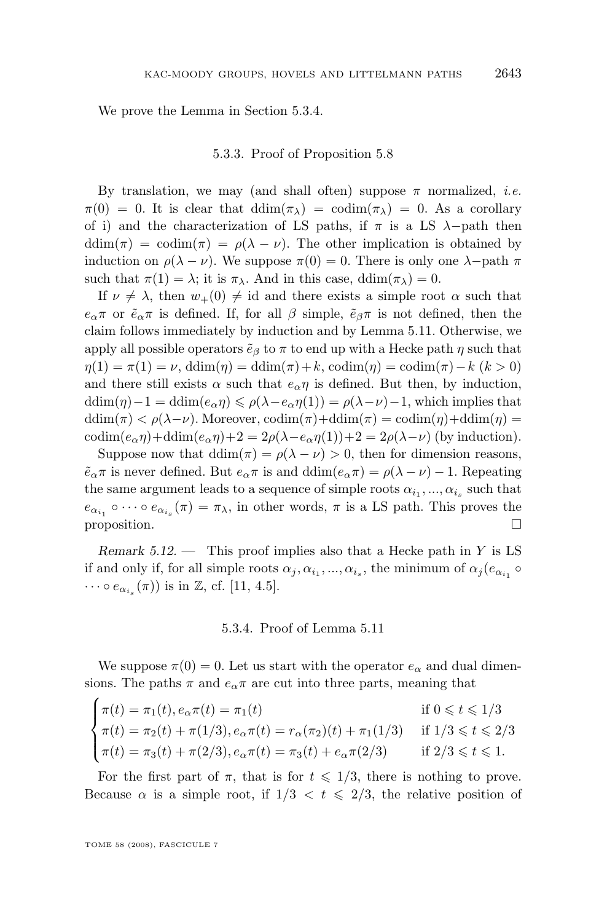We prove the Lemma in Section 5.3.4.

#### 5.3.3. Proof of Proposition [5.8](#page-37-0)

By translation, we may (and shall often) suppose  $\pi$  normalized, *i.e.*  $\pi(0) = 0$ . It is clear that  $\dim(\pi_{\lambda}) = \text{codim}(\pi_{\lambda}) = 0$ . As a corollary of i) and the characterization of LS paths, if  $\pi$  is a LS  $\lambda$ -path then ddim( $\pi$ ) = codim( $\pi$ ) =  $\rho(\lambda - \nu)$ . The other implication is obtained by induction on  $\rho(\lambda - \nu)$ . We suppose  $\pi(0) = 0$ . There is only one  $\lambda$ -path  $\pi$ such that  $\pi(1) = \lambda$ ; it is  $\pi_{\lambda}$ . And in this case, ddim $(\pi_{\lambda}) = 0$ .

If  $\nu \neq \lambda$ , then  $w_{+}(0) \neq id$  and there exists a simple root  $\alpha$  such that  $e_{\alpha}\pi$  or  $\tilde{e}_{\alpha}\pi$  is defined. If, for all  $\beta$  simple,  $\tilde{e}_{\beta}\pi$  is not defined, then the claim follows immediately by induction and by Lemma [5.11.](#page-38-0) Otherwise, we apply all possible operators  $\tilde{e}_{\beta}$  to  $\pi$  to end up with a Hecke path  $\eta$  such that  $\eta(1) = \pi(1) = \nu$ , ddim( $\eta$ ) = ddim( $\pi$ ) + k, codim( $\eta$ ) = codim( $\pi$ ) – k (k > 0) and there still exists  $\alpha$  such that  $e_{\alpha} \eta$  is defined. But then, by induction,  $\text{ddim}(\eta)-1=\text{ddim}(e_{\alpha}\eta)\leqslant\rho(\lambda-e_{\alpha}\eta(1))=\rho(\lambda-\nu)-1$ , which implies that ddim( $\pi$ ) <  $\rho(\lambda-\nu)$ . Moreover, codim( $\pi$ ) + ddim( $\pi$ ) = codim( $\eta$ ) + ddim( $\eta$ ) = codim $(e_{\alpha}\eta)$ +ddim $(e_{\alpha}\eta)$ +2 = 2 $\rho(\lambda-e_{\alpha}\eta(1))$ +2 = 2 $\rho(\lambda-\nu)$  (by induction).

Suppose now that  $ddim(\pi) = \rho(\lambda - \nu) > 0$ , then for dimension reasons,  $\tilde{e}_{\alpha}\pi$  is never defined. But  $e_{\alpha}\pi$  is and  $\text{ddim}(e_{\alpha}\pi) = \rho(\lambda - \nu) - 1$ . Repeating the same argument leads to a sequence of simple roots  $\alpha_{i_1},...,\alpha_{i_s}$  such that  $e_{\alpha_{i_1}} \circ \cdots \circ e_{\alpha_{i_s}}(\pi) = \pi_\lambda$ , in other words,  $\pi$  is a LS path. This proves the proposition.  $\Box$ 

*Remark 5.12. —* This proof implies also that a Hecke path in Y is LS if and only if, for all simple roots  $\alpha_j, \alpha_{i_1}, ..., \alpha_{i_s}$ , the minimum of  $\alpha_j(e_{\alpha_{i_1}} \circ$  $\cdots \circ e_{\alpha_{i_s}}(\pi)$  is in Z, cf. [\[11,](#page-53-0) 4.5].

#### 5.3.4. Proof of Lemma [5.11](#page-38-0)

We suppose  $\pi(0) = 0$ . Let us start with the operator  $e_{\alpha}$  and dual dimensions. The paths  $\pi$  and  $e_{\alpha}\pi$  are cut into three parts, meaning that

$$
\begin{cases}\n\pi(t) = \pi_1(t), e_{\alpha}\pi(t) = \pi_1(t) & \text{if } 0 \leq t \leq 1/3 \\
\pi(t) = \pi_2(t) + \pi(1/3), e_{\alpha}\pi(t) = r_{\alpha}(\pi_2)(t) + \pi_1(1/3) & \text{if } 1/3 \leq t \leq 2/3 \\
\pi(t) = \pi_3(t) + \pi(2/3), e_{\alpha}\pi(t) = \pi_3(t) + e_{\alpha}\pi(2/3) & \text{if } 2/3 \leq t \leq 1.\n\end{cases}
$$

For the first part of  $\pi$ , that is for  $t \leq 1/3$ , there is nothing to prove. Because  $\alpha$  is a simple root, if  $1/3 < t \leq 2/3$ , the relative position of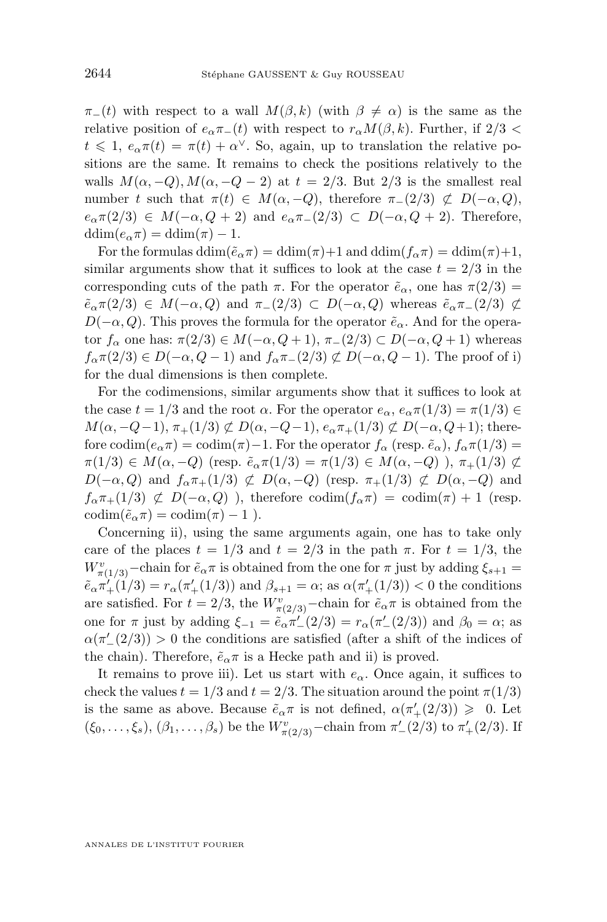$\pi_{-}(t)$  with respect to a wall  $M(\beta, k)$  (with  $\beta \neq \alpha$ ) is the same as the relative position of  $e_{\alpha} \pi_-(t)$  with respect to  $r_{\alpha} M(\beta, k)$ . Further, if 2/3 <  $t \leq 1, e_{\alpha} \pi(t) = \pi(t) + \alpha^{\vee}$ . So, again, up to translation the relative positions are the same. It remains to check the positions relatively to the walls  $M(\alpha, -Q), M(\alpha, -Q - 2)$  at  $t = 2/3$ . But  $2/3$  is the smallest real number t such that  $\pi(t) \in M(\alpha, -Q)$ , therefore  $\pi_-(2/3) \not\subset D(-\alpha, Q)$ ,  $e_{\alpha} \pi(2/3) \in M(-\alpha, Q+2)$  and  $e_{\alpha} \pi_-(2/3) \subset D(-\alpha, Q+2)$ . Therefore,  $ddim(e_{\alpha}\pi) = ddim(\pi) - 1.$ 

For the formulas  $\dim(\tilde{e}_{\alpha}\pi) = \dim(\pi)+1$  and  $\dim(f_{\alpha}\pi) = \dim(\pi)+1$ , similar arguments show that it suffices to look at the case  $t = 2/3$  in the corresponding cuts of the path  $\pi$ . For the operator  $\tilde{e}_{\alpha}$ , one has  $\pi(2/3)$  =  $\tilde{e}_{\alpha} \pi(2/3) \in M(-\alpha, Q)$  and  $\pi_{-}(2/3) \subset D(-\alpha, Q)$  whereas  $\tilde{e}_{\alpha} \pi_{-}(2/3) \not\subset$  $D(-\alpha, Q)$ . This proves the formula for the operator  $\tilde{e}_{\alpha}$ . And for the operator  $f_\alpha$  one has:  $\pi(2/3) \in M(-\alpha, Q+1), \pi_-(2/3) \subset D(-\alpha, Q+1)$  whereas  $f_{\alpha}(\pi(2/3) \in D(-\alpha, Q-1)$  and  $f_{\alpha}(\pi_-(2/3) \not\subset D(-\alpha, Q-1)$ . The proof of i) for the dual dimensions is then complete.

For the codimensions, similar arguments show that it suffices to look at the case  $t = 1/3$  and the root  $\alpha$ . For the operator  $e_{\alpha}$ ,  $e_{\alpha} \pi(1/3) = \pi(1/3) \in$  $M(\alpha, -Q-1), \pi_+(1/3) \not\subset D(\alpha, -Q-1), e_\alpha \pi_+(1/3) \not\subset D(-\alpha, Q+1);$  therefore codim $(e_{\alpha}\pi)$  = codim $(\pi)$  - 1. For the operator  $f_{\alpha}$  (resp.  $\tilde{e}_{\alpha}$ ),  $f_{\alpha}\pi(1/3)$  =  $\pi(1/3) \in M(\alpha, -Q)$  (resp.  $\tilde{e}_{\alpha} \pi(1/3) = \pi(1/3) \in M(\alpha, -Q)$ ),  $\pi_+(1/3) \not\subset$  $D(-\alpha, Q)$  and  $f_{\alpha}\pi_+(1/3) \not\subset D(\alpha, -Q)$  (resp.  $\pi_+(1/3) \not\subset D(\alpha, -Q)$  and  $f_{\alpha}\pi_{+}(1/3) \not\subset D(-\alpha,Q)$ , therefore  $\text{codim}(f_{\alpha}\pi) = \text{codim}(\pi) + 1$  (resp.  $\operatorname{codim}(\tilde{e}_{\alpha}\pi) = \operatorname{codim}(\pi) - 1$ ).

Concerning ii), using the same arguments again, one has to take only care of the places  $t = 1/3$  and  $t = 2/3$  in the path  $\pi$ . For  $t = 1/3$ , the  $W_{\pi(1/3)}^v$ –chain for  $\tilde{e}_{\alpha}\pi$  is obtained from the one for  $\pi$  just by adding  $\xi_{s+1}$  =  $\tilde{e}_{\alpha}\pi'_{+}(1/3) = r_{\alpha}(\pi'_{+}(1/3))$  and  $\beta_{s+1} = \alpha$ ; as  $\alpha(\pi'_{+}(1/3)) < 0$  the conditions are satisfied. For  $t = 2/3$ , the  $W_{\pi(2/3)}^v$ -chain for  $\tilde{e}_{\alpha}\pi$  is obtained from the one for  $\pi$  just by adding  $\xi_{-1} = \tilde{e}_{\alpha} \pi'_{-}(2/3) = r_{\alpha}(\pi'_{-}(2/3))$  and  $\beta_0 = \alpha$ ; as  $\alpha(\pi'_{-}(2/3)) > 0$  the conditions are satisfied (after a shift of the indices of the chain). Therefore,  $\tilde{e}_{\alpha}\pi$  is a Hecke path and ii) is proved.

It remains to prove iii). Let us start with  $e_{\alpha}$ . Once again, it suffices to check the values  $t = 1/3$  and  $t = 2/3$ . The situation around the point  $\pi(1/3)$ is the same as above. Because  $\tilde{e}_{\alpha}\pi$  is not defined,  $\alpha(\pi'_{+}(2/3)) \geq 0$ . Let  $(\xi_0, \ldots, \xi_s), (\beta_1, \ldots, \beta_s)$  be the  $W^v_{\pi(2/3)}$ -chain from  $\pi'_{-}(2/3)$  to  $\pi'_{+}(2/3)$ . If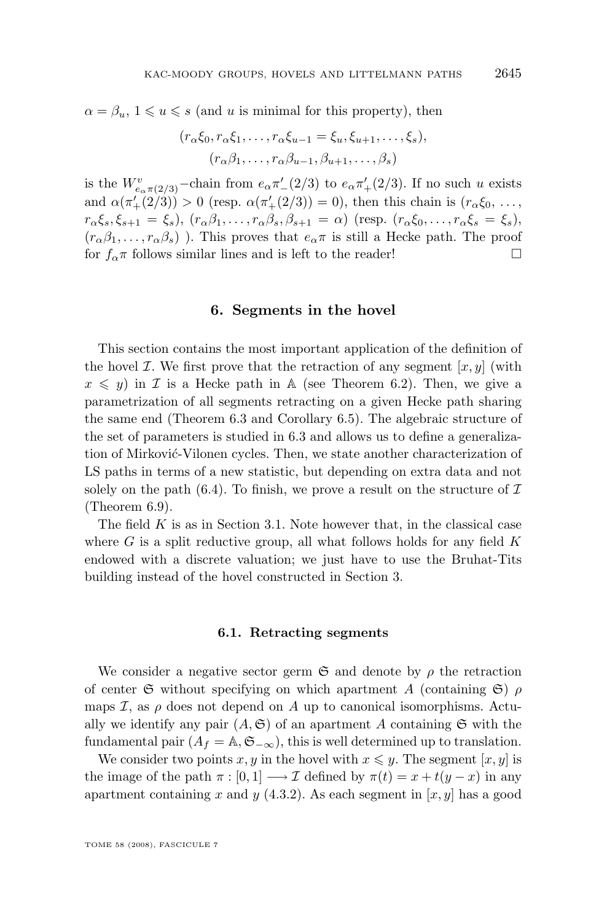<span id="page-41-0"></span> $\alpha = \beta_u, 1 \leq u \leq s$  (and u is minimal for this property), then

$$
(r_{\alpha}\xi_0, r_{\alpha}\xi_1, \dots, r_{\alpha}\xi_{u-1} = \xi_u, \xi_{u+1}, \dots, \xi_s),
$$

$$
(r_{\alpha}\beta_1, \dots, r_{\alpha}\beta_{u-1}, \beta_{u+1}, \dots, \beta_s)
$$

is the  $W_{e_{\alpha}\pi(2/3)}^v$ -chain from  $e_{\alpha}\pi'_{-}(2/3)$  to  $e_{\alpha}\pi'_{+}(2/3)$ . If no such u exists and  $\alpha(\pi'_{+}(2/3)) > 0$  (resp.  $\alpha(\pi'_{+}(2/3)) = 0$ ), then this chain is  $(r_{\alpha}\xi_0, \ldots,$  $r_{\alpha}\xi_s, \xi_{s+1} = \xi_s$ ,  $(r_{\alpha}\beta_1, \ldots, r_{\alpha}\beta_s, \beta_{s+1} = \alpha)$  (resp.  $(r_{\alpha}\xi_0, \ldots, r_{\alpha}\xi_s = \xi_s)$ )  $(r_{\alpha}\beta_1,\ldots,r_{\alpha}\beta_s)$ ). This proves that  $e_{\alpha}\pi$  is still a Hecke path. The proof for  $f_{\alpha}$ <sup>π</sup> follows similar lines and is left to the reader!

#### **6. Segments in the hovel**

This section contains the most important application of the definition of the hovel *I*. We first prove that the retraction of any segment  $[x, y]$  (with  $x \leq y$ ) in *I* is a Hecke path in A (see Theorem [6.2\)](#page-44-0). Then, we give a parametrization of all segments retracting on a given Hecke path sharing the same end (Theorem [6.3](#page-44-0) and Corollary [6.5\)](#page-46-0). The algebraic structure of the set of parameters is studied in [6.3](#page-46-0) and allows us to define a generalization of Mirković-Vilonen cycles. Then, we state another characterization of LS paths in terms of a new statistic, but depending on extra data and not solely on the path  $(6.4)$ . To finish, we prove a result on the structure of  $\mathcal I$ (Theorem [6.9\)](#page-50-0).

The field  $K$  is as in Section [3.1.](#page-13-0) Note however that, in the classical case where  $G$  is a split reductive group, all what follows holds for any field  $K$ endowed with a discrete valuation; we just have to use the Bruhat-Tits building instead of the hovel constructed in Section [3.](#page-12-0)

#### **6.1. Retracting segments**

We consider a negative sector germ  $\mathfrak S$  and denote by  $\rho$  the retraction of center G without specifying on which apartment A (containing  $\mathfrak{S}$ )  $\rho$ maps  $\mathcal{I}$ , as  $\rho$  does not depend on A up to canonical isomorphisms. Actually we identify any pair  $(A, \mathfrak{S})$  of an apartment A containing  $\mathfrak{S}$  with the fundamental pair  $(A_f = \mathbb{A}, \mathfrak{S}_{-\infty})$ , this is well determined up to translation.

We consider two points x, y in the hovel with  $x \leq y$ . The segment [x, y] is the image of the path  $\pi : [0, 1] \longrightarrow \mathcal{I}$  defined by  $\pi(t) = x + t(y - x)$  in any apartment containing x and y  $(4.3.2)$  $(4.3.2)$ . As each segment in  $[x, y]$  has a good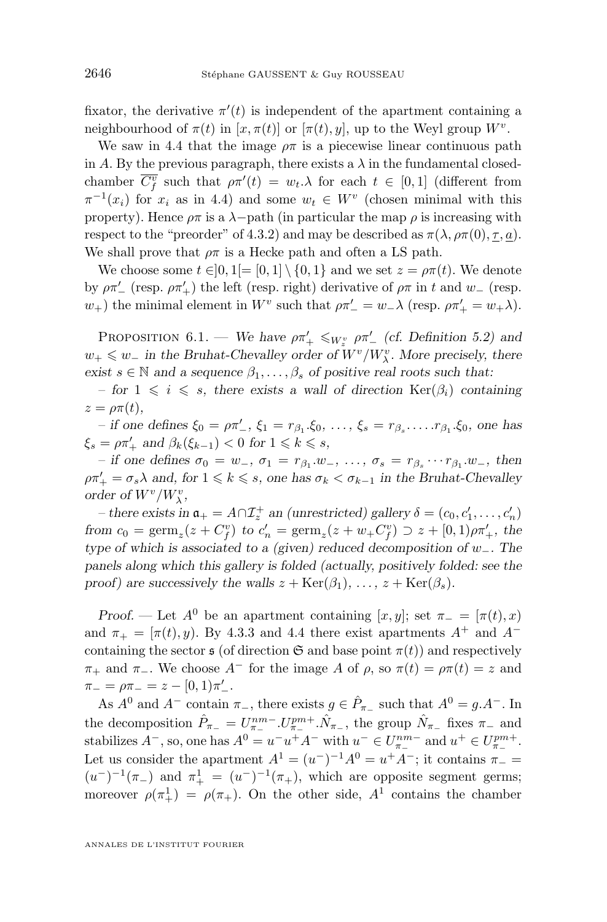<span id="page-42-0"></span>fixator, the derivative  $\pi'(t)$  is independent of the apartment containing a neighbourhood of  $\pi(t)$  in  $[x, \pi(t)]$  or  $[\pi(t), y]$ , up to the Weyl group  $W^v$ .

We saw in [4.4](#page-29-0) that the image  $\rho \pi$  is a piecewise linear continuous path in A. By the previous paragraph, there exists a  $\lambda$  in the fundamental closedchamber  $\overline{C_f^v}$  such that  $\rho \pi'(t) = w_t \cdot \lambda$  for each  $t \in [0,1]$  (different from  $\pi^{-1}(x_i)$  for  $x_i$  as in [4.4\)](#page-29-0) and some  $w_t \in W^v$  (chosen minimal with this property). Hence  $\rho \pi$  is a  $\lambda$ -path (in particular the map  $\rho$  is increasing with respect to the "preorder" of [4.3.](#page-27-0)2) and may be described as  $\pi(\lambda, \rho\pi(0), \tau, a)$ . We shall prove that  $\rho \pi$  is a Hecke path and often a LS path.

We choose some  $t \in ]0,1[= [0,1] \setminus \{0,1\}$  and we set  $z = \rho \pi(t)$ . We denote by  $\rho \pi'$  (resp.  $\rho \pi'$ ) the left (resp. right) derivative of  $\rho \pi$  in t and  $w$  (resp.  $w_+$ ) the minimal element in  $W^v$  such that  $\rho \pi'_{-} = w_{-} \lambda$  (resp.  $\rho \pi'_{+} = w_{+} \lambda$ ).

PROPOSITION 6.1. — We have  $\rho \pi'_{+} \leqslant_{W_z^v} \rho \pi'_{-}$  (cf. Definition [5.2\)](#page-34-0) and  $w_+$  ≤  $w_$  *in the Bruhat-Chevalley order of*  $W^v/W^v_\lambda$ *. More precisely, there exist*  $s \in \mathbb{N}$  *and a sequence*  $\beta_1, \ldots, \beta_s$  *of positive real roots such that:* 

*– for*  $1 \leq i \leq s$ , there exists a wall of direction  $\text{Ker}(\beta_i)$  containing  $z = \rho \pi(t)$ ,

*–* if one defines  $\xi_0 = \rho \pi'_-, \xi_1 = r_{\beta_1} \cdot \xi_0, \ldots, \xi_s = r_{\beta_s} \cdot \ldots \cdot r_{\beta_1} \cdot \xi_0$ , one has  $\xi_s = \rho \pi'_+$  and  $\beta_k(\xi_{k-1}) < 0$  for  $1 \leq k \leq s$ ,

 $-$  *if one defines*  $\sigma_0 = w_-, \ \sigma_1 = r_{\beta_1}.w_-, \ \ldots, \ \sigma_s = r_{\beta_s} \cdots r_{\beta_1}.w_-, \ \text{then}$  $\rho \pi'_{+} = \sigma_s \lambda$  and, for  $1 \leq k \leq s$ , one has  $\sigma_k < \sigma_{k-1}$  in the Bruhat-Chevalley *order of*  $W^v/W^v_\lambda$ ,

*– there exists in*  $\mathfrak{a}_+ = A \cap \mathcal{I}_z^+$  *an (unrestricted) gallery*  $\delta = (c_0, c'_1, \dots, c'_n)$ *from*  $c_0 = \text{germ}_z(z + C_f^v)$  *to*  $c'_n = \text{germ}_z(z + w_+ C_f^v) \supset z + [0, 1)\rho\pi'_+,$  *the type of which is associated to a (given) reduced decomposition of* w−*. The panels along which this gallery is folded (actually, positively folded: see the proof)* are successively the walls  $z + \text{Ker}(\beta_1), \ldots, z + \text{Ker}(\beta_s)$ .

*Proof.* — Let  $A^0$  be an apartment containing [x, y]; set  $\pi_- = [\pi(t), x]$ and  $\pi_+ = [\pi(t), y)$ . By [4.3.](#page-27-0)3 and [4.4](#page-29-0) there exist apartments  $A^+$  and  $A^$ containing the sector  $\mathfrak s$  (of direction  $\mathfrak S$  and base point  $\pi(t)$ ) and respectively  $\pi_+$  and  $\pi_-$ . We choose  $A^-$  for the image A of  $\rho$ , so  $\pi(t) = \rho \pi(t) = z$  and  $\pi_{-} = \rho \pi_{-} = z - [0, 1)\pi'_{-}.$ 

As  $A^0$  and  $A^-$  contain  $\pi_-,$  there exists  $g \in \hat{P}_{\pi_-}$  such that  $A^0 = g \cdot A^-$ . In the decomposition  $\hat{P}_{\pi_-} = U^{nm-}_{\pi_-} \cdot U^{pm+}_{\pi_-} \cdot \hat{N}_{\pi_-}$ , the group  $\hat{N}_{\pi_-}$  fixes  $\pi_-$  and stabilizes  $A^-$ , so, one has  $A^0 = u^-u^+A^-$  with  $u^- \in U_{\pi_-}^{nm-}$  and  $u^+ \in U_{\pi_-}^{pm+}$ . Let us consider the apartment  $A^1 = (u^-)^{-1}A^0 = u^+A^-$ ; it contains  $\pi_ (u^-)^{-1}(\pi_-)$  and  $\pi_+^1 = (u^-)^{-1}(\pi_+),$  which are opposite segment germs; moreover  $\rho(\pi_+^1) = \rho(\pi_+^1)$ . On the other side,  $A^1$  contains the chamber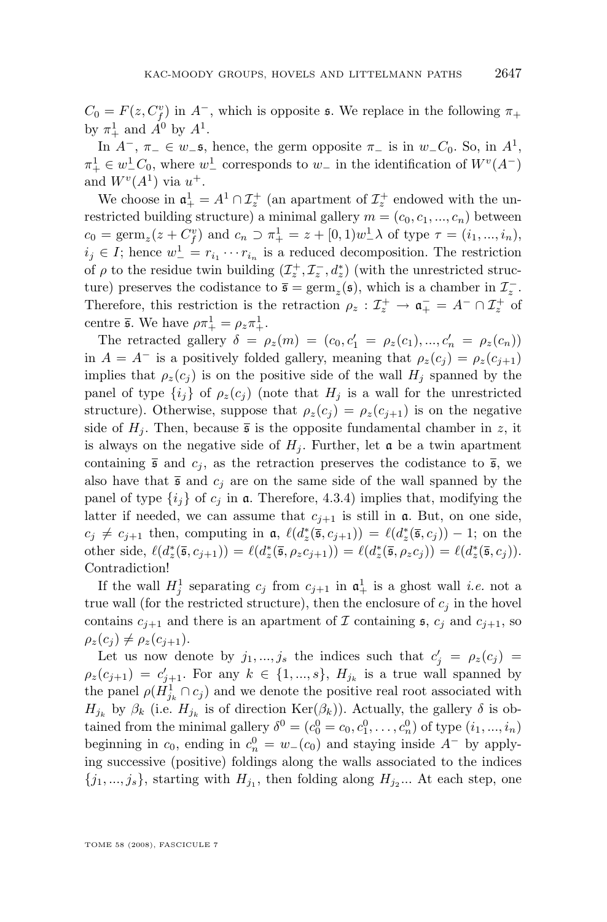$C_0 = F(z, C_f^v)$  in  $A^-$ , which is opposite s. We replace in the following  $\pi_+$ by  $\pi^1_+$  and  $A^0$  by  $A^1$ .

In  $A^-$ ,  $\pi_-\in w_-\mathfrak{s}$ , hence, the germ opposite  $\pi_-\,$  is in  $w_-\mathcal{C}_0$ . So, in  $A^1$ ,  $\pi^1_+ \in w^1_-\mathcal{C}_0$ , where  $w^1_-\text{ corresponds to }w_-\text{ in the identification of }W^v(A^-)$ and  $W^{v}(A^{1})$  via  $u^{+}$ .

We choose in  $\mathfrak{a}^1_+ = A^1 \cap \mathcal{I}^+_z$  (an apartment of  $\mathcal{I}^+_z$  endowed with the unrestricted building structure) a minimal gallery  $m = (c_0, c_1, ..., c_n)$  between  $c_0 = \text{germ}_z(z + C_f^v)$  and  $c_n \supset \pi_+^1 = z + [0, 1)w_-^1 \lambda$  of type  $\tau = (i_1, ..., i_n)$ ,  $i_j \in I$ ; hence  $w^1 = r_{i_1} \cdots r_{i_n}$  is a reduced decomposition. The restriction of  $\rho$  to the residue twin building  $(\mathcal{I}_z^+, \mathcal{I}_z^-, d_z^*)$  (with the unrestricted structure) preserves the codistance to  $\bar{\mathfrak{s}} = \text{germ}_{z}(\mathfrak{s})$ , which is a chamber in  $\mathcal{I}_{z}^{-}$ . Therefore, this restriction is the retraction  $\rho_z : \mathcal{I}_z^+ \to \mathfrak{a}_+^- = A^- \cap \mathcal{I}_z^+$  of centre  $\bar{\mathfrak{s}}$ . We have  $\rho \pi^1_+ = \rho_z \pi^1_+$ .

The retracted gallery  $\delta = \rho_z(m) = (c_0, c'_1 = \rho_z(c_1), ..., c'_n = \rho_z(c_n))$ in  $A = A^-$  is a positively folded gallery, meaning that  $\rho_z(c_j) = \rho_z(c_{j+1})$ implies that  $\rho_z(c_j)$  is on the positive side of the wall  $H_j$  spanned by the panel of type  $\{i_j\}$  of  $\rho_z(c_j)$  (note that  $H_j$  is a wall for the unrestricted structure). Otherwise, suppose that  $\rho_z(c_i) = \rho_z(c_{i+1})$  is on the negative side of  $H_i$ . Then, because  $\bar{\mathfrak{s}}$  is the opposite fundamental chamber in z, it is always on the negative side of  $H_i$ . Further, let  $\alpha$  be a twin apartment containing  $\bar{\mathfrak{s}}$  and  $c_j$ , as the retraction preserves the codistance to  $\bar{\mathfrak{s}}$ , we also have that  $\bar{\mathfrak{s}}$  and  $c_j$  are on the same side of the wall spanned by the panel of type  $\{i_j\}$  of  $c_j$  in  $\mathfrak{a}$ . Therefore, [4.3.](#page-27-0)4) implies that, modifying the latter if needed, we can assume that  $c_{i+1}$  is still in  $\mathfrak{a}$ . But, on one side,  $c_j \neq c_{j+1}$  then, computing in  $\mathfrak{a}, \ell(d^*_{z}(\bar{\mathfrak{s}}, c_{j+1})) = \ell(d^*_{z}(\bar{\mathfrak{s}}, c_j)) - 1$ ; on the other side,  $\ell(d_z^*(\bar{\mathfrak{s}}, c_{j+1})) = \ell(d_z^*(\bar{\mathfrak{s}}, \rho_z c_{j+1})) = \ell(d_z^*(\bar{\mathfrak{s}}, \rho_z c_j)) = \ell(d_z^*(\bar{\mathfrak{s}}, c_j)).$ Contradiction!

If the wall  $H_j^1$  separating  $c_j$  from  $c_{j+1}$  in  $\mathfrak{a}^1_+$  is a ghost wall *i.e.* not a true wall (for the restricted structure), then the enclosure of  $c_j$  in the hovel contains  $c_{j+1}$  and there is an apartment of  $\mathcal I$  containing  $\mathfrak s$ ,  $c_j$  and  $c_{j+1}$ , so  $\rho_z(c_i) \neq \rho_z(c_{i+1}).$ 

Let us now denote by  $j_1, ..., j_s$  the indices such that  $c'_j = \rho_z(c_j)$  $\rho_z(c_{j+1}) = c'_{j+1}$ . For any  $k \in \{1, ..., s\}$ ,  $H_{j_k}$  is a true wall spanned by the panel  $\rho(\dot{H}_{j_k}^1 \cap c_j)$  and we denote the positive real root associated with  $H_{j_k}$  by  $\beta_k$  (i.e.  $H_{j_k}$  is of direction  $\text{Ker}(\beta_k)$ ). Actually, the gallery  $\delta$  is obtained from the minimal gallery  $\delta^0 = (c_0^0 = c_0, c_1^0, \dots, c_n^0)$  of type  $(i_1, ..., i_n)$ beginning in  $c_0$ , ending in  $c_n^0 = w_-(c_0)$  and staying inside  $A^-$  by applying successive (positive) foldings along the walls associated to the indices  ${j_1, ..., j_s}$ , starting with  $H_{j_1}$ , then folding along  $H_{j_2}$ ... At each step, one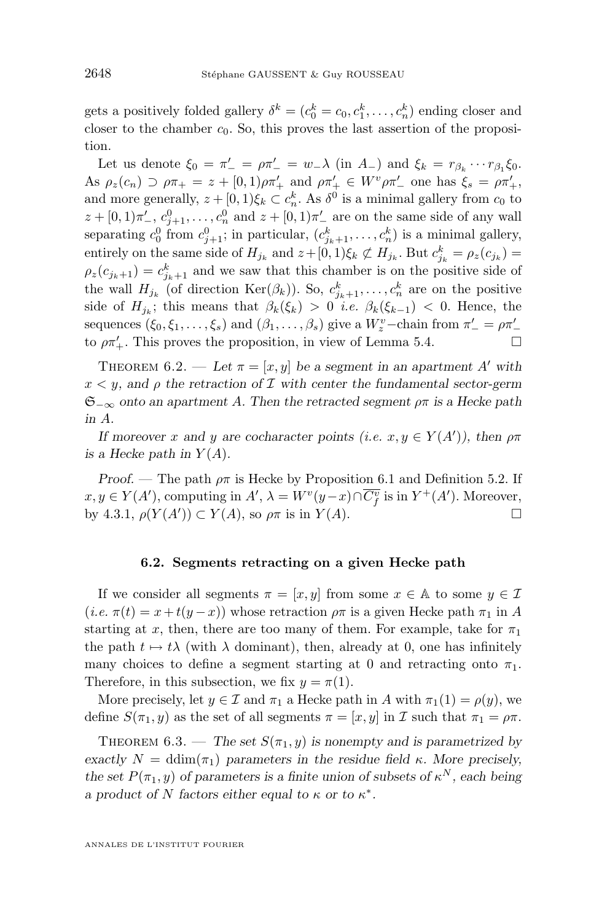<span id="page-44-0"></span>gets a positively folded gallery  $\delta^k = (c_0^k = c_0, c_1^k, \dots, c_n^k)$  ending closer and closer to the chamber  $c_0$ . So, this proves the last assertion of the proposition.

Let us denote  $\xi_0 = \pi'_{-} = \rho \pi'_{-} = w_{-} \lambda$  (in  $A_{-}$ ) and  $\xi_k = r_{\beta_k} \cdots r_{\beta_1} \xi_0$ . As  $\rho_z(c_n) \supset \rho \pi_+ = z + [0, 1) \rho \pi'_+$  and  $\rho \pi'_+ \in W^v \rho \pi'_-$  one has  $\xi_s = \rho \pi'_+,$ and more generally,  $z + [0, 1)\xi_k \subset c_n^k$ . As  $\delta^0$  is a minimal gallery from  $c_0$  to  $z + [0, 1)\pi'$ ,  $c_{j+1}^0, \ldots, c_n^0$  and  $z + [0, 1)\pi'$  are on the same side of any wall separating  $c_0^0$  from  $c_{j+1}^0$ ; in particular,  $(c_{j_k+1}^k, \ldots, c_n^k)$  is a minimal gallery, entirely on the same side of  $H_{j_k}$  and  $z + [0, 1)\xi_k \not\subset H_{j_k}$ . But  $c_{j_k}^k = \rho_z(c_{j_k}) =$  $\rho_z(c_{j_k+1}) = c_{j_k+1}^k$  and we saw that this chamber is on the positive side of the wall  $H_{j_k}$  (of direction  $\text{Ker}(\beta_k)$ ). So,  $c_{j_k+1}^k, \ldots, c_n^k$  are on the positive side of  $H_{j_k}$ ; this means that  $\beta_k(\xi_k) > 0$  *i.e.*  $\beta_k(\xi_{k-1}) < 0$ . Hence, the sequences  $(\xi_0, \xi_1, \dots, \xi_s)$  and  $(\beta_1, \dots, \beta_s)$  give a  $W_z^v$ -chain from  $\pi' = \rho \pi'$ to  $\rho \pi'_{+}$ . This proves the proposition, in view of Lemma [5.4.](#page-34-0)

THEOREM 6.2. — Let  $\pi = [x, y]$  be a segment in an apartment A' with x < y*, and* ρ *the retraction of* I *with center the fundamental sector-germ* S−∞ *onto an apartment* A*. Then the retracted segment* ρπ *is a Hecke path in* A*.*

*If moreover* x and y are cocharacter points (*i.e.*  $x, y \in Y(A')$ ), then  $\rho \pi$ *is a Hecke path in*  $Y(A)$ *.* 

*Proof.* — The path  $\rho \pi$  is Hecke by Proposition [6.1](#page-42-0) and Definition [5.2.](#page-34-0) If  $x, y \in Y(A')$ , computing in  $A', \lambda = W^v(y-x) \cap \overline{C_f^v}$  is in  $Y^+(A')$ . Moreover, by [4.3.](#page-27-0)1,  $\rho(Y(A')) \subset Y(A)$ , so  $\rho \pi$  is in  $Y(A)$ .

#### **6.2. Segments retracting on a given Hecke path**

If we consider all segments  $\pi = [x, y]$  from some  $x \in A$  to some  $y \in \mathcal{I}$  $(i.e. \pi(t) = x + t(y - x)$ ) whose retraction  $\rho \pi$  is a given Hecke path  $\pi_1$  in A starting at x, then, there are too many of them. For example, take for  $\pi_1$ the path  $t \mapsto t\lambda$  (with  $\lambda$  dominant), then, already at 0, one has infinitely many choices to define a segment starting at 0 and retracting onto  $\pi_1$ . Therefore, in this subsection, we fix  $y = \pi(1)$ .

More precisely, let  $y \in \mathcal{I}$  and  $\pi_1$  a Hecke path in A with  $\pi_1(1) = \rho(y)$ , we define  $S(\pi_1, y)$  as the set of all segments  $\pi = [x, y]$  in  $\mathcal I$  such that  $\pi_1 = \rho \pi$ .

THEOREM 6.3. — *The set*  $S(\pi_1, y)$  *is nonempty and is parametrized by exactly*  $N = \text{ddim}(\pi_1)$  *parameters in the residue field* κ*. More precisely, the set*  $P(\pi_1, y)$  *of parameters is a finite union of subsets of*  $\kappa^N$ *, each being a* product of N factors either equal to  $\kappa$  or to  $\kappa^*$ .

ANNALES DE L'INSTITUT FOURIER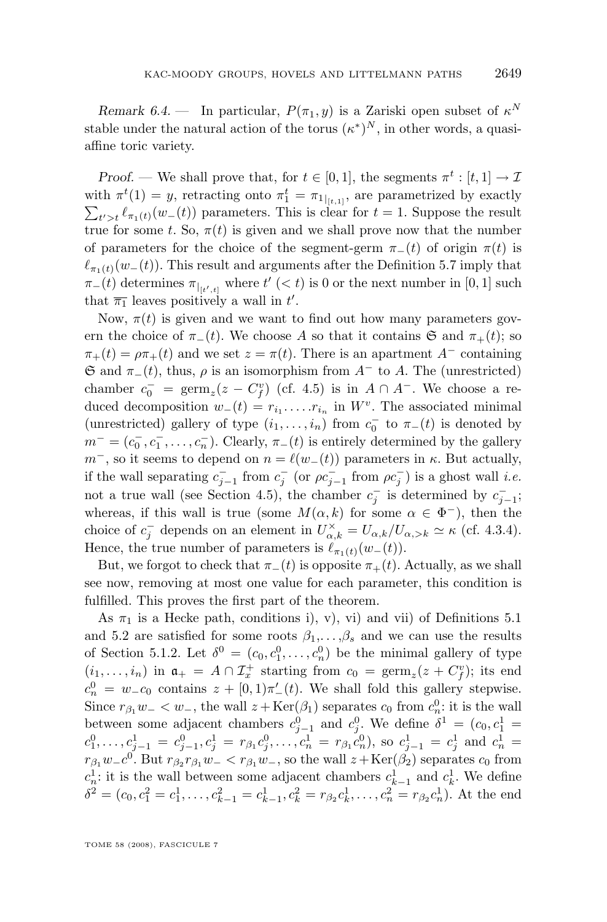*Remark 6.4.* – In particular,  $P(\pi_1, y)$  is a Zariski open subset of  $\kappa^N$ stable under the natural action of the torus  $(\kappa^*)^N$ , in other words, a quasiaffine toric variety.

*Proof.* — We shall prove that, for  $t \in [0, 1]$ , the segments  $\pi^t : [t, 1] \to \mathcal{I}$ with  $\pi^t(1) = y$ , retracting onto  $\pi_1^t = \pi_1|_{[t,1]}$ , are parametrized by exactly  $\sum_{t' > t} \ell_{\pi_1(t)}(w_-(t))$  parameters. This is clear for  $t = 1$ . Suppose the result true for some t. So,  $\pi(t)$  is given and we shall prove now that the number of parameters for the choice of the segment-germ  $\pi_-(t)$  of origin  $\pi(t)$  is  $\ell_{\pi_1(t)}(w_-(t))$ . This result and arguments after the Definition [5.7](#page-36-0) imply that  $\pi_-(t)$  determines  $\pi_{|_{[t',t]}}$  where  $t' \; (< t)$  is 0 or the next number in [0, 1] such that  $\overline{\pi_1}$  leaves positively a wall in t'.

Now,  $\pi(t)$  is given and we want to find out how many parameters govern the choice of  $\pi_-(t)$ . We choose A so that it contains G and  $\pi_+(t)$ ; so  $\pi_+(t) = \rho \pi_+(t)$  and we set  $z = \pi(t)$ . There is an apartment  $A^-$  containing  $\mathfrak{S}$  and  $\pi_-(t)$ , thus,  $\rho$  is an isomorphism from  $A^-$  to A. The (unrestricted) chamber  $c_0^- = \text{germ}_z(z - C_f^v)$  (cf. [4.5\)](#page-30-0) is in  $A \cap A^-$ . We choose a reduced decomposition  $w_-(t) = r_{i_1} \ldots r_{i_n}$  in  $W^v$ . The associated minimal (unrestricted) gallery of type  $(i_1, \ldots, i_n)$  from  $c_0^-$  to  $\pi_-(t)$  is denoted by  $m^- = (c_0^-, c_1^-, \ldots, c_n^-)$ . Clearly,  $\pi_-(t)$  is entirely determined by the gallery  $m^-$ , so it seems to depend on  $n = \ell(w_-(t))$  parameters in  $\kappa$ . But actually, if the wall separating  $c_{j-1}^-$  from  $c_j^-$  (or  $\rho c_{j-1}^-$  from  $\rho c_j^-$ ) is a ghost wall *i.e.* not a true wall (see Section [4.5\)](#page-30-0), the chamber  $c_j^-$  is determined by  $c_{j-1}^-$ ; whereas, if this wall is true (some  $M(\alpha, k)$  for some  $\alpha \in \Phi^-$ ), then the choice of  $c_j^-$  depends on an element in  $U_{\alpha,k}^{\times} = U_{\alpha,k}/U_{\alpha,>k} \simeq \kappa$  (cf. [4.3.](#page-27-0)4). Hence, the true number of parameters is  $\ell_{\pi_1(t)}(w_-(t)).$ 

But, we forgot to check that  $\pi_-(t)$  is opposite  $\pi_+(t)$ . Actually, as we shall see now, removing at most one value for each parameter, this condition is fulfilled. This proves the first part of the theorem.

As  $\pi_1$  is a Hecke path, conditions i), v), vi) and vii) of Definitions [5.1](#page-33-0) and [5.2](#page-34-0) are satisfied for some roots  $\beta_1, \ldots, \beta_s$  and we can use the results of Section [5.1.2.](#page-34-0) Let  $\delta^0 = (c_0, c_1^0, \dots, c_n^0)$  be the minimal gallery of type  $(i_1,\ldots,i_n)$  in  $\mathfrak{a}_+ = A \cap \mathcal{I}_x^+$  starting from  $c_0 = \text{germ}_z(z + C_f^v)$ ; its end  $c_n^0 = w_c c_0$  contains  $z + [0, 1)\pi'(t)$ . We shall fold this gallery stepwise. Since  $r_{\beta_1}w_- < w_-,$  the wall  $z + \text{Ker}(\beta_1)$  separates  $c_0$  from  $c_n^0$ : it is the wall between some adjacent chambers  $c_{j-1}^0$  and  $c_j^0$ . We define  $\delta^1 = (c_0, c_1^1 =$  $c_1^0, \ldots, c_{j-1}^1 = c_{j-1}^0, c_j^1 = r_{\beta_1} c_j^0, \ldots, c_n^1 = r_{\beta_1} c_n^0$ , so  $c_{j-1}^1 = c_j^1$  and  $c_n^1 = c_j^1$  $r_{\beta_1}w_{-}c^0$ . But  $r_{\beta_2}r_{\beta_1}w_{-} < r_{\beta_1}w_{-}$ , so the wall  $z + \text{Ker}(\beta_2)$  separates  $c_0$  from  $c_n^1$ : it is the wall between some adjacent chambers  $c_{k-1}^1$  and  $c_k^1$ . We define  $\delta^2 = (c_0, c_1^2 = c_1^1, \ldots, c_{k-1}^2 = c_{k-1}^1, c_k^2 = r_{\beta_2} c_k^1, \ldots, c_n^2 = r_{\beta_2} c_n^1$ . At the end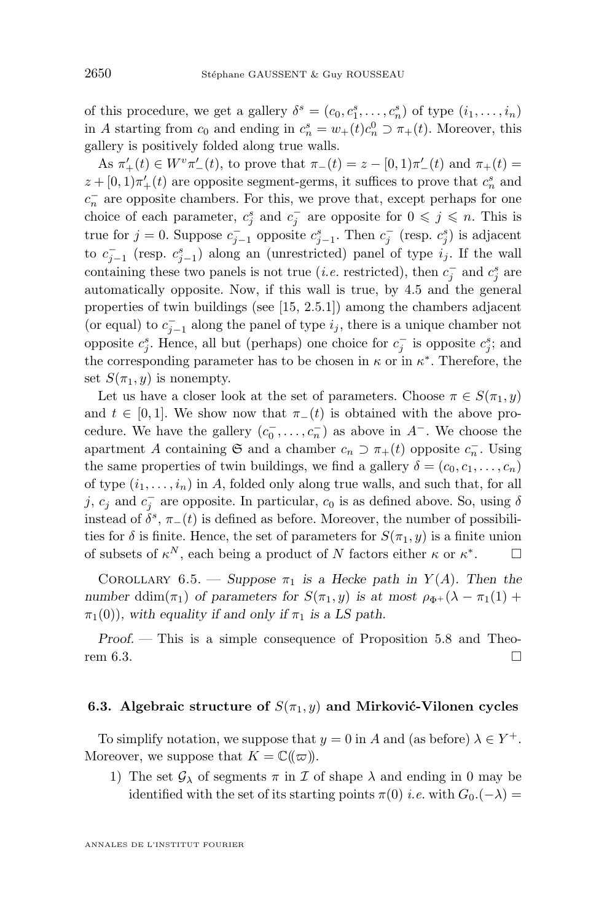<span id="page-46-0"></span>of this procedure, we get a gallery  $\delta^s = (c_0, c_1^s, \dots, c_n^s)$  of type  $(i_1, \dots, i_n)$ in A starting from  $c_0$  and ending in  $c_n^s = w_+(t)c_n^0 \supset \pi_+(t)$ . Moreover, this gallery is positively folded along true walls.

As  $\pi'_{+}(t) \in W^{v} \pi'_{-}(t)$ , to prove that  $\pi_{-}(t) = z - [0, 1) \pi'_{-}(t)$  and  $\pi_{+}(t) =$  $z + [0, 1)\pi'_{+}(t)$  are opposite segment-germs, it suffices to prove that  $c_n^s$  and  $c_n^-$  are opposite chambers. For this, we prove that, except perhaps for one choice of each parameter,  $c_j^s$  and  $c_j^-$  are opposite for  $0 \leq j \leq n$ . This is true for  $j = 0$ . Suppose  $c_{j-1}^-$  opposite  $c_{j-1}^s$ . Then  $c_j^-$  (resp.  $c_j^s$ ) is adjacent to  $c_{j-1}^-$  (resp.  $c_{j-1}^s$ ) along an (unrestricted) panel of type  $i_j$ . If the wall containing these two panels is not true (*i.e.* restricted), then  $c_j^-$  and  $c_j^s$  are automatically opposite. Now, if this wall is true, by [4.5](#page-30-0) and the general properties of twin buildings (see [\[15,](#page-53-0) 2.5.1]) among the chambers adjacent (or equal) to  $c_{j-1}^-$  along the panel of type  $i_j$ , there is a unique chamber not opposite  $c_j^s$ . Hence, all but (perhaps) one choice for  $c_j^-$  is opposite  $c_j^s$ ; and the corresponding parameter has to be chosen in  $\kappa$  or in  $\kappa^*$ . Therefore, the set  $S(\pi_1, y)$  is nonempty.

Let us have a closer look at the set of parameters. Choose  $\pi \in S(\pi_1, y)$ and  $t \in [0, 1]$ . We show now that  $\pi_-(t)$  is obtained with the above procedure. We have the gallery  $(c_0^-, \ldots, c_n^-)$  as above in  $A^-$ . We choose the apartment A containing G and a chamber  $c_n \supset \pi_+(t)$  opposite  $c_n^-$ . Using the same properties of twin buildings, we find a gallery  $\delta = (c_0, c_1, \ldots, c_n)$ of type  $(i_1, \ldots, i_n)$  in A, folded only along true walls, and such that, for all j,  $c_j$  and  $c_j^-$  are opposite. In particular,  $c_0$  is as defined above. So, using  $\delta$ instead of  $\delta^s$ ,  $\pi_-(t)$  is defined as before. Moreover, the number of possibilities for  $\delta$  is finite. Hence, the set of parameters for  $S(\pi_1, y)$  is a finite union of subsets of  $\kappa^N$ , each being a product of N factors either  $\kappa$  or  $\kappa^*$  $\Box$ 

COROLLARY 6.5. — Suppose  $\pi_1$  is a Hecke path in  $Y(A)$ . Then the *number* ddim( $\pi_1$ ) *of parameters for*  $S(\pi_1, y)$  *is at most*  $\rho_{\Phi^+}(\lambda - \pi_1(1) +$  $\pi_1(0)$ , with equality if and only if  $\pi_1$  is a LS path.

*Proof. —* This is a simple consequence of Proposition [5.8](#page-37-0) and Theo-rem [6.3.](#page-44-0)

#### **6.3. Algebraic structure of**  $S(\pi_1, y)$  and Mirković-Vilonen cycles

To simplify notation, we suppose that  $y = 0$  in A and (as before)  $\lambda \in Y^+$ . Moreover, we suppose that  $K = \mathbb{C}(\!(\varpi)\!)$ .

1) The set  $\mathcal{G}_{\lambda}$  of segments  $\pi$  in  $\mathcal I$  of shape  $\lambda$  and ending in 0 may be identified with the set of its starting points  $\pi(0)$  *i.e.* with  $G_0$ .(- $\lambda$ ) =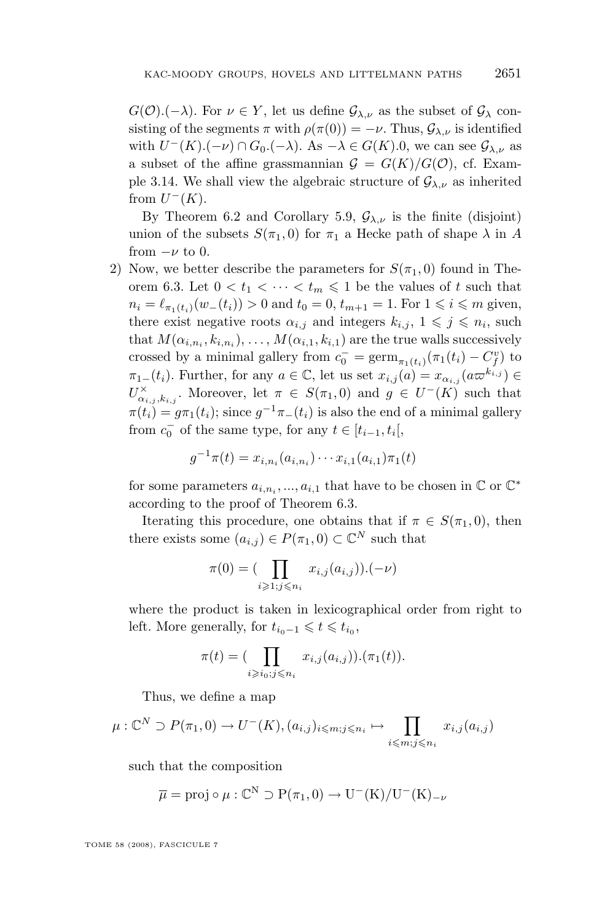$G(\mathcal{O})(-\lambda)$ . For  $\nu \in Y$ , let us define  $\mathcal{G}_{\lambda,\nu}$  as the subset of  $\mathcal{G}_{\lambda}$  consisting of the segments  $\pi$  with  $\rho(\pi(0)) = -\nu$ . Thus,  $\mathcal{G}_{\lambda,\nu}$  is identified with  $U^-(K)$ . $(-\nu) \cap G_0$ . $(-\lambda)$ . As  $-\lambda \in G(K)$ .0, we can see  $\mathcal{G}_{\lambda,\nu}$  as a subset of the affine grassmannian  $G = G(K)/G(\mathcal{O})$ , cf. Exam-ple [3.14.](#page-23-0) We shall view the algebraic structure of  $\mathcal{G}_{\lambda,\nu}$  as inherited from  $U^-(K)$ .

By Theorem [6.2](#page-44-0) and Corollary [5.9,](#page-37-0)  $\mathcal{G}_{\lambda,\nu}$  is the finite (disjoint) union of the subsets  $S(\pi_1, 0)$  for  $\pi_1$  a Hecke path of shape  $\lambda$  in A from  $-\nu$  to 0.

2) Now, we better describe the parameters for  $S(\pi_1, 0)$  found in The-orem [6.3.](#page-44-0) Let  $0 < t_1 < \cdots < t_m \leq 1$  be the values of t such that  $n_i = \ell_{\pi_1(t_i)}(w_-(t_i)) > 0$  and  $t_0 = 0, t_{m+1} = 1$ . For  $1 \leq i \leq m$  given, there exist negative roots  $\alpha_{i,j}$  and integers  $k_{i,j}, 1 \leqslant j \leqslant n_i$ , such that  $M(\alpha_{i,n_i},k_{i,n_i}),\ldots,M(\alpha_{i,1},k_{i,1})$  are the true walls successively crossed by a minimal gallery from  $c_0^- = \operatorname{germ}_{\pi_1(t_i)}(\pi_1(t_i) - C_f^v)$  to  $\pi_{1-}(t_i)$ . Further, for any  $a \in \mathbb{C}$ , let us set  $x_{i,j}(a) = x_{\alpha_{i,j}}(a \varpi^{k_{i,j}}) \in$  $U^{\times}_{\alpha_{i,j},k_{i,j}}$ . Moreover, let  $\pi \in S(\pi_1,0)$  and  $g \in U^{-}(K)$  such that  $\pi(t_i) = g\pi_1(t_i)$ ; since  $g^{-1}\pi_-(t_i)$  is also the end of a minimal gallery from  $c_0^-$  of the same type, for any  $t \in [t_{i-1}, t_i[$ ,

$$
g^{-1}\pi(t) = x_{i,n_i}(a_{i,n_i})\cdots x_{i,1}(a_{i,1})\pi_1(t)
$$

for some parameters  $a_{i,n_i},...,a_{i,1}$  that have to be chosen in  $\mathbb C$  or  $\mathbb C^*$ according to the proof of Theorem [6.3.](#page-44-0)

Iterating this procedure, one obtains that if  $\pi \in S(\pi_1,0)$ , then there exists some  $(a_{i,j}) \in P(\pi_1, 0) \subset \mathbb{C}^N$  such that

$$
\pi(0) = (\prod_{i \geqslant 1; j \leqslant n_i} x_{i,j}(a_{i,j})).(-\nu)
$$

where the product is taken in lexicographical order from right to left. More generally, for  $t_{i_0-1} \leq t \leq t_{i_0}$ ,

$$
\pi(t) = (\prod_{i \ge i_0; j \le n_i} x_{i,j}(a_{i,j})).(\pi_1(t)).
$$

Thus, we define a map

$$
\mu: \mathbb{C}^N \supset P(\pi_1, 0) \to U^-(K), (a_{i,j})_{i \leq m; j \leq n_i} \mapsto \prod_{i \leq m; j \leq n_i} x_{i,j}(a_{i,j})
$$

such that the composition

$$
\overline{\mu} = \text{proj} \circ \mu : \mathbb{C}^N \supset P(\pi_1, 0) \to U^-(K)/U^-(K)_{-\nu}
$$

TOME 58 (2008), FASCICULE 7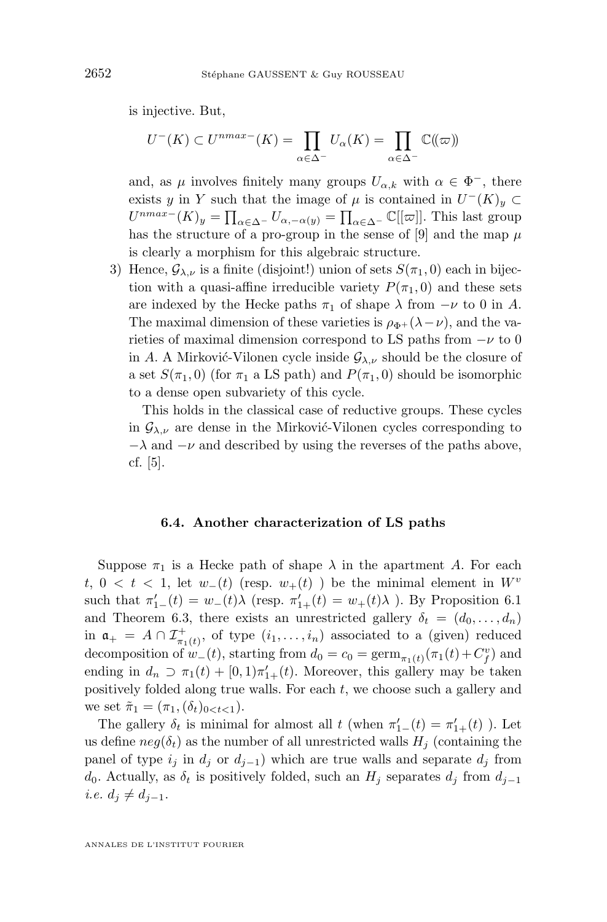<span id="page-48-0"></span>is injective. But,

$$
U^-(K) \subset U^{nmax-}(K) = \prod_{\alpha \in \Delta^-} U_{\alpha}(K) = \prod_{\alpha \in \Delta^-} \mathbb{C}(\!(\varpi)\!)
$$

and, as  $\mu$  involves finitely many groups  $U_{\alpha,k}$  with  $\alpha \in \Phi^-$ , there exists y in Y such that the image of  $\mu$  is contained in  $U^-(K)_y \subset$  $U^{nmax-}(K)_y = \prod_{\alpha \in \Delta^{-}} U_{\alpha, -\alpha(y)} = \prod_{\alpha \in \Delta^{-}} \mathbb{C}[[\varpi]].$  This last group has the structure of a pro-group in the sense of [\[9\]](#page-53-0) and the map  $\mu$ is clearly a morphism for this algebraic structure.

3) Hence,  $\mathcal{G}_{\lambda,\nu}$  is a finite (disjoint!) union of sets  $S(\pi_1,0)$  each in bijection with a quasi-affine irreducible variety  $P(\pi_1, 0)$  and these sets are indexed by the Hecke paths  $\pi_1$  of shape  $\lambda$  from  $-\nu$  to 0 in A. The maximal dimension of these varieties is  $\rho_{\Phi+}(\lambda-\nu)$ , and the varieties of maximal dimension correspond to LS paths from  $-\nu$  to 0 in A. A Mirković-Vilonen cycle inside  $\mathcal{G}_{\lambda,\nu}$  should be the closure of a set  $S(\pi_1, 0)$  (for  $\pi_1$  a LS path) and  $P(\pi_1, 0)$  should be isomorphic to a dense open subvariety of this cycle.

This holds in the classical case of reductive groups. These cycles in  $\mathcal{G}_{\lambda,\nu}$  are dense in the Mirković-Vilonen cycles corresponding to  $-\lambda$  and  $-\nu$  and described by using the reverses of the paths above, cf. [\[5\]](#page-52-0).

#### **6.4. Another characterization of LS paths**

Suppose  $\pi_1$  is a Hecke path of shape  $\lambda$  in the apartment A. For each t,  $0 < t < 1$ , let  $w_-(t)$  (resp.  $w_+(t)$ ) be the minimal element in  $W^v$ such that  $\pi'_{1-}(t) = w_{-}(t)\lambda$  (resp.  $\pi'_{1+}(t) = w_{+}(t)\lambda$ ). By Proposition [6.1](#page-42-0) and Theorem [6.3,](#page-44-0) there exists an unrestricted gallery  $\delta_t = (d_0, \ldots, d_n)$ in  $a_{+} = A \cap \mathcal{I}^{+}_{\pi_1(t)}$ , of type  $(i_1, \ldots, i_n)$  associated to a (given) reduced decomposition of  $w_-(t)$ , starting from  $d_0 = c_0 = \text{germ}_{\pi_1(t)}(\pi_1(t) + C_f^v)$  and ending in  $d_n \supset \pi_1(t) + [0,1]\pi'_{1+}(t)$ . Moreover, this gallery may be taken positively folded along true walls. For each  $t$ , we choose such a gallery and we set  $\tilde{\pi}_1 = (\pi_1, (\delta_t)_{0 < t < 1}).$ 

The gallery  $\delta_t$  is minimal for almost all  $t$  (when  $\pi'_{1-}(t) = \pi'_{1+}(t)$ ). Let us define  $neg(\delta_t)$  as the number of all unrestricted walls  $H_j$  (containing the panel of type  $i_j$  in  $d_j$  or  $d_{j-1}$ ) which are true walls and separate  $d_j$  from d<sub>0</sub>. Actually, as  $\delta_t$  is positively folded, such an H<sub>i</sub> separates d<sub>i</sub> from  $d_{i-1}$ *i.e.*  $d_j \neq d_{j-1}$ .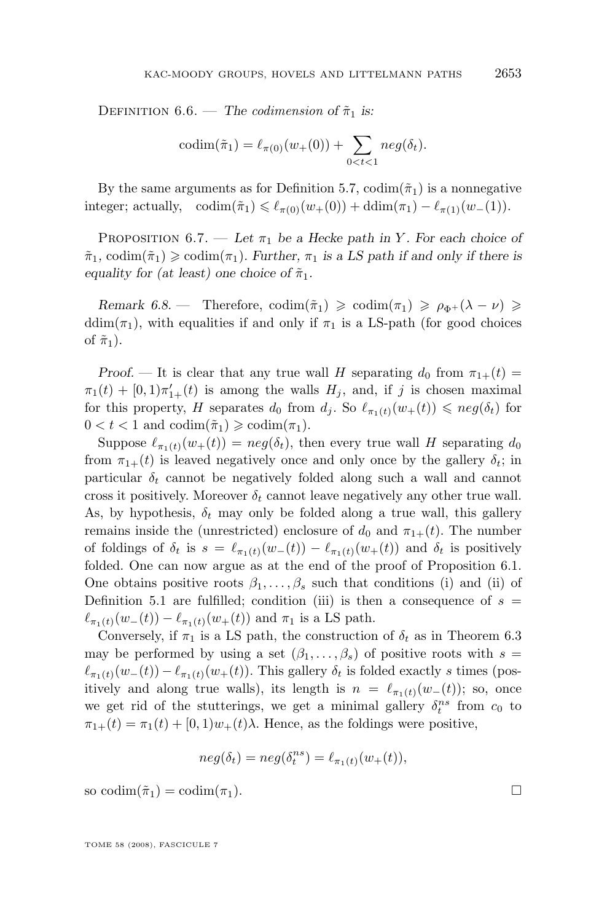DEFINITION 6.6. — *The codimension* of  $\tilde{\pi}_1$  is:

$$
codim(\tilde{\pi}_1) = \ell_{\pi(0)}(w_+(0)) + \sum_{0 < t < 1} neg(\delta_t).
$$

By the same arguments as for Definition [5.7,](#page-36-0)  $\text{codim}(\tilde{\pi}_1)$  is a nonnegative integer; actually,  $\text{codim}(\tilde{\pi}_1) \leq \ell_{\pi(0)}(w_+(0)) + \text{ddim}(\pi_1) - \ell_{\pi(1)}(w_-(1)).$ 

PROPOSITION  $6.7.$  — Let  $\pi_1$  be a Hecke path in Y. For each choice of  $\tilde{\pi}_1$ , codim $(\tilde{\pi}_1) \geq \text{codim}(\pi_1)$ . Further,  $\pi_1$  is a LS path if and only if there is *equality for (at least) one choice of*  $\tilde{\pi}_1$ .

*Remark 6.8.* — Therefore,  $\text{codim}(\tilde{\pi}_1) \geq \text{codim}(\pi_1) \geq \rho_{\Phi^+}(\lambda - \nu) \geq$ ddim( $\pi_1$ ), with equalities if and only if  $\pi_1$  is a LS-path (for good choices of  $\tilde{\pi}_1$ ).

*Proof.* — It is clear that any true wall H separating  $d_0$  from  $\pi_{1+}(t)$  =  $\pi_1(t) + [0,1]\pi'_{1+}(t)$  is among the walls  $H_j$ , and, if j is chosen maximal for this property, H separates  $d_0$  from  $d_i$ . So  $\ell_{\pi_1(t)}(w_+(t)) \leqslant neg(\delta_t)$  for  $0 < t < 1$  and  $\operatorname{codim}(\tilde{\pi}_1) \geq \operatorname{codim}(\pi_1)$ .

Suppose  $\ell_{\pi_1(t)}(w_+(t)) = neg(\delta_t)$ , then every true wall H separating  $d_0$ from  $\pi_{1+}(t)$  is leaved negatively once and only once by the gallery  $\delta_t$ ; in particular  $\delta_t$  cannot be negatively folded along such a wall and cannot cross it positively. Moreover  $\delta_t$  cannot leave negatively any other true wall. As, by hypothesis,  $\delta_t$  may only be folded along a true wall, this gallery remains inside the (unrestricted) enclosure of  $d_0$  and  $\pi_{1+}(t)$ . The number of foldings of  $\delta_t$  is  $s = \ell_{\pi_1(t)}(w_-(t)) - \ell_{\pi_1(t)}(w_+(t))$  and  $\delta_t$  is positively folded. One can now argue as at the end of the proof of Proposition [6.1.](#page-42-0) One obtains positive roots  $\beta_1, \ldots, \beta_s$  such that conditions (i) and (ii) of Definition [5.1](#page-33-0) are fulfilled; condition (iii) is then a consequence of  $s =$  $\ell_{\pi_1(t)}(w_-(t)) - \ell_{\pi_1(t)}(w_+(t))$  and  $\pi_1$  is a LS path.

Conversely, if  $\pi_1$  is a LS path, the construction of  $\delta_t$  as in Theorem [6.3](#page-44-0) may be performed by using a set  $(\beta_1, \ldots, \beta_s)$  of positive roots with  $s =$  $\ell_{\pi_1(t)}(w_-(t)) - \ell_{\pi_1(t)}(w_+(t)).$  This gallery  $\delta_t$  is folded exactly s times (positively and along true walls), its length is  $n = \ell_{\pi_1(t)}(w_-(t))$ ; so, once we get rid of the stutterings, we get a minimal gallery  $\delta_t^{ns}$  from  $c_0$  to  $\pi_{1+}(t) = \pi_1(t) + [0, 1]w_+(t)\lambda$ . Hence, as the foldings were positive,

$$
neg(\delta_t) = neg(\delta_t^{ns}) = \ell_{\pi_1(t)}(w_+(t)),
$$

so codim $(\tilde{\pi}_1) = \text{codim}(\pi_1)$ .

TOME 58 (2008), FASCICULE 7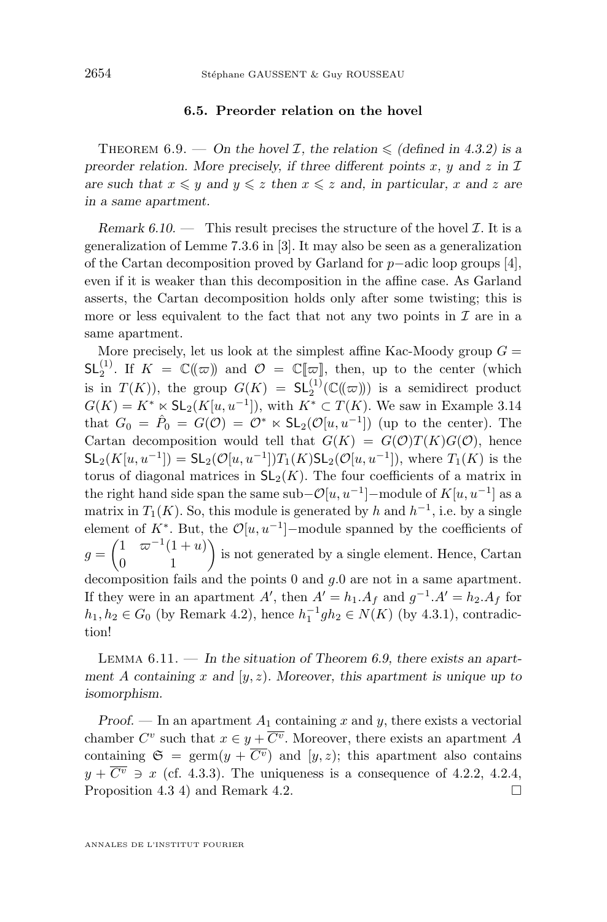#### **6.5. Preorder relation on the hovel**

<span id="page-50-0"></span>THEOREM 6.9. — On the hovel *I*, the relation  $\leq$  (defined in [4.3.](#page-27-0)2) is a *preorder relation. More precisely, if three different points* x, y and z in  $\mathcal I$ *are such that*  $x \leq y$  *and*  $y \leq z$  *then*  $x \leq z$  *and, in particular,* x *and* z *are in a same apartment.*

*Remark 6.10.* — This result precises the structure of the hovel  $\mathcal{I}$ . It is a generalization of Lemme 7.3.6 in [\[3\]](#page-52-0). It may also be seen as a generalization of the Cartan decomposition proved by Garland for p−adic loop groups [\[4\]](#page-52-0), even if it is weaker than this decomposition in the affine case. As Garland asserts, the Cartan decomposition holds only after some twisting; this is more or less equivalent to the fact that not any two points in  $\mathcal I$  are in a same apartment.

More precisely, let us look at the simplest affine Kac-Moody group  $G =$  $\mathsf{SL}_2^{(1)}$ . If  $K = \mathbb{C}(\!(\varpi)\!)$  and  $\mathcal{O} = \mathbb{C}[\![\varpi]\!],$  then, up to the center (which is in  $T(K)$ ), the group  $G(K) = SL_2^{(1)}(\mathbb{C}(\!(\varpi)\!))$  is a semidirect product  $G(K) = K^* \times SL_2(K[u, u^{-1}]),$  with  $K^* \subset T(K)$ . We saw in Example [3.14](#page-23-0) that  $G_0 = \hat{P}_0 = G(\mathcal{O}) = \mathcal{O}^* \ltimes SL_2(\mathcal{O}[u, u^{-1}])$  (up to the center). The Cartan decomposition would tell that  $G(K) = G(\mathcal{O})T(K)G(\mathcal{O})$ , hence  $\mathsf{SL}_2(K[u, u^{-1}]) = \mathsf{SL}_2(\mathcal{O}[u, u^{-1}])T_1(K)\mathsf{SL}_2(\mathcal{O}[u, u^{-1}])$ , where  $T_1(K)$  is the torus of diagonal matrices in  $SL_2(K)$ . The four coefficients of a matrix in the right hand side span the same sub– $\mathcal{O}[u, u^{-1}]$ -module of  $K[u, u^{-1}]$  as a matrix in  $T_1(K)$ . So, this module is generated by h and  $h^{-1}$ , i.e. by a single element of  $K^*$ . But, the  $\mathcal{O}[u, u^{-1}]$ -module spanned by the coefficients of  $g = \begin{pmatrix} 1 & \varpi^{-1}(1+u) \\ 0 & 1 \end{pmatrix}$  is not generated by a single element. Hence, Cartan decomposition fails and the points  $0$  and  $g.0$  are not in a same apartment. If they were in an apartment  $A'$ , then  $A' = h_1.A_f$  and  $g^{-1}.A' = h_2.A_f$  for  $h_1, h_2 \in G_0$  (by Remark [4.2\)](#page-24-0), hence  $h_1^{-1}gh_2 \in N(K)$  (by [4.3.](#page-27-0)1), contradiction!

Lemma 6.11. — *In the situation of Theorem 6.9, there exists an apartment* A *containing* x *and* [y, z)*. Moreover, this apartment is unique up to isomorphism.*

*Proof.* — In an apartment  $A_1$  containing x and y, there exists a vectorial chamber  $C^v$  such that  $x \in y + \overline{C^v}$ . Moreover, there exists an apartment A containing  $\mathfrak{S} = \text{germ}(y + \overline{C^v})$  and  $[y, z)$ ; this apartment also contains  $y + \overline{C^v} \ni x$  (cf. [4.3.](#page-27-0)3). The uniqueness is a consequence of [4.2.](#page-27-0)2, 4.2.4, Proposition [4.3](#page-25-0) 4) and Remark [4.2.](#page-24-0)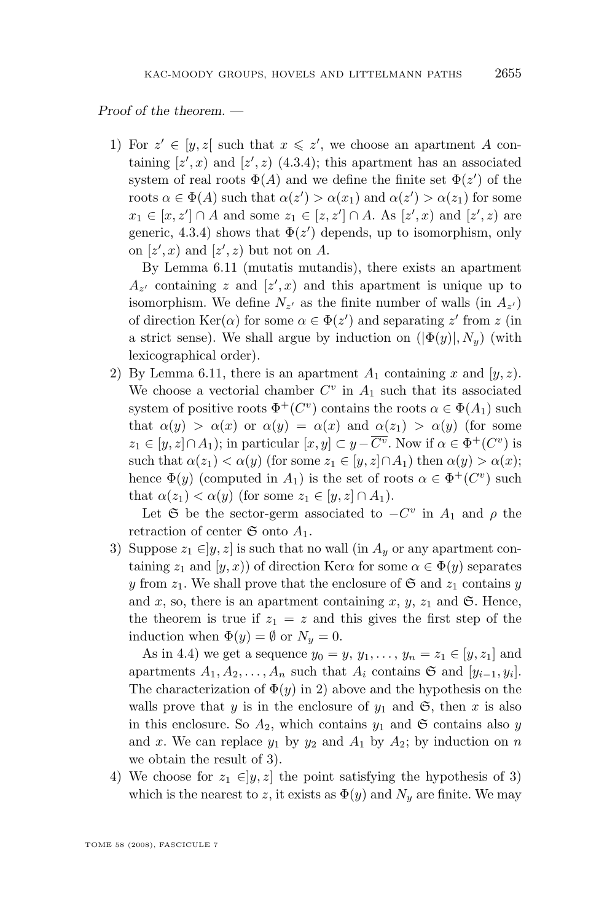#### *Proof of the theorem. —*

1) For  $z' \in [y, z]$  such that  $x \leq z'$ , we choose an apartment A containing  $[z',x)$  and  $[z',z)$  [\(4.3.](#page-27-0)4); this apartment has an associated system of real roots  $\Phi(A)$  and we define the finite set  $\Phi(z')$  of the roots  $\alpha \in \Phi(A)$  such that  $\alpha(z') > \alpha(x_1)$  and  $\alpha(z') > \alpha(z_1)$  for some  $x_1 \in [x, z'] \cap A$  and some  $z_1 \in [z, z'] \cap A$ . As  $[z', x)$  and  $[z', z)$  are generic, [4.3.](#page-27-0)4) shows that  $\Phi(z')$  depends, up to isomorphism, only on  $[z',x]$  and  $[z',z]$  but not on A.

By Lemma [6.11](#page-50-0) (mutatis mutandis), there exists an apartment  $A_{z'}$  containing z and  $[z',x]$  and this apartment is unique up to isomorphism. We define  $N_{z'}$  as the finite number of walls (in  $A_{z'}$ ) of direction  $\text{Ker}(\alpha)$  for some  $\alpha \in \Phi(z')$  and separating z' from z (in a strict sense). We shall argue by induction on  $(|\Phi(y)|, N_y)$  (with lexicographical order).

2) By Lemma [6.11,](#page-50-0) there is an apartment  $A_1$  containing x and  $[y, z)$ . We choose a vectorial chamber  $C^v$  in  $A_1$  such that its associated system of positive roots  $\Phi^+(C^v)$  contains the roots  $\alpha \in \Phi(A_1)$  such that  $\alpha(y) > \alpha(x)$  or  $\alpha(y) = \alpha(x)$  and  $\alpha(z_1) > \alpha(y)$  (for some  $z_1 \in [y, z] \cap A_1$ ); in particular  $[x, y] \subset y - \overline{C^v}$ . Now if  $\alpha \in \Phi^+(C^v)$  is such that  $\alpha(z_1) < \alpha(y)$  (for some  $z_1 \in [y, z] \cap A_1$ ) then  $\alpha(y) > \alpha(x)$ ; hence  $\Phi(y)$  (computed in  $A_1$ ) is the set of roots  $\alpha \in \Phi^+(C^v)$  such that  $\alpha(z_1) < \alpha(y)$  (for some  $z_1 \in [y, z] \cap A_1$ ).

Let G be the sector-germ associated to  $-C^v$  in  $A_1$  and  $\rho$  the retraction of center  $\mathfrak S$  onto  $A_1$ .

3) Suppose  $z_1 \in ]y, z]$  is such that no wall (in  $A_y$  or any apartment containing  $z_1$  and  $(y, x)$  of direction Ker $\alpha$  for some  $\alpha \in \Phi(y)$  separates y from  $z_1$ . We shall prove that the enclosure of  $\mathfrak{S}$  and  $z_1$  contains y and x, so, there is an apartment containing x, y,  $z_1$  and  $\mathfrak{S}$ . Hence, the theorem is true if  $z_1 = z$  and this gives the first step of the induction when  $\Phi(y) = \emptyset$  or  $N_y = 0$ .

As in [4.4\)](#page-29-0) we get a sequence  $y_0 = y, y_1, ..., y_n = z_1 \in [y, z_1]$  and apartments  $A_1, A_2, \ldots, A_n$  such that  $A_i$  contains  $\mathfrak S$  and  $[y_{i-1}, y_i]$ . The characterization of  $\Phi(y)$  in 2) above and the hypothesis on the walls prove that y is in the enclosure of  $y_1$  and  $\mathfrak{S}$ , then x is also in this enclosure. So  $A_2$ , which contains  $y_1$  and  $\mathfrak S$  contains also y and x. We can replace  $y_1$  by  $y_2$  and  $A_1$  by  $A_2$ ; by induction on n we obtain the result of 3).

4) We choose for  $z_1 \in ]y, z]$  the point satisfying the hypothesis of 3) which is the nearest to z, it exists as  $\Phi(y)$  and  $N_y$  are finite. We may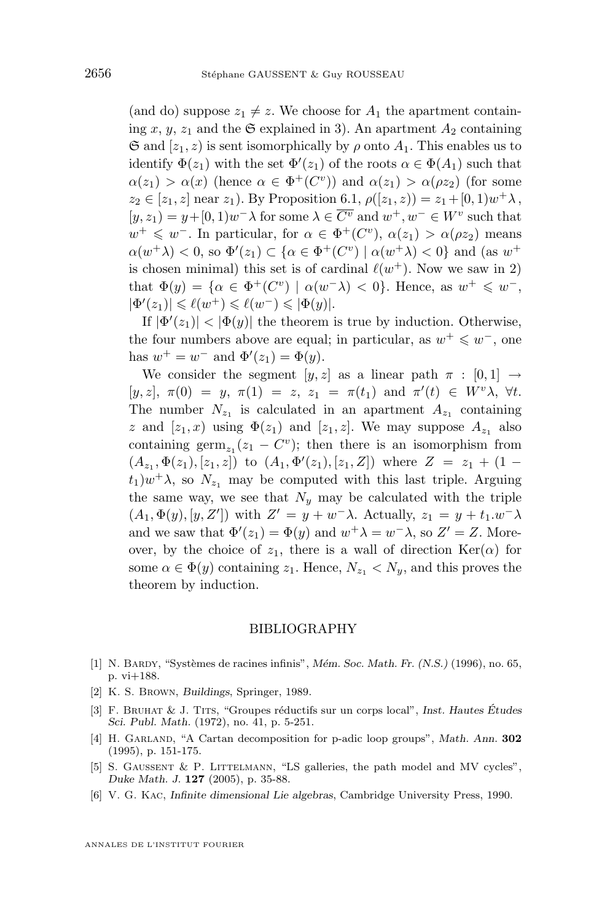<span id="page-52-0"></span>(and do) suppose  $z_1 \neq z$ . We choose for  $A_1$  the apartment containing x, y, z<sub>1</sub> and the  $\mathfrak S$  explained in 3). An apartment  $A_2$  containing  $\mathfrak{S}$  and  $[z_1, z]$  is sent isomorphically by  $\rho$  onto  $A_1$ . This enables us to identify  $\Phi(z_1)$  with the set  $\Phi'(z_1)$  of the roots  $\alpha \in \Phi(A_1)$  such that  $\alpha(z_1) > \alpha(x)$  (hence  $\alpha \in \Phi^+(C^v)$ ) and  $\alpha(z_1) > \alpha(\rho z_2)$  (for some  $z_2 \in [z_1, z]$  near  $z_1$ ). By Proposition [6.1,](#page-42-0)  $\rho([z_1, z)) = z_1 + [0, 1)w^{+}\lambda$ ,  $[y, z_1] = y + [0, 1]w^- \lambda$  for some  $\lambda \in \overline{C^v}$  and  $w^+, w^- \in W^v$  such that  $w^+ \leq w^-$ . In particular, for  $\alpha \in \Phi^+(C^v)$ ,  $\alpha(z_1) > \alpha(\rho z_2)$  means  $\alpha(w^+\lambda) < 0$ , so  $\Phi'(z_1) \subset {\alpha \in \Phi^+(C^v) \mid \alpha(w^+\lambda) < 0}$  and (as  $w^+$ is chosen minimal) this set is of cardinal  $\ell(w^+)$ . Now we saw in 2) that  $\Phi(y) = {\alpha \in \Phi^+(C^v) \mid \alpha(w^{-}\lambda) < 0}.$  Hence, as  $w^{+} \leq w^{-}$ ,  $|\Phi'(z_1)| \leqslant \ell(w^+) \leqslant \ell(w^-) \leqslant |\Phi(y)|.$ 

If  $|\Phi'(z_1)| < |\Phi(y)|$  the theorem is true by induction. Otherwise, the four numbers above are equal; in particular, as  $w^+ \leq w^-$ , one has  $w^+ = w^-$  and  $\Phi'(z_1) = \Phi(y)$ .

We consider the segment  $[y, z]$  as a linear path  $\pi : [0, 1] \rightarrow$  $[y, z], \pi(0) = y, \pi(1) = z, z_1 = \pi(t_1) \text{ and } \pi'(t) \in W^v \lambda, \forall t.$ The number  $N_{z_1}$  is calculated in an apartment  $A_{z_1}$  containing z and  $[z_1, x)$  using  $\Phi(z_1)$  and  $[z_1, z]$ . We may suppose  $A_{z_1}$  also containing  $\operatorname{germ}_{z_1}(z_1 - C^v)$ ; then there is an isomorphism from  $(A_{z_1}, \Phi(z_1), [z_1, z])$  to  $(A_1, \Phi'(z_1), [z_1, Z])$  where  $Z = z_1 + (1 - z_1)$  $(t_1)w^{\dagger}\lambda$ , so  $N_{z_1}$  may be computed with this last triple. Arguing the same way, we see that  $N_y$  may be calculated with the triple  $(A_1, \Phi(y), [y, Z'])$  with  $Z' = y + w^- \lambda$ . Actually,  $z_1 = y + t_1 \cdot w^- \lambda$ and we saw that  $\Phi'(z_1) = \Phi(y)$  and  $w^+ \lambda = w^- \lambda$ , so  $Z' = Z$ . Moreover, by the choice of  $z_1$ , there is a wall of direction  $\text{Ker}(\alpha)$  for some  $\alpha \in \Phi(y)$  containing  $z_1$ . Hence,  $N_{z_1} < N_y$ , and this proves the theorem by induction.

#### BIBLIOGRAPHY

- [1] N. Bardy, "Systèmes de racines infinis", *Mém. Soc. Math. Fr. (N.S.)* (1996), no. 65, p. vi+188.
- [2] K. S. Brown, *Buildings*, Springer, 1989.
- [3] F. Bruhat & J. Tits, "Groupes réductifs sur un corps local", *Inst. Hautes Études Sci. Publ. Math.* (1972), no. 41, p. 5-251.
- [4] H. Garland, "A Cartan decomposition for p-adic loop groups", *Math. Ann.* **302** (1995), p. 151-175.
- [5] S. GAUSSENT & P. LITTELMANN, "LS galleries, the path model and MV cycles", *Duke Math. J.* **127** (2005), p. 35-88.
- [6] V. G. Kac, *Infinite dimensional Lie algebras*, Cambridge University Press, 1990.